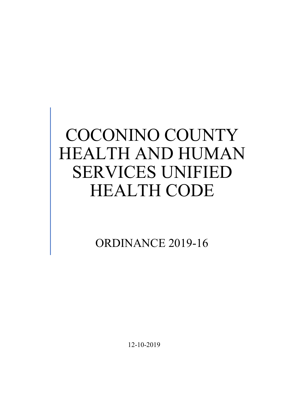# COCONINO COUNTY HEALTH AND HUMAN SERVICES UNIFIED HEALTH CODE

ORDINANCE 2019-16

12-10-2019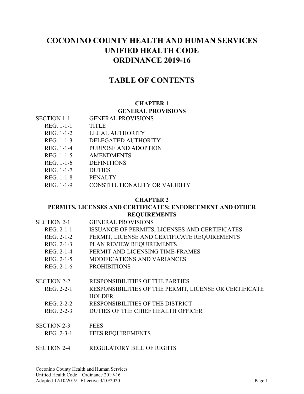# **COCONINO COUNTY HEALTH AND HUMAN SERVICES UNIFIED HEALTH CODE ORDINANCE 2019-16**

# **TABLE OF CONTENTS**

#### **CHAPTER 1 GENERAL PROVISIONS**

- REG. 1-1-1 TITLE
- REG. 1-1-2 LEGAL AUTHORITY
- REG. 1-1-3 DELEGATED AUTHORITY
- REG. 1-1-4 PURPOSE AND ADOPTION
- REG. 1-1-5 AMENDMENTS
- REG. 1-1-6 DEFINITIONS
- REG. 1-1-7 DUTIES
- REG. 1-1-8 PENALTY
- REG. 1-1-9 CONSTITUTIONALITY OR VALIDITY

#### **CHAPTER 2**

#### **PERMITS, LICENSES AND CERTIFICATES; ENFORCEMENT AND OTHER REQUIREMENTS**

| <b>SECTION 2-1</b> | <b>GENERAL PROVISIONS</b>                              |
|--------------------|--------------------------------------------------------|
| REG. 2-1-1         | ISSUANCE OF PERMITS, LICENSES AND CERTIFICATES         |
| REG. 2-1-2         | PERMIT, LICENSE AND CERTIFICATE REQUIREMENTS           |
| REG. 2-1-3         | PLAN REVIEW REQUIREMENTS                               |
| REG. 2-1-4         | PERMIT AND LICENSING TIME-FRAMES                       |
| REG. 2-1-5         | <b>MODIFICATIONS AND VARIANCES</b>                     |
| REG. 2-1-6         | <b>PROHIBITIONS</b>                                    |
|                    |                                                        |
| <b>SECTION 2-2</b> | <b>RESPONSIBILITIES OF THE PARTIES</b>                 |
| REG. 2-2-1         | RESPONSIBILITIES OF THE PERMIT, LICENSE OR CERTIFICATE |
|                    | <b>HOLDER</b>                                          |
| REG. 2-2-2         | RESPONSIBILITIES OF THE DISTRICT                       |
| REG. 2-2-3         | DUTIES OF THE CHIEF HEALTH OFFICER                     |
|                    |                                                        |
| <b>SECTION 2-3</b> | <b>FEES</b>                                            |
| REG. 2-3-1         | <b>FEES REOUIREMENTS</b>                               |

SECTION 2-4 REGULATORY BILL OF RIGHTS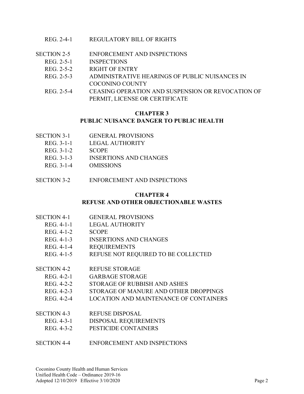- SECTION 2-5 ENFORCEMENT AND INSPECTIONS
	- REG. 2-5-1 INSPECTIONS
		- REG. 2-5-2 RIGHT OF ENTRY
		- REG. 2-5-3 ADMINISTRATIVE HEARINGS OF PUBLIC NUISANCES IN COCONINO COUNTY
		- REG. 2-5-4 CEASING OPERATION AND SUSPENSION OR REVOCATION OF PERMIT, LICENSE OR CERTIFICATE

#### **CHAPTER 3**

#### **PUBLIC NUISANCE DANGER TO PUBLIC HEALTH**

- SECTION 3-1 GENERAL PROVISIONS
	- REG. 3-1-1 LEGAL AUTHORITY
	- REG. 3-1-2 SCOPE
	- REG. 3-1-3 INSERTIONS AND CHANGES
	- REG. 3-1-4 OMISSIONS
- SECTION 3-2 ENFORCEMENT AND INSPECTIONS

#### **CHAPTER 4**

#### **REFUSE AND OTHER OBJECTIONABLE WASTES**

- SECTION 4-1 GENERAL PROVISIONS
	- REG. 4-1-1 LEGAL AUTHORITY
	- REG. 4-1-2 SCOPE
	- REG. 4-1-3 INSERTIONS AND CHANGES
	- REG. 4-1-4 REQUIREMENTS
	- REG. 4-1-5 REFUSE NOT REQUIRED TO BE COLLECTED
- SECTION 4-2 REFUSE STORAGE
	- REG. 4-2-1 GARBAGE STORAGE
	- REG. 4-2-2 STORAGE OF RUBBISH AND ASHES
	- REG. 4-2-3 STORAGE OF MANURE AND OTHER DROPPINGS
	- REG. 4-2-4 LOCATION AND MAINTENANCE OF CONTAINERS
- SECTION 4-3 REFUSE DISPOSAL
	- REG. 4-3-1 DISPOSAL REQUIREMENTS
- REG. 4-3-2 PESTICIDE CONTAINERS
- SECTION 4-4 ENFORCEMENT AND INSPECTIONS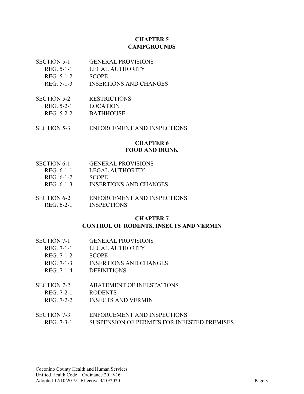#### **CHAPTER 5 CAMPGROUNDS**

- SECTION 5-1 GENERAL PROVISIONS
	- REG. 5-1-1 LEGAL AUTHORITY
	- REG. 5-1-2 SCOPE
	- REG. 5-1-3 INSERTIONS AND CHANGES
- SECTION 5-2 RESTRICTIONS
- REG. 5-2-1 LOCATION
- REG. 5-2-2 BATHHOUSE
- SECTION 5-3 ENFORCEMENT AND INSPECTIONS

#### **CHAPTER 6 FOOD AND DRINK**

- SECTION 6-1 GENERAL PROVISIONS
	- REG. 6-1-1 LEGAL AUTHORITY
	- REG. 6-1-2 SCOPE
	- REG. 6-1-3 INSERTIONS AND CHANGES
- SECTION 6-2 ENFORCEMENT AND INSPECTIONS REG. 6-2-1 INSPECTIONS

#### **CHAPTER 7**

#### **CONTROL OF RODENTS, INSECTS AND VERMIN**

- SECTION 7-1 GENERAL PROVISIONS
	- REG. 7-1-1 LEGAL AUTHORITY
	- REG. 7-1-2 SCOPE
	- REG. 7-1-3 INSERTIONS AND CHANGES
	- REG. 7-1-4 DEFINITIONS

# SECTION 7-2 ABATEMENT OF INFESTATIONS

- REG. 7-2-1 RODENTS
- REG. 7-2-2 INSECTS AND VERMIN

# SECTION 7-3 ENFORCEMENT AND INSPECTIONS

REG. 7-3-1 SUSPENSION OF PERMITS FOR INFESTED PREMISES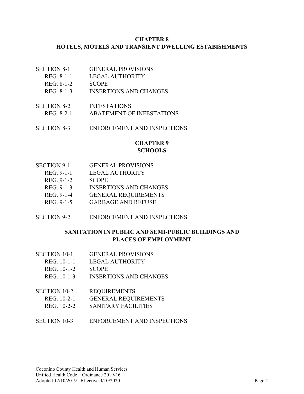#### **CHAPTER 8 HOTELS, MOTELS AND TRANSIENT DWELLING ESTABISHMENTS**

- SECTION 8-1 GENERAL PROVISIONS
	- REG. 8-1-1 LEGAL AUTHORITY
	- REG. 8-1-2 SCOPE
	- REG. 8-1-3 INSERTIONS AND CHANGES
- SECTION 8-2 INFESTATIONS REG. 8-2-1 ABATEMENT OF INFESTATIONS
- SECTION 8-3 ENFORCEMENT AND INSPECTIONS

#### **CHAPTER 9 SCHOOLS**

- SECTION 9-1 GENERAL PROVISIONS
	- REG. 9-1-1 LEGAL AUTHORITY
	- REG. 9-1-2 SCOPE
	- REG. 9-1-3 INSERTIONS AND CHANGES
	- REG. 9-1-4 GENERAL REQUIREMENTS
	- REG. 9-1-5 GARBAGE AND REFUSE
- SECTION 9-2 ENFORCEMENT AND INSPECTIONS

#### **SANITATION IN PUBLIC AND SEMI-PUBLIC BUILDINGS AND PLACES OF EMPLOYMENT**

- SECTION 10-1 GENERAL PROVISIONS
	- REG. 10-1-1 LEGAL AUTHORITY
	- REG. 10-1-2 SCOPE
	- REG. 10-1-3 INSERTIONS AND CHANGES
- SECTION 10-2 REQUIREMENTS
	- REG. 10-2-1 GENERAL REQUIREMENTS
	- REG. 10-2-2 SANITARY FACILITIES
- SECTION 10-3 ENFORCEMENT AND INSPECTIONS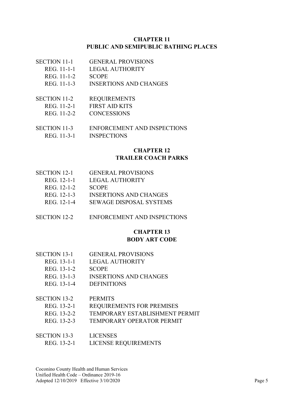#### **CHAPTER 11 PUBLIC AND SEMIPUBLIC BATHING PLACES**

- SECTION 11-1 GENERAL PROVISIONS
	- REG. 11-1-1 LEGAL AUTHORITY
	- REG. 11-1-2 SCOPE
	- REG. 11-1-3 INSERTIONS AND CHANGES
- SECTION 11-2 REQUIREMENTS
- REG. 11-2-1 FIRST AID KITS
- REG. 11-2-2 CONCESSIONS
- SECTION 11-3 ENFORCEMENT AND INSPECTIONS REG. 11-3-1 INSPECTIONS

#### **CHAPTER 12 TRAILER COACH PARKS**

- SECTION 12-1 GENERAL PROVISIONS
	- REG. 12-1-1 LEGAL AUTHORITY
	- REG. 12-1-2 SCOPE
	- REG. 12-1-3 INSERTIONS AND CHANGES
	- REG. 12-1-4 SEWAGE DISPOSAL SYSTEMS
- SECTION 12-2 ENFORCEMENT AND INSPECTIONS

#### **CHAPTER 13 BODY ART CODE**

- SECTION 13-1 GENERAL PROVISIONS
	- REG. 13-1-1 LEGAL AUTHORITY
	- REG. 13-1-2 SCOPE
	- REG. 13-1-3 INSERTIONS AND CHANGES
	- REG. 13-1-4 DEFINITIONS

#### SECTION 13-2 PERMITS

- REG. 13-2-1 REQUIREMENTS FOR PREMISES
- REG. 13-2-2 TEMPORARY ESTABLISHMENT PERMIT
- REG. 13-2-3 TEMPORARY OPERATOR PERMIT

#### SECTION 13-3 LICENSES

REG. 13-2-1 LICENSE REQUIREMENTS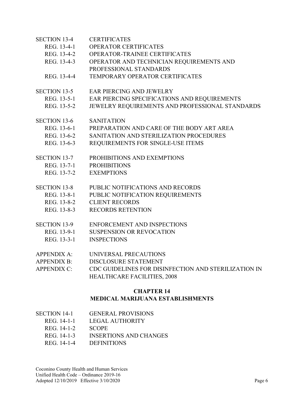| <b>SECTION 13-4</b>              | <b>CERTIFICATES</b>                                  |  |  |  |
|----------------------------------|------------------------------------------------------|--|--|--|
| REG. 13-4-1                      | OPERATOR CERTIFICATES                                |  |  |  |
| REG. 13-4-2                      | OPERATOR-TRAINEE CERTIFICATES                        |  |  |  |
| REG. 13-4-3                      | OPERATOR AND TECHNICIAN REQUIREMENTS AND             |  |  |  |
|                                  | PROFESSIONAL STANDARDS                               |  |  |  |
| REG. 13-4-4                      | TEMPORARY OPERATOR CERTIFICATES                      |  |  |  |
| SECTION 13-5                     | <b>EAR PIERCING AND JEWELRY</b>                      |  |  |  |
| REG. 13-5-1                      | EAR PIERCING SPECIFICATIONS AND REQUIREMENTS         |  |  |  |
| REG. 13-5-2                      | JEWELRY REQUIREMENTS AND PROFESSIONAL STANDARDS      |  |  |  |
| <b>SECTION 13-6</b>              | <b>SANITATION</b>                                    |  |  |  |
| REG. 13-6-1                      | PREPARATION AND CARE OF THE BODY ART AREA            |  |  |  |
| REG. 13-6-2                      | SANITATION AND STERILIZATION PROCEDURES              |  |  |  |
| REG. 13-6-3                      | REQUIREMENTS FOR SINGLE-USE ITEMS                    |  |  |  |
| <b>SECTION 13-7</b>              | PROHIBITIONS AND EXEMPTIONS                          |  |  |  |
| REG. 13-7-1                      | <b>PROHIBITIONS</b>                                  |  |  |  |
| REG. 13-7-2                      | <b>EXEMPTIONS</b>                                    |  |  |  |
| <b>SECTION 13-8</b>              | PUBLIC NOTIFICATIONS AND RECORDS                     |  |  |  |
| REG. 13-8-1                      | PUBLIC NOTIFICATION REQUIREMENTS                     |  |  |  |
| REG. 13-8-2                      | <b>CLIENT RECORDS</b>                                |  |  |  |
| REG. 13-8-3                      | <b>RECORDS RETENTION</b>                             |  |  |  |
| <b>SECTION 13-9</b>              | <b>ENFORCEMENT AND INSPECTIONS</b>                   |  |  |  |
| REG. 13-9-1                      | <b>SUSPENSION OR REVOCATION</b>                      |  |  |  |
| REG. 13-3-1                      | <b>INSPECTIONS</b>                                   |  |  |  |
| <b>APPENDIX A:</b>               | UNIVERSAL PRECAUTIONS                                |  |  |  |
| <b>APPENDIX B:</b>               | <b>DISCLOSURE STATEMENT</b>                          |  |  |  |
| <b>APPENDIX C:</b>               | CDC GUIDELINES FOR DISINFECTION AND STERILIZATION IN |  |  |  |
|                                  | <b>HEALTHCARE FACILITIES, 2008</b>                   |  |  |  |
|                                  | <b>CHAPTER 14</b>                                    |  |  |  |
| MEDICAL MARIJUANA ESTABLISHMENTS |                                                      |  |  |  |

| SECTION 14-1 | <b>GENERAL PROVISIONS</b> |
|--------------|---------------------------|
|              |                           |

- REG. 14-1-1 LEGAL AUTHORITY
- REG. 14-1-2 SCOPE
- REG. 14-1-3 INSERTIONS AND CHANGES
- REG. 14-1-4 DEFINITIONS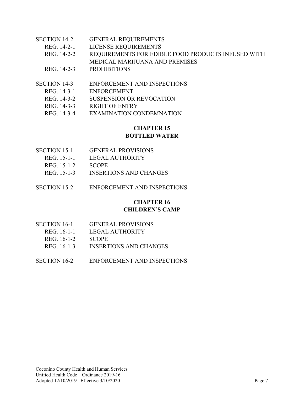| <b>SECTION 14-2</b> | <b>GENERAL REQUIREMENTS</b>                        |
|---------------------|----------------------------------------------------|
| REG. 14-2-1         | LICENSE REQUIREMENTS                               |
| REG. 14-2-2         | REQUIREMENTS FOR EDIBLE FOOD PRODUCTS INFUSED WITH |
|                     | MEDICAL MARIJUANA AND PREMISES                     |
| REG. 14-2-3         | <b>PROHIBITIONS</b>                                |
|                     |                                                    |
| <b>SECTION 14-3</b> | <b>ENFORCEMENT AND INSPECTIONS</b>                 |

- REG. 14-3-1 ENFORCEMENT
- REG. 14-3-2 SUSPENSION OR REVOCATION
- REG. 14-3-3 RIGHT OF ENTRY
- REG. 14-3-4 EXAMINATION CONDEMNATION

#### **CHAPTER 15 BOTTLED WATER**

- SECTION 15-1 GENERAL PROVISIONS
	- REG. 15-1-1 LEGAL AUTHORITY
	- REG. 15-1-2 SCOPE
	- REG. 15-1-3 INSERTIONS AND CHANGES
- SECTION 15-2 ENFORCEMENT AND INSPECTIONS

#### **CHAPTER 16 CHILDREN'S CAMP**

| SECTION 16-1 | <b>GENERAL PROVISIONS</b> |
|--------------|---------------------------|
| REG. 16-1-1  | LEGAL AUTHORITY           |
| REG. 16-1-2  | <b>SCOPE</b>              |
| REG. 16-1-3  | INSERTIONS AND CHANGES    |
|              |                           |

SECTION 16-2 ENFORCEMENT AND INSPECTIONS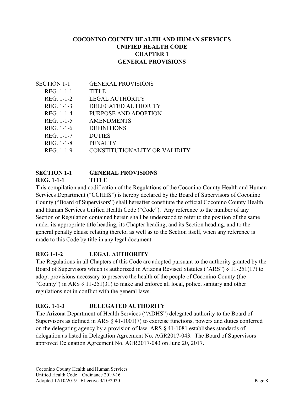#### **COCONINO COUNTY HEALTH AND HUMAN SERVICES UNIFIED HEALTH CODE CHAPTER 1 GENERAL PROVISIONS**

| SECTION 1-1 | <b>GENERAL PROVISIONS</b>     |
|-------------|-------------------------------|
| REG. 1-1-1  | <b>TITLE</b>                  |
| REG. 1-1-2  | LEGAL AUTHORITY               |
| REG. 1-1-3  | DELEGATED AUTHORITY           |
| REG. 1-1-4  | PURPOSE AND ADOPTION          |
| REG. 1-1-5  | <b>AMENDMENTS</b>             |
| REG. 1-1-6  | <b>DEFINITIONS</b>            |
| REG. 1-1-7  | <b>DUTIES</b>                 |
| REG. 1-1-8  | <b>PENALTY</b>                |
| REG. 1-1-9  | CONSTITUTIONALITY OR VALIDITY |
|             |                               |

#### **SECTION 1-1 GENERAL PROVISIONS REG. 1-1-1 TITLE**

This compilation and codification of the Regulations of the Coconino County Health and Human Services Department ("CCHHS") is hereby declared by the Board of Supervisors of Coconino County ("Board of Supervisors") shall hereafter constitute the official Coconino County Health and Human Services Unified Health Code ("Code"). Any reference to the number of any Section or Regulation contained herein shall be understood to refer to the position of the same under its appropriate title heading, its Chapter heading, and its Section heading, and to the general penalty clause relating thereto, as well as to the Section itself, when any reference is made to this Code by title in any legal document.

# **REG 1-1-2 LEGAL AUTHORITY**

The Regulations in all Chapters of this Code are adopted pursuant to the authority granted by the Board of Supervisors which is authorized in Arizona Revised Statutes ("ARS") § 11-251(17) to adopt provisions necessary to preserve the health of the people of Coconino County (the "County") in ARS § 11-251(31) to make and enforce all local, police, sanitary and other regulations not in conflict with the general laws.

# **REG. 1-1-3 DELEGATED AUTHORITY**

The Arizona Department of Health Services ("ADHS") delegated authority to the Board of Supervisors as defined in ARS § 41-1001(7) to exercise functions, powers and duties conferred on the delegating agency by a provision of law. ARS § 41-1081 establishes standards of delegation as listed in Delegation Agreement No. AGR2017-043. The Board of Supervisors approved Delegation Agreement No. AGR2017-043 on June 20, 2017.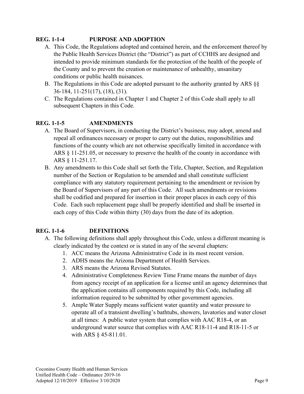# **REG. 1-1-4 PURPOSE AND ADOPTION**

- A. This Code, the Regulations adopted and contained herein, and the enforcement thereof by the Public Health Services District (the "District") as part of CCHHS are designed and intended to provide minimum standards for the protection of the health of the people of the County and to prevent the creation or maintenance of unhealthy, unsanitary conditions or public health nuisances.
- B. The Regulations in this Code are adopted pursuant to the authority granted by ARS §§ 36-184, 11-251(17), (18), (31).
- C. The Regulations contained in Chapter 1 and Chapter 2 of this Code shall apply to all subsequent Chapters in this Code.

# **REG. 1-1-5 AMENDMENTS**

- A. The Board of Supervisors, in conducting the District's business, may adopt, amend and repeal all ordinances necessary or proper to carry out the duties, responsibilities and functions of the county which are not otherwise specifically limited in accordance with ARS § 11-251.05, or necessary to preserve the health of the county in accordance with ARS § 11-251.17.
- B. Any amendments to this Code shall set forth the Title, Chapter, Section, and Regulation number of the Section or Regulation to be amended and shall constitute sufficient compliance with any statutory requirement pertaining to the amendment or revision by the Board of Supervisors of any part of this Code. All such amendments or revisions shall be codified and prepared for insertion in their proper places in each copy of this Code. Each such replacement page shall be properly identified and shall be inserted in each copy of this Code within thirty (30) days from the date of its adoption.

# **REG. 1-1-6 DEFINITIONS**

- A. The following definitions shall apply throughout this Code, unless a different meaning is clearly indicated by the context or is stated in any of the several chapters:
	- 1. ACC means the Arizona Administrative Code in its most recent version.
	- 2. ADHS means the Arizona Department of Health Services.
	- 3. ARS means the Arizona Revised Statutes.
	- 4. Administrative Completeness Review Time Frame means the number of days from agency receipt of an application for a license until an agency determines that the application contains all components required by this Code, including all information required to be submitted by other government agencies.
	- 5. Ample Water Supply means sufficient water quantity and water pressure to operate all of a transient dwelling's bathtubs, showers, lavatories and water closet at all times: A public water system that complies with AAC R18-4, or an underground water source that complies with AAC R18-11-4 and R18-11-5 or with ARS § 45-811.01.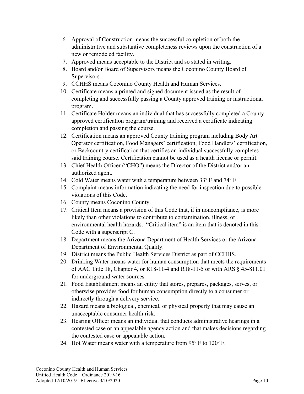- 6. Approval of Construction means the successful completion of both the administrative and substantive completeness reviews upon the construction of a new or remodeled facility.
- 7. Approved means acceptable to the District and so stated in writing.
- 8. Board and/or Board of Supervisors means the Coconino County Board of Supervisors.
- 9. CCHHS means Coconino County Health and Human Services.
- 10. Certificate means a printed and signed document issued as the result of completing and successfully passing a County approved training or instructional program.
- 11. Certificate Holder means an individual that has successfully completed a County approved certification program/training and received a certificate indicating completion and passing the course.
- 12. Certification means an approved County training program including Body Art Operator certification, Food Managers' certification, Food Handlers' certification, or Backcountry certification that certifies an individual successfully completes said training course. Certification cannot be used as a health license or permit.
- 13. Chief Health Officer ("CHO") means the Director of the District and/or an authorized agent.
- 14. Cold Water means water with a temperature between 33º F and 74º F.
- 15. Complaint means information indicating the need for inspection due to possible violations of this Code.
- 16. County means Coconino County.
- 17. Critical Item means a provision of this Code that, if in noncompliance, is more likely than other violations to contribute to contamination, illness, or environmental health hazards. "Critical item" is an item that is denoted in this Code with a superscript C.
- 18. Department means the Arizona Department of Health Services or the Arizona Department of Environmental Quality.
- 19. District means the Public Health Services District as part of CCHHS.
- 20. Drinking Water means water for human consumption that meets the requirements of AAC Title 18, Chapter 4, or R18-11-4 and R18-11-5 or with ARS § 45-811.01 for underground water sources.
- 21. Food Establishment means an entity that stores, prepares, packages, serves, or otherwise provides food for human consumption directly to a consumer or indirectly through a delivery service.
- 22. Hazard means a biological, chemical, or physical property that may cause an unacceptable consumer health risk.
- 23. Hearing Officer means an individual that conducts administrative hearings in a contested case or an appealable agency action and that makes decisions regarding the contested case or appealable action.
- 24. Hot Water means water with a temperature from 95º F to 120º F.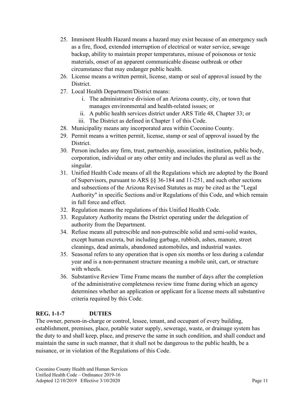- 25. Imminent Health Hazard means a hazard may exist because of an emergency such as a fire, flood, extended interruption of electrical or water service, sewage backup, ability to maintain proper temperatures, misuse of poisonous or toxic materials, onset of an apparent communicable disease outbreak or other circumstance that may endanger public health.
- 26. License means a written permit, license, stamp or seal of approval issued by the District.
- 27. Local Health Department/District means:
	- i. The administrative division of an Arizona county, city, or town that manages environmental and health-related issues; or
	- ii. A public health services district under ARS Title 48, Chapter 33; or
	- iii. The District as defined in Chapter 1 of this Code.
- 28. Municipality means any incorporated area within Coconino County.
- 29. Permit means a written permit, license, stamp or seal of approval issued by the District.
- 30. Person includes any firm, trust, partnership, association, institution, public body, corporation, individual or any other entity and includes the plural as well as the singular.
- 31. Unified Health Code means of all the Regulations which are adopted by the Board of Supervisors, pursuant to ARS §§ 36-184 and 11-251, and such other sections and subsections of the Arizona Revised Statutes as may be cited as the "Legal Authority" in specific Sections and/or Regulations of this Code, and which remain in full force and effect.
- 32. Regulation means the regulations of this Unified Health Code.
- 33. Regulatory Authority means the District operating under the delegation of authority from the Department.
- 34. Refuse means all putrescible and non-putrescible solid and semi-solid wastes, except human excreta, but including garbage, rubbish, ashes, manure, street cleanings, dead animals, abandoned automobiles, and industrial wastes.
- 35. Seasonal refers to any operation that is open six months or less during a calendar year and is a non-permanent structure meaning a mobile unit, cart, or structure with wheels.
- 36. Substantive Review Time Frame means the number of days after the completion of the administrative completeness review time frame during which an agency determines whether an application or applicant for a license meets all substantive criteria required by this Code.

# **REG. 1-1-7 DUTIES**

The owner, person-in-charge or control, lessee, tenant, and occupant of every building, establishment, premises, place, potable water supply, sewerage, waste, or drainage system has the duty to and shall keep, place, and preserve the same in such condition, and shall conduct and maintain the same in such manner, that it shall not be dangerous to the public health, be a nuisance, or in violation of the Regulations of this Code.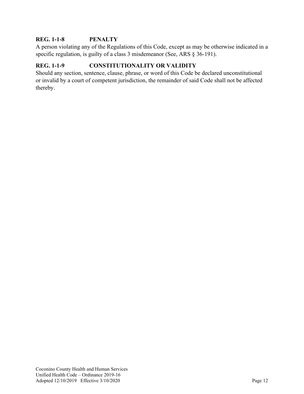#### **REG. 1-1-8 PENALTY**

A person violating any of the Regulations of this Code, except as may be otherwise indicated in a specific regulation, is guilty of a class 3 misdemeanor (See, ARS § 36-191).

# **REG. 1-1-9 CONSTITUTIONALITY OR VALIDITY**

Should any section, sentence, clause, phrase, or word of this Code be declared unconstitutional or invalid by a court of competent jurisdiction, the remainder of said Code shall not be affected thereby.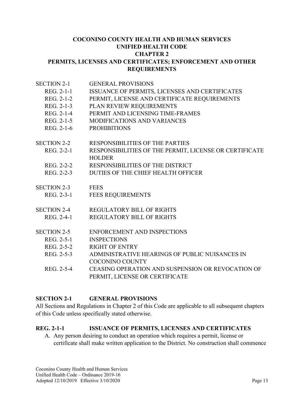#### **COCONINO COUNTY HEALTH AND HUMAN SERVICES UNIFIED HEALTH CODE CHAPTER 2 PERMITS, LICENSES AND CERTIFICATES; ENFORCEMENT AND OTHER REQUIREMENTS**

| <b>SECTION 2-1</b> | <b>GENERAL PROVISIONS</b>                                                           |
|--------------------|-------------------------------------------------------------------------------------|
| REG. 2-1-1         | ISSUANCE OF PERMITS, LICENSES AND CERTIFICATES                                      |
| REG. 2-1-2         | PERMIT, LICENSE AND CERTIFICATE REQUIREMENTS                                        |
| REG. 2-1-3         | PLAN REVIEW REQUIREMENTS                                                            |
| REG. 2-1-4         | PERMIT AND LICENSING TIME-FRAMES                                                    |
| REG. 2-1-5         | <b>MODIFICATIONS AND VARIANCES</b>                                                  |
| REG. 2-1-6         | <b>PROHIBITIONS</b>                                                                 |
| <b>SECTION 2-2</b> | <b>RESPONSIBILITIES OF THE PARTIES</b>                                              |
| REG. 2-2-1         | RESPONSIBILITIES OF THE PERMIT, LICENSE OR CERTIFICATE<br><b>HOLDER</b>             |
| REG. 2-2-2         | RESPONSIBILITIES OF THE DISTRICT                                                    |
| REG. 2-2-3         | DUTIES OF THE CHIEF HEALTH OFFICER                                                  |
| <b>SECTION 2-3</b> | <b>FEES</b>                                                                         |
| REG. 2-3-1         | <b>FEES REQUIREMENTS</b>                                                            |
| <b>SECTION 2-4</b> | <b>REGULATORY BILL OF RIGHTS</b>                                                    |
| REG. 2-4-1         | <b>REGULATORY BILL OF RIGHTS</b>                                                    |
| <b>SECTION 2-5</b> | <b>ENFORCEMENT AND INSPECTIONS</b>                                                  |
| REG. 2-5-1         | <b>INSPECTIONS</b>                                                                  |
| REG. 2-5-2         | <b>RIGHT OF ENTRY</b>                                                               |
| REG. 2-5-3         | ADMINISTRATIVE HEARINGS OF PUBLIC NUISANCES IN                                      |
|                    | <b>COCONINO COUNTY</b>                                                              |
|                    |                                                                                     |
| REG. 2-5-4         | CEASING OPERATION AND SUSPENSION OR REVOCATION OF<br>PERMIT, LICENSE OR CERTIFICATE |

#### **SECTION 2-1 GENERAL PROVISIONS**

All Sections and Regulations in Chapter 2 of this Code are applicable to all subsequent chapters of this Code unless specifically stated otherwise.

#### **REG. 2-1-1 ISSUANCE OF PERMITS, LICENSES AND CERTIFICATES**

A. Any person desiring to conduct an operation which requires a permit, license or certificate shall make written application to the District. No construction shall commence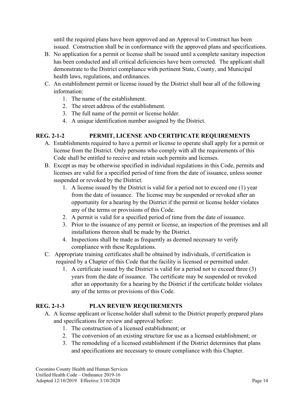until the required plans have been approved and an Approval to Construct has been issued. Construction shall be in conformance with the approved plans and specifications.

- B. No application for a permit or license shall be issued until a complete sanitary inspection has been conducted and all critical deficiencies have been corrected. The applicant shall demonstrate to the District compliance with pertinent State, County, and Municipal health laws, regulations, and ordinances.
- C. An establishment permit or license issued by the District shall bear all of the following information:
	- 1. The name of the establishment.
	- 2. The street address of the establishment.
	- 3. The full name of the permit or license holder.
	- 4. A unique identification number assigned by the District.

#### **REG. 2-1-2 PERMIT, LICENSE AND CERTIFICATE REQUIREMENTS**

- A. Establishments required to have a permit or license to operate shall apply for a permit or license from the District. Only persons who comply with all the requirements of this Code shall be entitled to receive and retain such permits and licenses.
- B. Except as may be otherwise specified in individual regulations in this Code, permits and licenses are valid for a specified period of time from the date of issuance, unless sooner suspended or revoked by the District.
	- 1. A license issued by the District is valid for a period not to exceed one (1) year from the date of issuance. The license may be suspended or revoked after an opportunity for a hearing by the District if the permit or license holder violates any of the terms or provisions of this Code.
	- 2. A permit is valid for a specified period of time from the date of issuance.
	- 3. Prior to the issuance of any permit or license, an inspection of the premises and all installations thereon shall be made by the District.
	- 4. Inspections shall be made as frequently as deemed necessary to verify compliance with these Regulations.
- C. Appropriate training certificates shall be obtained by individuals, if certification is required by a Chapter of this Code that the facility is licensed or permitted under.
	- 1. A certificate issued by the District is valid for a period not to exceed three (3) years from the date of issuance. The certificate may be suspended or revoked after an opportunity for a hearing by the District if the certificate holder violates any of the terms or provisions of this Code.

#### **REG. 2-1-3 PLAN REVIEW REQUIREMENTS**

- A. A license applicant or license holder shall submit to the District properly prepared plans and specifications for review and approval before:
	- 1. The construction of a licensed establishment; or
	- 2. The conversion of an existing structure for use as a licensed establishment; or
	- 3. The remodeling of a licensed establishment if the District determines that plans and specifications are necessary to ensure compliance with this Chapter.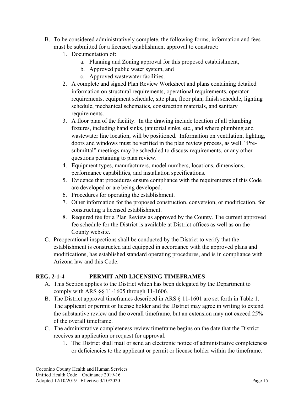- B. To be considered administratively complete, the following forms, information and fees must be submitted for a licensed establishment approval to construct:
	- 1. Documentation of:
		- a. Planning and Zoning approval for this proposed establishment,
		- b. Approved public water system, and
		- c. Approved wastewater facilities.
	- 2. A complete and signed Plan Review Worksheet and plans containing detailed information on structural requirements, operational requirements, operator requirements, equipment schedule, site plan, floor plan, finish schedule, lighting schedule, mechanical schematics, construction materials, and sanitary requirements.
	- 3. A floor plan of the facility. In the drawing include location of all plumbing fixtures, including hand sinks, janitorial sinks, etc., and where plumbing and wastewater line location, will be positioned. Information on ventilation, lighting, doors and windows must be verified in the plan review process, as well. "Presubmittal" meetings may be scheduled to discuss requirements, or any other questions pertaining to plan review.
	- 4. Equipment types, manufacturers, model numbers, locations, dimensions, performance capabilities, and installation specifications.
	- 5. Evidence that procedures ensure compliance with the requirements of this Code are developed or are being developed.
	- 6. Procedures for operating the establishment.
	- 7. Other information for the proposed construction, conversion, or modification, for constructing a licensed establishment.
	- 8. Required fee for a Plan Review as approved by the County. The current approved fee schedule for the District is available at District offices as well as on the County website.
- C. Preoperational inspections shall be conducted by the District to verify that the establishment is constructed and equipped in accordance with the approved plans and modifications, has established standard operating procedures, and is in compliance with Arizona law and this Code.

#### **REG. 2-1-4 PERMIT AND LICENSING TIMEFRAMES**

- A. This Section applies to the District which has been delegated by the Department to comply with ARS §§ 11-1605 through 11-1606.
- B. The District approval timeframes described in ARS § 11-1601 are set forth in Table 1. The applicant or permit or license holder and the District may agree in writing to extend the substantive review and the overall timeframe, but an extension may not exceed 25% of the overall timeframe.
- C. The administrative completeness review timeframe begins on the date that the District receives an application or request for approval.
	- 1. The District shall mail or send an electronic notice of administrative completeness or deficiencies to the applicant or permit or license holder within the timeframe.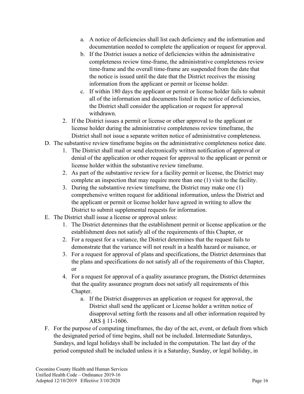- a. A notice of deficiencies shall list each deficiency and the information and documentation needed to complete the application or request for approval.
- b. If the District issues a notice of deficiencies within the administrative completeness review time-frame, the administrative completeness review time-frame and the overall time-frame are suspended from the date that the notice is issued until the date that the District receives the missing information from the applicant or permit or license holder.
- c. If within 180 days the applicant or permit or license holder fails to submit all of the information and documents listed in the notice of deficiencies, the District shall consider the application or request for approval withdrawn.
- 2. If the District issues a permit or license or other approval to the applicant or license holder during the administrative completeness review timeframe, the District shall not issue a separate written notice of administrative completeness.
- D. The substantive review timeframe begins on the administrative completeness notice date.
	- 1. The District shall mail or send electronically written notification of approval or denial of the application or other request for approval to the applicant or permit or license holder within the substantive review timeframe.
	- 2. As part of the substantive review for a facility permit or license, the District may complete an inspection that may require more than one (1) visit to the facility.
	- 3. During the substantive review timeframe, the District may make one (1) comprehensive written request for additional information, unless the District and the applicant or permit or license holder have agreed in writing to allow the District to submit supplemental requests for information.
- E. The District shall issue a license or approval unless:
	- 1. The District determines that the establishment permit or license application or the establishment does not satisfy all of the requirements of this Chapter, or
	- 2. For a request for a variance, the District determines that the request fails to demonstrate that the variance will not result in a health hazard or nuisance, or
	- 3. For a request for approval of plans and specifications, the District determines that the plans and specifications do not satisfy all of the requirements of this Chapter, or
	- 4. For a request for approval of a quality assurance program, the District determines that the quality assurance program does not satisfy all requirements of this Chapter.
		- a. If the District disapproves an application or request for approval, the District shall send the applicant or License holder a written notice of disapproval setting forth the reasons and all other information required by ARS § 11-1606.
- F. For the purpose of computing timeframes, the day of the act, event, or default from which the designated period of time begins, shall not be included. Intermediate Saturdays, Sundays, and legal holidays shall be included in the computation. The last day of the period computed shall be included unless it is a Saturday, Sunday, or legal holiday, in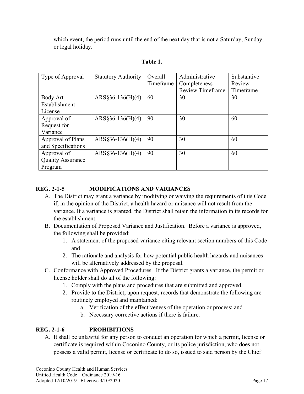which event, the period runs until the end of the next day that is not a Saturday, Sunday, or legal holiday.

| Type of Approval         | <b>Statutory Authority</b> | Overall   | Administrative          | Substantive |
|--------------------------|----------------------------|-----------|-------------------------|-------------|
|                          |                            | Timeframe | Completeness            | Review      |
|                          |                            |           | <b>Review Timeframe</b> | Timeframe   |
| Body Art                 | $ARS§36-136(H)(4)$         | 60        | 30                      | 30          |
| Establishment            |                            |           |                         |             |
| License                  |                            |           |                         |             |
| Approval of              | $ARS§36-136(H)(4)$         | 90        | 30                      | 60          |
| Request for              |                            |           |                         |             |
| Variance                 |                            |           |                         |             |
| Approval of Plans        | $ARS§36-136(H)(4)$         | 90        | 30                      | 60          |
| and Specifications       |                            |           |                         |             |
| Approval of              | $ARS§36-136(H)(4)$         | 90        | 30                      | 60          |
| <b>Quality Assurance</b> |                            |           |                         |             |
| Program                  |                            |           |                         |             |

# **Table 1.**

# **REG. 2-1-5 MODIFICATIONS AND VARIANCES**

- A. The District may grant a variance by modifying or waiving the requirements of this Code if, in the opinion of the District, a health hazard or nuisance will not result from the variance. If a variance is granted, the District shall retain the information in its records for the establishment.
- B. Documentation of Proposed Variance and Justification. Before a variance is approved, the following shall be provided:
	- 1. A statement of the proposed variance citing relevant section numbers of this Code and
	- 2. The rationale and analysis for how potential public health hazards and nuisances will be alternatively addressed by the proposal.
- C. Conformance with Approved Procedures. If the District grants a variance, the permit or license holder shall do all of the following:
	- 1. Comply with the plans and procedures that are submitted and approved.
	- 2. Provide to the District, upon request, records that demonstrate the following are routinely employed and maintained:
		- a. Verification of the effectiveness of the operation or process; and
		- b. Necessary corrective actions if there is failure.

# **REG. 2-1-6 PROHIBITIONS**

A. It shall be unlawful for any person to conduct an operation for which a permit, license or certificate is required within Coconino County, or its police jurisdiction, who does not possess a valid permit, license or certificate to do so, issued to said person by the Chief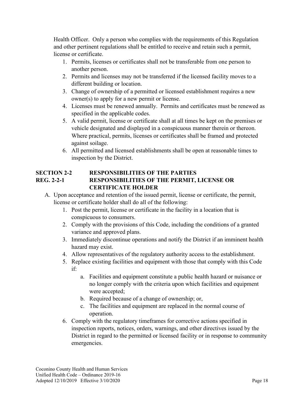Health Officer. Only a person who complies with the requirements of this Regulation and other pertinent regulations shall be entitled to receive and retain such a permit, license or certificate.

- 1. Permits, licenses or certificates shall not be transferable from one person to another person.
- 2. Permits and licenses may not be transferred if the licensed facility moves to a different building or location.
- 3. Change of ownership of a permitted or licensed establishment requires a new owner(s) to apply for a new permit or license.
- 4. Licenses must be renewed annually. Permits and certificates must be renewed as specified in the applicable codes.
- 5. A valid permit, license or certificate shall at all times be kept on the premises or vehicle designated and displayed in a conspicuous manner therein or thereon. Where practical, permits, licenses or certificates shall be framed and protected against soilage.
- 6. All permitted and licensed establishments shall be open at reasonable times to inspection by the District.

#### **SECTION 2-2 RESPONSIBILITIES OF THE PARTIES REG. 2-2-1 RESPONSIBILITIES OF THE PERMIT, LICENSE OR CERTIFICATE HOLDER**

- A. Upon acceptance and retention of the issued permit, license or certificate, the permit, license or certificate holder shall do all of the following:
	- 1. Post the permit, license or certificate in the facility in a location that is conspicuous to consumers.
	- 2. Comply with the provisions of this Code, including the conditions of a granted variance and approved plans.
	- 3. Immediately discontinue operations and notify the District if an imminent health hazard may exist.
	- 4. Allow representatives of the regulatory authority access to the establishment.
	- 5. Replace existing facilities and equipment with those that comply with this Code if:
		- a. Facilities and equipment constitute a public health hazard or nuisance or no longer comply with the criteria upon which facilities and equipment were accepted;
		- b. Required because of a change of ownership; or,
		- c. The facilities and equipment are replaced in the normal course of operation.
	- 6. Comply with the regulatory timeframes for corrective actions specified in inspection reports, notices, orders, warnings, and other directives issued by the District in regard to the permitted or licensed facility or in response to community emergencies.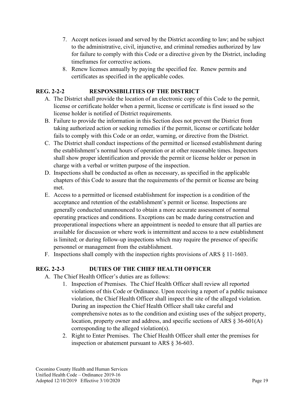- 7. Accept notices issued and served by the District according to law; and be subject to the administrative, civil, injunctive, and criminal remedies authorized by law for failure to comply with this Code or a directive given by the District, including timeframes for corrective actions.
- 8. Renew licenses annually by paying the specified fee. Renew permits and certificates as specified in the applicable codes.

# **REG. 2-2-2 RESPONSIBILITIES OF THE DISTRICT**

- A. The District shall provide the location of an electronic copy of this Code to the permit, license or certificate holder when a permit, license or certificate is first issued so the license holder is notified of District requirements.
- B. Failure to provide the information in this Section does not prevent the District from taking authorized action or seeking remedies if the permit, license or certificate holder fails to comply with this Code or an order, warning, or directive from the District.
- C. The District shall conduct inspections of the permitted or licensed establishment during the establishment's normal hours of operation or at other reasonable times. Inspectors shall show proper identification and provide the permit or license holder or person in charge with a verbal or written purpose of the inspection.
- D. Inspections shall be conducted as often as necessary, as specified in the applicable chapters of this Code to assure that the requirements of the permit or license are being met.
- E. Access to a permitted or licensed establishment for inspection is a condition of the acceptance and retention of the establishment's permit or license. Inspections are generally conducted unannounced to obtain a more accurate assessment of normal operating practices and conditions. Exceptions can be made during construction and preoperational inspections where an appointment is needed to ensure that all parties are available for discussion or where work is intermittent and access to a new establishment is limited; or during follow-up inspections which may require the presence of specific personnel or management from the establishment.
- F. Inspections shall comply with the inspection rights provisions of ARS § 11-1603.

#### **REG. 2-2-3 DUTIES OF THE CHIEF HEALTH OFFICER**

- A. The Chief Health Officer's duties are as follows:
	- 1. Inspection of Premises. The Chief Health Officer shall review all reported violations of this Code or Ordinance. Upon receiving a report of a public nuisance violation, the Chief Health Officer shall inspect the site of the alleged violation. During an inspection the Chief Health Officer shall take careful and comprehensive notes as to the condition and existing uses of the subject property, location, property owner and address, and specific sections of ARS § 36-601(A) corresponding to the alleged violation(s).
	- 2. Right to Enter Premises. The Chief Health Officer shall enter the premises for inspection or abatement pursuant to ARS § 36-603.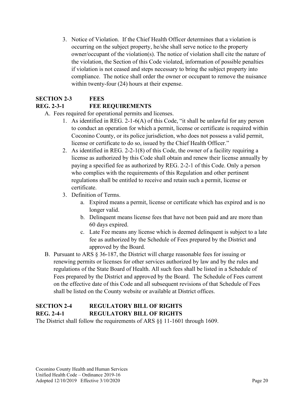3. Notice of Violation. If the Chief Health Officer determines that a violation is occurring on the subject property, he/she shall serve notice to the property owner/occupant of the violation(s). The notice of violation shall cite the nature of the violation, the Section of this Code violated, information of possible penalties if violation is not ceased and steps necessary to bring the subject property into compliance. The notice shall order the owner or occupant to remove the nuisance within twenty-four (24) hours at their expense.

# **SECTION 2-3 FEES**

# **REG. 2-3-1 FEE REQUIREMENTS**

- A. Fees required for operational permits and licenses.
	- 1. As identified in REG. 2-1-6(A) of this Code, "it shall be unlawful for any person to conduct an operation for which a permit, license or certificate is required within Coconino County, or its police jurisdiction, who does not possess a valid permit, license or certificate to do so, issued by the Chief Health Officer."
	- 2. As identified in REG. 2-2-1(8) of this Code, the owner of a facility requiring a license as authorized by this Code shall obtain and renew their license annually by paying a specified fee as authorized by REG. 2-2-1 of this Code. Only a person who complies with the requirements of this Regulation and other pertinent regulations shall be entitled to receive and retain such a permit, license or certificate.
	- 3. Definition of Terms.
		- a. Expired means a permit, license or certificate which has expired and is no longer valid.
		- b. Delinquent means license fees that have not been paid and are more than 60 days expired.
		- c. Late Fee means any license which is deemed delinquent is subject to a late fee as authorized by the Schedule of Fees prepared by the District and approved by the Board.
- B. Pursuant to ARS § 36-187, the District will charge reasonable fees for issuing or renewing permits or licenses for other services authorized by law and by the rules and regulations of the State Board of Health. All such fees shall be listed in a Schedule of Fees prepared by the District and approved by the Board. The Schedule of Fees current on the effective date of this Code and all subsequent revisions of that Schedule of Fees shall be listed on the County website or available at District offices.

# **SECTION 2-4 REGULATORY BILL OF RIGHTS REG. 2-4-1 REGULATORY BILL OF RIGHTS**

The District shall follow the requirements of ARS  $\S$ § 11-1601 through 1609.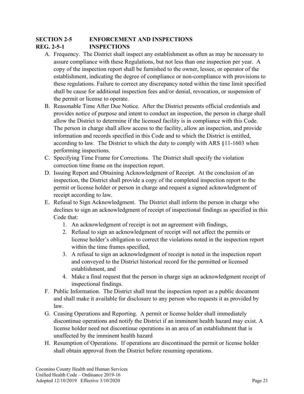### **SECTION 2-5 ENFORCEMENT AND INSPECTIONS REG. 2-5-1 INSPECTIONS**

- A. Frequency. The District shall inspect any establishment as often as may be necessary to assure compliance with these Regulations, but not less than one inspection per year. A copy of the inspection report shall be furnished to the owner, lessee, or operator of the establishment, indicating the degree of compliance or non-compliance with provisions to these regulations. Failure to correct any discrepancy noted within the time limit specified shall be cause for additional inspection fees and/or denial, revocation, or suspension of the permit or license to operate.
- B. Reasonable Time After Due Notice. After the District presents official credentials and provides notice of purpose and intent to conduct an inspection, the person in charge shall allow the District to determine if the licensed facility is in compliance with this Code. The person in charge shall allow access to the facility, allow an inspection, and provide information and records specified in this Code and to which the District is entitled, according to law. The District to which the duty to comply with ARS §11-1603 when performing inspections.
- C. Specifying Time Frame for Corrections. The District shall specify the violation correction time frame on the inspection report.
- D. Issuing Report and Obtaining Acknowledgment of Receipt. At the conclusion of an inspection, the District shall provide a copy of the completed inspection report to the permit or license holder or person in charge and request a signed acknowledgment of receipt according to law.
- E. Refusal to Sign Acknowledgment. The District shall inform the person in charge who declines to sign an acknowledgment of receipt of inspectional findings as specified in this Code that:
	- 1. An acknowledgment of receipt is not an agreement with findings,
	- 2. Refusal to sign an acknowledgment of receipt will not affect the permits or license holder's obligation to correct the violations noted in the inspection report within the time frames specified,
	- 3. A refusal to sign an acknowledgment of receipt is noted in the inspection report and conveyed to the District historical record for the permitted or licensed establishment, and
	- 4. Make a final request that the person in charge sign an acknowledgment receipt of inspectional findings.
- F. Public Information. The District shall treat the inspection report as a public document and shall make it available for disclosure to any person who requests it as provided by law.
- G. Ceasing Operations and Reporting. A permit or license holder shall immediately discontinue operations and notify the District if an imminent health hazard may exist. A license holder need not discontinue operations in an area of an establishment that is unaffected by the imminent health hazard
- H. Resumption of Operations. If operations are discontinued the permit or license holder shall obtain approval from the District before resuming operations.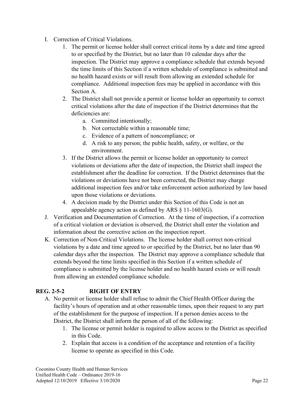- I. Correction of Critical Violations.
	- 1. The permit or license holder shall correct critical items by a date and time agreed to or specified by the District, but no later than 10 calendar days after the inspection. The District may approve a compliance schedule that extends beyond the time limits of this Section if a written schedule of compliance is submitted and no health hazard exists or will result from allowing an extended schedule for compliance. Additional inspection fees may be applied in accordance with this Section A.
	- 2. The District shall not provide a permit or license holder an opportunity to correct critical violations after the date of inspection if the District determines that the deficiencies are:
		- a. Committed intentionally;
		- b. Not correctable within a reasonable time;
		- c. Evidence of a pattern of noncompliance; or
		- d. A risk to any person; the public health, safety, or welfare, or the environment.
	- 3. If the District allows the permit or license holder an opportunity to correct violations or deviations after the date of inspection, the District shall inspect the establishment after the deadline for correction. If the District determines that the violations or deviations have not been corrected, the District may charge additional inspection fees and/or take enforcement action authorized by law based upon those violations or deviations.
	- 4. A decision made by the District under this Section of this Code is not an appealable agency action as defined by ARS  $\S$  11-1603(G).
- J. Verification and Documentation of Correction. At the time of inspection, if a correction of a critical violation or deviation is observed, the District shall enter the violation and information about the corrective action on the inspection report.
- K. Correction of Non-Critical Violations. The license holder shall correct non-critical violations by a date and time agreed to or specified by the District, but no later than 90 calendar days after the inspection. The District may approve a compliance schedule that extends beyond the time limits specified in this Section if a written schedule of compliance is submitted by the license holder and no health hazard exists or will result from allowing an extended compliance schedule.

#### **REG. 2-5-2 RIGHT OF ENTRY**

- A. No permit or license holder shall refuse to admit the Chief Health Officer during the facility's hours of operation and at other reasonable times, upon their request to any part of the establishment for the purpose of inspection. If a person denies access to the District, the District shall inform the person of all of the following:
	- 1. The license or permit holder is required to allow access to the District as specified in this Code.
	- 2. Explain that access is a condition of the acceptance and retention of a facility license to operate as specified in this Code.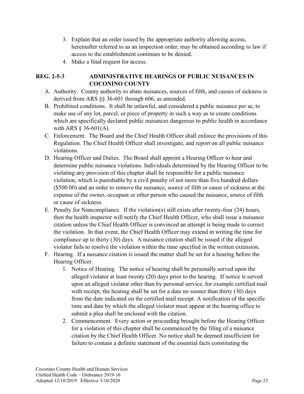- 3. Explain that an order issued by the appropriate authority allowing access, hereinafter referred to as an inspection order, may be obtained according to law if access to the establishment continues to be denied.
- 4. Make a final request for access.

#### **REG. 2-5-3 ADMINISTRATIVE HEARINGS OF PUBLIC NUISANCES IN COCONINO COUNTY**

- A. Authority. County authority to abate nuisances, sources of filth, and causes of sickness is derived from ARS §§ 36-601 through 606, as amended.
- B. Prohibited conditions. It shall be unlawful, and considered a public nuisance per se, to make use of any lot, parcel, or piece of property in such a way as to create conditions which are specifically declared public nuisances dangerous to public health in accordance with ARS  $\S$  36-601(A).
- C. Enforcement. The Board and the Chief Health Officer shall enforce the provisions of this Regulation. The Chief Health Officer shall investigate, and report on all public nuisance violations.
- D. Hearing Officer and Duties. The Board shall appoint a Hearing Officer to hear and determine public nuisance violations. Individuals determined by the Hearing Officer to be violating any provision of this chapter shall be responsible for a public nuisance violation, which is punishable by a civil penalty of not more than five hundred dollars (\$500.00) and an order to remove the nuisance, source of filth or cause of sickness at the expense of the owner, occupant or other person who caused the nuisance, source of filth or cause of sickness.
- E. Penalty for Noncompliance. If the violation(s) still exists after twenty-four (24) hours, then the health inspector will notify the Chief Health Officer, who shall issue a nuisance citation unless the Chief Health Officer is convinced an attempt is being made to correct the violation. In that event, the Chief Health Officer may extend in writing the time for compliance up to thirty (30) days. A nuisance citation shall be issued if the alleged violator fails to resolve the violation within the time specified in the written extension.
- F. Hearing. If a nuisance citation is issued the matter shall be set for a hearing before the Hearing Officer.
	- 1. Notice of Hearing. The notice of hearing shall be personally served upon the alleged violator at least twenty (20) days prior to the hearing. If notice is served upon an alleged violator other than by personal service, for example certified mail with receipt, the hearing shall be set for a date no sooner than thirty (30) days from the date indicated on the certified mail receipt. A notification of the specific time and date by which the alleged violator must appear at the hearing office to submit a plea shall be enclosed with the citation.
	- 2. Commencement. Every action or proceeding brought before the Hearing Officer for a violation of this chapter shall be commenced by the filing of a nuisance citation by the Chief Health Officer. No notice shall be deemed insufficient for failure to contain a definite statement of the essential facts constituting the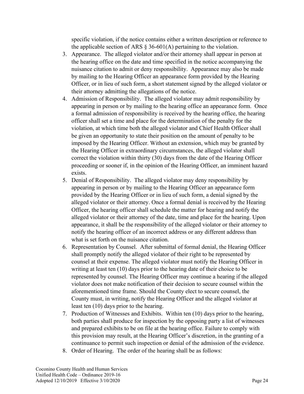specific violation, if the notice contains either a written description or reference to the applicable section of ARS  $\S$  36-601(A) pertaining to the violation.

- 3. Appearance. The alleged violator and/or their attorney shall appear in person at the hearing office on the date and time specified in the notice accompanying the nuisance citation to admit or deny responsibility. Appearance may also be made by mailing to the Hearing Officer an appearance form provided by the Hearing Officer, or in lieu of such form, a short statement signed by the alleged violator or their attorney admitting the allegations of the notice.
- 4. Admission of Responsibility. The alleged violator may admit responsibility by appearing in person or by mailing to the hearing office an appearance form. Once a formal admission of responsibility is received by the hearing office, the hearing officer shall set a time and place for the determination of the penalty for the violation, at which time both the alleged violator and Chief Health Officer shall be given an opportunity to state their position on the amount of penalty to be imposed by the Hearing Officer. Without an extension, which may be granted by the Hearing Officer in extraordinary circumstances, the alleged violator shall correct the violation within thirty (30) days from the date of the Hearing Officer proceeding or sooner if, in the opinion of the Hearing Officer, an imminent hazard exists.
- 5. Denial of Responsibility. The alleged violator may deny responsibility by appearing in person or by mailing to the Hearing Officer an appearance form provided by the Hearing Officer or in lieu of such form, a denial signed by the alleged violator or their attorney. Once a formal denial is received by the Hearing Officer, the hearing officer shall schedule the matter for hearing and notify the alleged violator or their attorney of the date, time and place for the hearing. Upon appearance, it shall be the responsibility of the alleged violator or their attorney to notify the hearing officer of an incorrect address or any different address than what is set forth on the nuisance citation.
- 6. Representation by Counsel. After submittal of formal denial, the Hearing Officer shall promptly notify the alleged violator of their right to be represented by counsel at their expense. The alleged violator must notify the Hearing Officer in writing at least ten (10) days prior to the hearing date of their choice to be represented by counsel. The Hearing Officer may continue a hearing if the alleged violator does not make notification of their decision to secure counsel within the aforementioned time frame. Should the County elect to secure counsel, the County must, in writing, notify the Hearing Officer and the alleged violator at least ten (10) days prior to the hearing.
- 7. Production of Witnesses and Exhibits. Within ten (10) days prior to the hearing, both parties shall produce for inspection by the opposing party a list of witnesses and prepared exhibits to be on file at the hearing office. Failure to comply with this provision may result, at the Hearing Officer's discretion, in the granting of a continuance to permit such inspection or denial of the admission of the evidence.
- 8. Order of Hearing. The order of the hearing shall be as follows: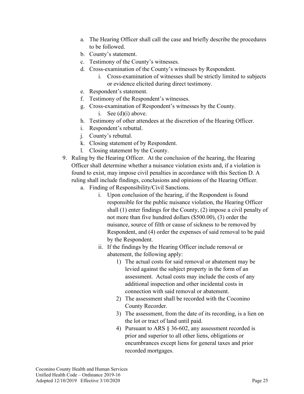- a. The Hearing Officer shall call the case and briefly describe the procedures to be followed.
- b. County's statement.
- c. Testimony of the County's witnesses.
- d. Cross-examination of the County's witnesses by Respondent.
	- i. Cross-examination of witnesses shall be strictly limited to subjects or evidence elicited during direct testimony.
- e. Respondent's statement.
- f. Testimony of the Respondent's witnesses.
- g. Cross-examination of Respondent's witnesses by the County.
	- i. See (d)(i) above.
- h. Testimony of other attendees at the discretion of the Hearing Officer.
- i. Respondent's rebuttal.
- j. County's rebuttal.
- k. Closing statement of by Respondent.
- l. Closing statement by the County.
- 9. Ruling by the Hearing Officer. At the conclusion of the hearing, the Hearing Officer shall determine whether a nuisance violation exists and, if a violation is found to exist, may impose civil penalties in accordance with this Section D. A ruling shall include findings, conclusions and opinions of the Hearing Officer.
	- a. Finding of Responsibility/Civil Sanctions.
		- i. Upon conclusion of the hearing, if the Respondent is found responsible for the public nuisance violation, the Hearing Officer shall (1) enter findings for the County, (2) impose a civil penalty of not more than five hundred dollars (\$500.00), (3) order the nuisance, source of filth or cause of sickness to be removed by Respondent, and (4) order the expenses of said removal to be paid by the Respondent.
		- ii. If the findings by the Hearing Officer include removal or abatement, the following apply:
			- 1) The actual costs for said removal or abatement may be levied against the subject property in the form of an assessment. Actual costs may include the costs of any additional inspection and other incidental costs in connection with said removal or abatement.
			- 2) The assessment shall be recorded with the Coconino County Recorder.
			- 3) The assessment, from the date of its recording, is a lien on the lot or tract of land until paid.
			- 4) Pursuant to ARS § 36-602, any assessment recorded is prior and superior to all other liens, obligations or encumbrances except liens for general taxes and prior recorded mortgages.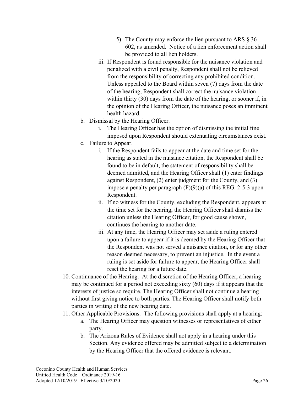- 5) The County may enforce the lien pursuant to ARS § 36- 602, as amended. Notice of a lien enforcement action shall be provided to all lien holders.
- iii. If Respondent is found responsible for the nuisance violation and penalized with a civil penalty, Respondent shall not be relieved from the responsibility of correcting any prohibited condition. Unless appealed to the Board within seven (7) days from the date of the hearing, Respondent shall correct the nuisance violation within thirty (30) days from the date of the hearing, or sooner if, in the opinion of the Hearing Officer, the nuisance poses an imminent health hazard.
- b. Dismissal by the Hearing Officer.
	- i. The Hearing Officer has the option of dismissing the initial fine imposed upon Respondent should extenuating circumstances exist.
- c. Failure to Appear.
	- i. If the Respondent fails to appear at the date and time set for the hearing as stated in the nuisance citation, the Respondent shall be found to be in default, the statement of responsibility shall be deemed admitted, and the Hearing Officer shall (1) enter findings against Respondent, (2) enter judgment for the County, and (3) impose a penalty per paragraph (F)(9)(a) of this REG. 2-5-3 upon Respondent.
	- ii. If no witness for the County, excluding the Respondent, appears at the time set for the hearing, the Hearing Officer shall dismiss the citation unless the Hearing Officer, for good cause shown, continues the hearing to another date.
	- iii. At any time, the Hearing Officer may set aside a ruling entered upon a failure to appear if it is deemed by the Hearing Officer that the Respondent was not served a nuisance citation, or for any other reason deemed necessary, to prevent an injustice. In the event a ruling is set aside for failure to appear, the Hearing Officer shall reset the hearing for a future date.
- 10. Continuance of the Hearing. At the discretion of the Hearing Officer, a hearing may be continued for a period not exceeding sixty (60) days if it appears that the interests of justice so require. The Hearing Officer shall not continue a hearing without first giving notice to both parties. The Hearing Officer shall notify both parties in writing of the new hearing date.
- 11. Other Applicable Provisions. The following provisions shall apply at a hearing:
	- a. The Hearing Officer may question witnesses or representatives of either party.
	- b. The Arizona Rules of Evidence shall not apply in a hearing under this Section. Any evidence offered may be admitted subject to a determination by the Hearing Officer that the offered evidence is relevant.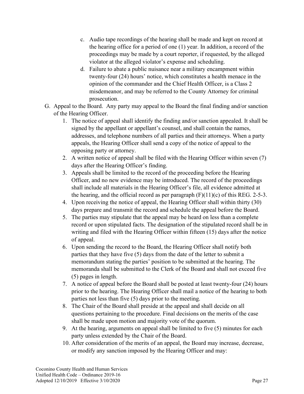- c. Audio tape recordings of the hearing shall be made and kept on record at the hearing office for a period of one (1) year. In addition, a record of the proceedings may be made by a court reporter, if requested, by the alleged violator at the alleged violator's expense and scheduling.
- d. Failure to abate a public nuisance near a military encampment within twenty-four (24) hours' notice, which constitutes a health menace in the opinion of the commander and the Chief Health Officer, is a Class 2 misdemeanor, and may be referred to the County Attorney for criminal prosecution.
- G. Appeal to the Board. Any party may appeal to the Board the final finding and/or sanction of the Hearing Officer.
	- 1. The notice of appeal shall identify the finding and/or sanction appealed. It shall be signed by the appellant or appellant's counsel, and shall contain the names, addresses, and telephone numbers of all parties and their attorneys. When a party appeals, the Hearing Officer shall send a copy of the notice of appeal to the opposing party or attorney.
	- 2. A written notice of appeal shall be filed with the Hearing Officer within seven (7) days after the Hearing Officer's finding.
	- 3. Appeals shall be limited to the record of the proceeding before the Hearing Officer, and no new evidence may be introduced. The record of the proceedings shall include all materials in the Hearing Officer's file, all evidence admitted at the hearing, and the official record as per paragraph  $(F)(11)(c)$  of this REG. 2-5-3.
	- 4. Upon receiving the notice of appeal, the Hearing Officer shall within thirty (30) days prepare and transmit the record and schedule the appeal before the Board.
	- 5. The parties may stipulate that the appeal may be heard on less than a complete record or upon stipulated facts. The designation of the stipulated record shall be in writing and filed with the Hearing Officer within fifteen (15) days after the notice of appeal.
	- 6. Upon sending the record to the Board, the Hearing Officer shall notify both parties that they have five (5) days from the date of the letter to submit a memorandum stating the parties' position to be submitted at the hearing. The memoranda shall be submitted to the Clerk of the Board and shall not exceed five (5) pages in length.
	- 7. A notice of appeal before the Board shall be posted at least twenty-four (24) hours prior to the hearing. The Hearing Officer shall mail a notice of the hearing to both parties not less than five (5) days prior to the meeting.
	- 8. The Chair of the Board shall preside at the appeal and shall decide on all questions pertaining to the procedure. Final decisions on the merits of the case shall be made upon motion and majority vote of the quorum.
	- 9. At the hearing, arguments on appeal shall be limited to five (5) minutes for each party unless extended by the Chair of the Board.
	- 10. After consideration of the merits of an appeal, the Board may increase, decrease, or modify any sanction imposed by the Hearing Officer and may: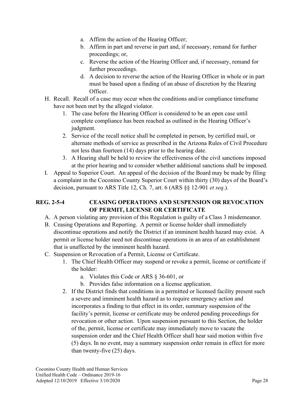- a. Affirm the action of the Hearing Officer;
- b. Affirm in part and reverse in part and, if necessary, remand for further proceedings; or,
- c. Reverse the action of the Hearing Officer and, if necessary, remand for further proceedings.
- d. A decision to reverse the action of the Hearing Officer in whole or in part must be based upon a finding of an abuse of discretion by the Hearing Officer.
- H. Recall. Recall of a case may occur when the conditions and/or compliance timeframe have not been met by the alleged violator.
	- 1. The case before the Hearing Officer is considered to be an open case until complete compliance has been reached as outlined in the Hearing Officer's judgment.
	- 2. Service of the recall notice shall be completed in person, by certified mail, or alternate methods of service as prescribed in the Arizona Rules of Civil Procedure not less than fourteen (14) days prior to the hearing date.
	- 3. A Hearing shall be held to review the effectiveness of the civil sanctions imposed at the prior hearing and to consider whether additional sanctions shall be imposed.
- I. Appeal to Superior Court. An appeal of the decision of the Board may be made by filing a complaint in the Coconino County Superior Court within thirty (30) days of the Board's decision, pursuant to ARS Title 12, Ch. 7, art. 6 (ARS §§ 12-901 *et seq*.).

# **REG. 2-5-4 CEASING OPERATIONS AND SUSPENSION OR REVOCATION OF PERMIT, LICENSE OR CERTIFICATE**

- A. A person violating any provision of this Regulation is guilty of a Class 3 misdemeanor.
- B. Ceasing Operations and Reporting. A permit or license holder shall immediately discontinue operations and notify the District if an imminent health hazard may exist. A permit or license holder need not discontinue operations in an area of an establishment that is unaffected by the imminent health hazard.
- C. Suspension or Revocation of a Permit, License or Certificate.
	- 1. The Chief Health Officer may suspend or revoke a permit, license or certificate if the holder:
		- a. Violates this Code or ARS § 36-601, or
		- b. Provides false information on a license application.
	- 2. If the District finds that conditions in a permitted or licensed facility present such a severe and imminent health hazard as to require emergency action and incorporates a finding to that effect in its order, summary suspension of the facility's permit, license or certificate may be ordered pending proceedings for revocation or other action. Upon suspension pursuant to this Section, the holder of the, permit, license or certificate may immediately move to vacate the suspension order and the Chief Health Officer shall hear said motion within five (5) days. In no event, may a summary suspension order remain in effect for more than twenty-five (25) days.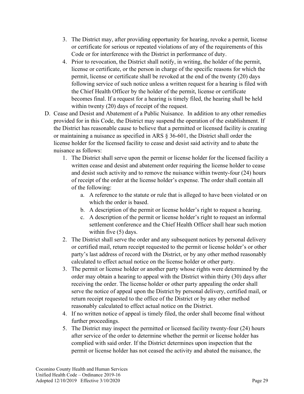- 3. The District may, after providing opportunity for hearing, revoke a permit, license or certificate for serious or repeated violations of any of the requirements of this Code or for interference with the District in performance of duty.
- 4. Prior to revocation, the District shall notify, in writing, the holder of the permit, license or certificate, or the person in charge of the specific reasons for which the permit, license or certificate shall be revoked at the end of the twenty (20) days following service of such notice unless a written request for a hearing is filed with the Chief Health Officer by the holder of the permit, license or certificate becomes final. If a request for a hearing is timely filed, the hearing shall be held within twenty (20) days of receipt of the request.
- D. Cease and Desist and Abatement of a Public Nuisance. In addition to any other remedies provided for in this Code, the District may suspend the operation of the establishment. If the District has reasonable cause to believe that a permitted or licensed facility is creating or maintaining a nuisance as specified in ARS § 36-601, the District shall order the license holder for the licensed facility to cease and desist said activity and to abate the nuisance as follows:
	- 1. The District shall serve upon the permit or license holder for the licensed facility a written cease and desist and abatement order requiring the license holder to cease and desist such activity and to remove the nuisance within twenty-four (24) hours of receipt of the order at the license holder's expense. The order shall contain all of the following:
		- a. A reference to the statute or rule that is alleged to have been violated or on which the order is based.
		- b. A description of the permit or license holder's right to request a hearing.
		- c. A description of the permit or license holder's right to request an informal settlement conference and the Chief Health Officer shall hear such motion within five (5) days.
	- 2. The District shall serve the order and any subsequent notices by personal delivery or certified mail, return receipt requested to the permit or license holder's or other party's last address of record with the District, or by any other method reasonably calculated to effect actual notice on the license holder or other party.
	- 3. The permit or license holder or another party whose rights were determined by the order may obtain a hearing to appeal with the District within thirty (30) days after receiving the order. The license holder or other party appealing the order shall serve the notice of appeal upon the District by personal delivery, certified mail, or return receipt requested to the office of the District or by any other method reasonably calculated to effect actual notice on the District.
	- 4. If no written notice of appeal is timely filed, the order shall become final without further proceedings.
	- 5. The District may inspect the permitted or licensed facility twenty-four (24) hours after service of the order to determine whether the permit or license holder has complied with said order. If the District determines upon inspection that the permit or license holder has not ceased the activity and abated the nuisance, the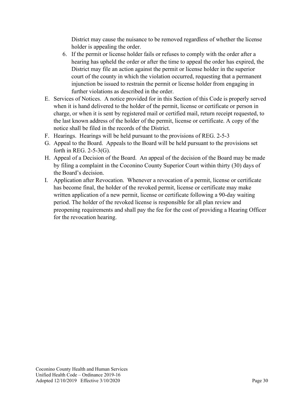District may cause the nuisance to be removed regardless of whether the license holder is appealing the order.

- 6. If the permit or license holder fails or refuses to comply with the order after a hearing has upheld the order or after the time to appeal the order has expired, the District may file an action against the permit or license holder in the superior court of the county in which the violation occurred, requesting that a permanent injunction be issued to restrain the permit or license holder from engaging in further violations as described in the order.
- E. Services of Notices. A notice provided for in this Section of this Code is properly served when it is hand delivered to the holder of the permit, license or certificate or person in charge, or when it is sent by registered mail or certified mail, return receipt requested, to the last known address of the holder of the permit, license or certificate. A copy of the notice shall be filed in the records of the District.
- F. Hearings. Hearings will be held pursuant to the provisions of REG. 2-5-3
- G. Appeal to the Board. Appeals to the Board will be held pursuant to the provisions set forth in REG. 2-5-3(G).
- H. Appeal of a Decision of the Board. An appeal of the decision of the Board may be made by filing a complaint in the Coconino County Superior Court within thirty (30) days of the Board's decision.
- I. Application after Revocation. Whenever a revocation of a permit, license or certificate has become final, the holder of the revoked permit, license or certificate may make written application of a new permit, license or certificate following a 90-day waiting period. The holder of the revoked license is responsible for all plan review and preopening requirements and shall pay the fee for the cost of providing a Hearing Officer for the revocation hearing.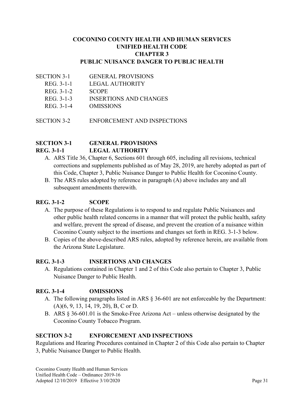#### **COCONINO COUNTY HEALTH AND HUMAN SERVICES UNIFIED HEALTH CODE CHAPTER 3 PUBLIC NUISANCE DANGER TO PUBLIC HEALTH**

- SECTION 3-1 GENERAL PROVISIONS
	- REG. 3-1-1 LEGAL AUTHORITY
	- REG. 3-1-2 SCOPE
	- REG. 3-1-3 INSERTIONS AND CHANGES
	- REG. 3-1-4 OMISSIONS
- SECTION 3-2 ENFORCEMENT AND INSPECTIONS

#### **SECTION 3-1 GENERAL PROVISIONS REG. 3-1-1 LEGAL AUTHORITY**

- A. ARS Title 36, Chapter 6, Sections 601 through 605, including all revisions, technical corrections and supplements published as of May 28, 2019, are hereby adopted as part of this Code, Chapter 3, Public Nuisance Danger to Public Health for Coconino County.
- B. The ARS rules adopted by reference in paragraph (A) above includes any and all subsequent amendments therewith.

#### **REG. 3-1-2 SCOPE**

- A. The purpose of these Regulations is to respond to and regulate Public Nuisances and other public health related concerns in a manner that will protect the public health, safety and welfare, prevent the spread of disease, and prevent the creation of a nuisance within Coconino County subject to the insertions and changes set forth in REG. 3-1-3 below.
- B. Copies of the above-described ARS rules, adopted by reference herein, are available from the Arizona State Legislature.

#### **REG. 3-1-3 INSERTIONS AND CHANGES**

A. Regulations contained in Chapter 1 and 2 of this Code also pertain to Chapter 3, Public Nuisance Danger to Public Health.

#### **REG. 3-1-4 OMISSIONS**

- A. The following paragraphs listed in ARS § 36-601 are not enforceable by the Department: (A)(6, 9, 13, 14, 19, 20), B, C or D.
- B. ARS § 36-601.01 is the Smoke-Free Arizona Act unless otherwise designated by the Coconino County Tobacco Program.

#### **SECTION 3-2 ENFORCEMENT AND INSPECTIONS**

Regulations and Hearing Procedures contained in Chapter 2 of this Code also pertain to Chapter 3, Public Nuisance Danger to Public Health.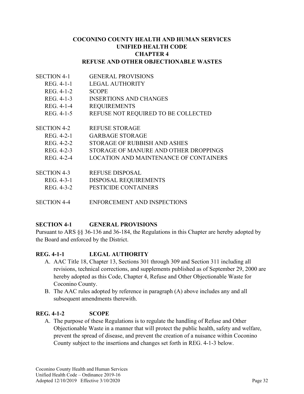#### **COCONINO COUNTY HEALTH AND HUMAN SERVICES UNIFIED HEALTH CODE CHAPTER 4 REFUSE AND OTHER OBJECTIONABLE WASTES**

- SECTION 4-1 GENERAL PROVISIONS
	- REG. 4-1-1 LEGAL AUTHORITY
	- REG. 4-1-2 SCOPE
	- REG. 4-1-3 INSERTIONS AND CHANGES
	- REG. 4-1-4 REQUIREMENTS
	- REG. 4-1-5 REFUSE NOT REQUIRED TO BE COLLECTED
- SECTION 4-2 REFUSE STORAGE
	- REG. 4-2-1 GARBAGE STORAGE
		- REG. 4-2-2 STORAGE OF RUBBISH AND ASHES
		- REG. 4-2-3 STORAGE OF MANURE AND OTHER DROPPINGS
		- REG. 4-2-4 LOCATION AND MAINTENANCE OF CONTAINERS
- SECTION 4-3 REFUSE DISPOSAL
	- REG. 4-3-1 DISPOSAL REQUIREMENTS
	- REG. 4-3-2 PESTICIDE CONTAINERS
- SECTION 4-4 ENFORCEMENT AND INSPECTIONS

#### **SECTION 4-1 GENERAL PROVISIONS**

Pursuant to ARS §§ 36-136 and 36-184, the Regulations in this Chapter are hereby adopted by the Board and enforced by the District.

#### **REG. 4-1-1 LEGAL AUTHORITY**

- A. AAC Title 18, Chapter 13, Sections 301 through 309 and Section 311 including all revisions, technical corrections, and supplements published as of September 29, 2000 are hereby adopted as this Code, Chapter 4, Refuse and Other Objectionable Waste for Coconino County.
- B. The AAC rules adopted by reference in paragraph (A) above includes any and all subsequent amendments therewith.

#### **REG. 4-1-2 SCOPE**

A. The purpose of these Regulations is to regulate the handling of Refuse and Other Objectionable Waste in a manner that will protect the public health, safety and welfare, prevent the spread of disease, and prevent the creation of a nuisance within Coconino County subject to the insertions and changes set forth in REG. 4-1-3 below.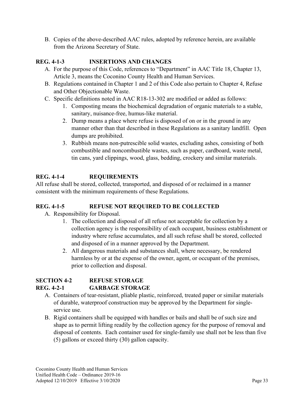B. Copies of the above-described AAC rules, adopted by reference herein, are available from the Arizona Secretary of State.

# **REG. 4-1-3 INSERTIONS AND CHANGES**

- A. For the purpose of this Code, references to "Department" in AAC Title 18, Chapter 13, Article 3, means the Coconino County Health and Human Services.
- B. Regulations contained in Chapter 1 and 2 of this Code also pertain to Chapter 4, Refuse and Other Objectionable Waste.
- C. Specific definitions noted in AAC R18-13-302 are modified or added as follows:
	- 1. Composting means the biochemical degradation of organic materials to a stable, sanitary, nuisance-free, humus-like material.
	- 2. Dump means a place where refuse is disposed of on or in the ground in any manner other than that described in these Regulations as a sanitary landfill. Open dumps are prohibited.
	- 3. Rubbish means non-putrescible solid wastes, excluding ashes, consisting of both combustible and noncombustible wastes, such as paper, cardboard, waste metal, tin cans, yard clippings, wood, glass, bedding, crockery and similar materials.

# **REG. 4-1-4 REQUIREMENTS**

All refuse shall be stored, collected, transported, and disposed of or reclaimed in a manner consistent with the minimum requirements of these Regulations.

#### **REG. 4-1-5 REFUSE NOT REQUIRED TO BE COLLECTED**

- A. Responsibility for Disposal.
	- 1. The collection and disposal of all refuse not acceptable for collection by a collection agency is the responsibility of each occupant, business establishment or industry where refuse accumulates, and all such refuse shall be stored, collected and disposed of in a manner approved by the Department.
	- 2. All dangerous materials and substances shall, where necessary, be rendered harmless by or at the expense of the owner, agent, or occupant of the premises, prior to collection and disposal.

# **SECTION 4-2 REFUSE STORAGE REG. 4-2-1 GARBAGE STORAGE**

- A. Containers of tear-resistant, pliable plastic, reinforced, treated paper or similar materials of durable, waterproof construction may be approved by the Department for singleservice use.
- B. Rigid containers shall be equipped with handles or bails and shall be of such size and shape as to permit lifting readily by the collection agency for the purpose of removal and disposal of contents. Each container used for single-family use shall not be less than five (5) gallons or exceed thirty (30) gallon capacity.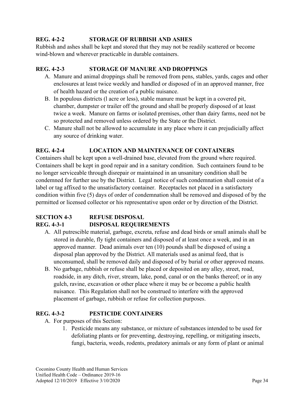#### **REG. 4-2-2 STORAGE OF RUBBISH AND ASHES**

Rubbish and ashes shall be kept and stored that they may not be readily scattered or become wind-blown and wherever practicable in durable containers.

#### **REG. 4-2-3 STORAGE OF MANURE AND DROPPINGS**

- A. Manure and animal droppings shall be removed from pens, stables, yards, cages and other enclosures at least twice weekly and handled or disposed of in an approved manner, free of health hazard or the creation of a public nuisance.
- B. In populous districts (l acre or less), stable manure must be kept in a covered pit, chamber, dumpster or trailer off the ground and shall be properly disposed of at least twice a week. Manure on farms or isolated premises, other than dairy farms, need not be so protected and removed unless ordered by the State or the District.
- C. Manure shall not be allowed to accumulate in any place where it can prejudicially affect any source of drinking water.

# **REG. 4-2-4 LOCATION AND MAINTENANCE OF CONTAINERS**

Containers shall be kept upon a well-drained base, elevated from the ground where required. Containers shall be kept in good repair and in a sanitary condition. Such containers found to be no longer serviceable through disrepair or maintained in an unsanitary condition shall be condemned for further use by the District. Legal notice of such condemnation shall consist of a label or tag affixed to the unsatisfactory container. Receptacles not placed in a satisfactory condition within five (5) days of order of condemnation shall be removed and disposed of by the permitted or licensed collector or his representative upon order or by direction of the District.

#### **SECTION 4-3 REFUSE DISPOSAL REG. 4-3-1 DISPOSAL REQUIREMENTS**

- A. All putrescible material, garbage, excreta, refuse and dead birds or small animals shall be stored in durable, fly tight containers and disposed of at least once a week, and in an approved manner. Dead animals over ten (10) pounds shall be disposed of using a disposal plan approved by the District. All materials used as animal feed, that is unconsumed, shall be removed daily and disposed of by burial or other approved means.
- B. No garbage, rubbish or refuse shall be placed or deposited on any alley, street, road, roadside, in any ditch, river, stream, lake, pond, canal or on the banks thereof; or in any gulch, ravine, excavation or other place where it may be or become a public health nuisance. This Regulation shall not be construed to interfere with the approved placement of garbage, rubbish or refuse for collection purposes.

#### **REG. 4-3-2 PESTICIDE CONTAINERS**

- A. For purposes of this Section:
	- 1. Pesticide means any substance, or mixture of substances intended to be used for defoliating plants or for preventing, destroying, repelling, or mitigating insects, fungi, bacteria, weeds, rodents, predatory animals or any form of plant or animal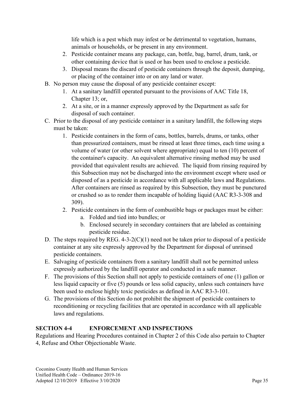life which is a pest which may infest or be detrimental to vegetation, humans, animals or households, or be present in any environment.

- 2. Pesticide container means any package, can, bottle, bag, barrel, drum, tank, or other containing device that is used or has been used to enclose a pesticide.
- 3. Disposal means the discard of pesticide containers through the deposit, dumping, or placing of the container into or on any land or water.
- B. No person may cause the disposal of any pesticide container except:
	- 1. At a sanitary landfill operated pursuant to the provisions of AAC Title 18, Chapter 13; or,
	- 2. At a site, or in a manner expressly approved by the Department as safe for disposal of such container.
- C. Prior to the disposal of any pesticide container in a sanitary landfill, the following steps must be taken:
	- 1. Pesticide containers in the form of cans, bottles, barrels, drums, or tanks, other than pressurized containers, must be rinsed at least three times, each time using a volume of water (or other solvent where appropriate) equal to ten (10) percent of the container's capacity. An equivalent alternative rinsing method may be used provided that equivalent results are achieved. The liquid from rinsing required by this Subsection may not be discharged into the environment except where used or disposed of as a pesticide in accordance with all applicable laws and Regulations. After containers are rinsed as required by this Subsection, they must be punctured or crushed so as to render them incapable of holding liquid (AAC R3-3-308 and 309).
	- 2. Pesticide containers in the form of combustible bags or packages must be either:
		- a. Folded and tied into bundles; or
		- b. Enclosed securely in secondary containers that are labeled as containing pesticide residue.
- D. The steps required by REG. 4-3-2(C)(1) need not be taken prior to disposal of a pesticide container at any site expressly approved by the Department for disposal of unrinsed pesticide containers.
- E. Salvaging of pesticide containers from a sanitary landfill shall not be permitted unless expressly authorized by the landfill operator and conducted in a safe manner.
- F. The provisions of this Section shall not apply to pesticide containers of one (1) gallon or less liquid capacity or five (5) pounds or less solid capacity, unless such containers have been used to enclose highly toxic pesticides as defined in AAC R3-3-101.
- G. The provisions of this Section do not prohibit the shipment of pesticide containers to reconditioning or recycling facilities that are operated in accordance with all applicable laws and regulations.

# **SECTION 4-4 ENFORCEMENT AND INSPECTIONS**

Regulations and Hearing Procedures contained in Chapter 2 of this Code also pertain to Chapter 4, Refuse and Other Objectionable Waste.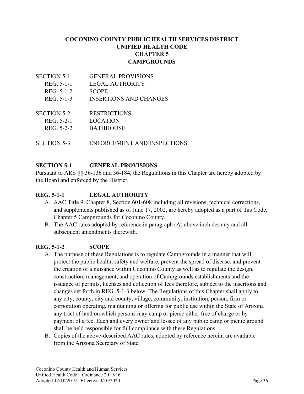### **COCONINO COUNTY PUBLIC HEALTH SERVICES DISTRICT UNIFIED HEALTH CODE CHAPTER 5 CAMPGROUNDS**

- SECTION 5-1 GENERAL PROVISIONS REG. 5-1-1 LEGAL AUTHORITY REG. 5-1-2 SCOPE REG. 5-1-3 INSERTIONS AND CHANGES SECTION 5-2 RESTRICTIONS REG. 5-2-1 LOCATION REG. 5-2-2 BATHHOUSE
- SECTION 5-3 ENFORCEMENT AND INSPECTIONS

### **SECTION 5-1 GENERAL PROVISIONS**

Pursuant to ARS §§ 36-136 and 36-184, the Regulations in this Chapter are hereby adopted by the Board and enforced by the District.

### **REG. 5-1-1 LEGAL AUTHORITY**

- A. AAC Title 9, Chapter 8, Section 601-608 including all revisions, technical corrections, and supplements published as of June 17, 2002, are hereby adopted as a part of this Code, Chapter 5 Campgrounds for Coconino County.
- B. The AAC rules adopted by reference in paragraph (A) above includes any and all subsequent amendments therewith.

### **REG. 5-1-2 SCOPE**

- A. The purpose of these Regulations is to regulate Campgrounds in a manner that will protect the public health, safety and welfare, prevent the spread of disease, and prevent the creation of a nuisance within Coconino County as well as to regulate the design, construction, management, and operation of Campgrounds establishments and the issuance of permits, licenses and collection of fees therefore, subject to the insertions and changes set forth in REG. 5-1-3 below. The Regulations of this Chapter shall apply to any city, county, city and county, village, community, institution, person, firm or corporation operating, maintaining or offering for public use within the State of Arizona any tract of land on which persons may camp or picnic either free of charge or by payment of a fee. Each and every owner and lessee of any public camp or picnic ground shall be held responsible for full compliance with these Regulations.
- B. Copies of the above-described AAC rules, adopted by reference herein, are available from the Arizona Secretary of State.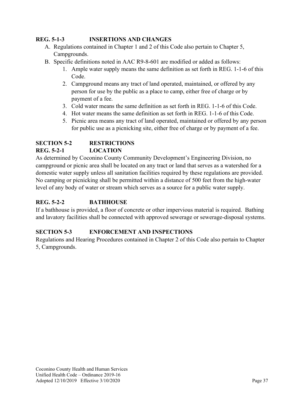### **REG. 5-1-3 INSERTIONS AND CHANGES**

- A. Regulations contained in Chapter 1 and 2 of this Code also pertain to Chapter 5, Campgrounds.
- B. Specific definitions noted in AAC R9-8-601 are modified or added as follows:
	- 1. Ample water supply means the same definition as set forth in REG. 1-1-6 of this Code.
	- 2. Campground means any tract of land operated, maintained, or offered by any person for use by the public as a place to camp, either free of charge or by payment of a fee.
	- 3. Cold water means the same definition as set forth in REG. 1-1-6 of this Code.
	- 4. Hot water means the same definition as set forth in REG. 1-1-6 of this Code.
	- 5. Picnic area means any tract of land operated, maintained or offered by any person for public use as a picnicking site, either free of charge or by payment of a fee.

## **SECTION 5-2 RESTRICTIONS REG. 5-2-1 LOCATION**

As determined by Coconino County Community Development's Engineering Division, no campground or picnic area shall be located on any tract or land that serves as a watershed for a domestic water supply unless all sanitation facilities required by these regulations are provided. No camping or picnicking shall be permitted within a distance of 500 feet from the high-water level of any body of water or stream which serves as a source for a public water supply.

## **REG. 5-2-2 BATHHOUSE**

If a bathhouse is provided, a floor of concrete or other impervious material is required. Bathing and lavatory facilities shall be connected with approved sewerage or sewerage-disposal systems.

### **SECTION 5-3 ENFORCEMENT AND INSPECTIONS**

Regulations and Hearing Procedures contained in Chapter 2 of this Code also pertain to Chapter 5, Campgrounds.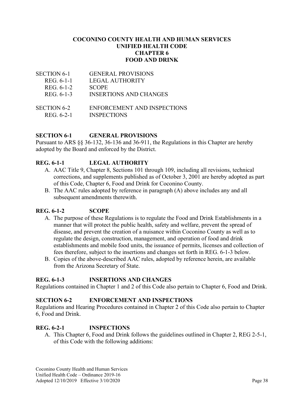#### **COCONINO COUNTY HEALTH AND HUMAN SERVICES UNIFIED HEALTH CODE CHAPTER 6 FOOD AND DRINK**

| <b>SECTION 6-1</b> | <b>GENERAL PROVISIONS</b>     |
|--------------------|-------------------------------|
| REG. 6-1-1         | <b>LEGAL AUTHORITY</b>        |
| REG. 6-1-2         | <b>SCOPE</b>                  |
| REG. 6-1-3         | <b>INSERTIONS AND CHANGES</b> |
|                    |                               |
| <b>SECTION 6-2</b> | ENFORCEMENT AND INSPECTIONS   |
| REG. 6-2-1         | <b>INSPECTIONS</b>            |

#### **SECTION 6-1 GENERAL PROVISIONS**

Pursuant to ARS §§ 36-132, 36-136 and 36-911, the Regulations in this Chapter are hereby adopted by the Board and enforced by the District.

#### **REG. 6-1-1 LEGAL AUTHORITY**

- A. AAC Title 9, Chapter 8, Sections 101 through 109, including all revisions, technical corrections, and supplements published as of October 3, 2001 are hereby adopted as part of this Code, Chapter 6, Food and Drink for Coconino County.
- B. The AAC rules adopted by reference in paragraph (A) above includes any and all subsequent amendments therewith.

### **REG. 6-1-2 SCOPE**

- A. The purpose of these Regulations is to regulate the Food and Drink Establishments in a manner that will protect the public health, safety and welfare, prevent the spread of disease, and prevent the creation of a nuisance within Coconino County as well as to regulate the design, construction, management, and operation of food and drink establishments and mobile food units, the issuance of permits, licenses and collection of fees therefore, subject to the insertions and changes set forth in REG. 6-1-3 below.
- B. Copies of the above-described AAC rules, adopted by reference herein, are available from the Arizona Secretary of State.

### **REG. 6-1-3 INSERTIONS AND CHANGES**

Regulations contained in Chapter 1 and 2 of this Code also pertain to Chapter 6, Food and Drink.

#### **SECTION 6-2 ENFORCEMENT AND INSPECTIONS**

Regulations and Hearing Procedures contained in Chapter 2 of this Code also pertain to Chapter 6, Food and Drink.

#### **REG. 6-2-1 INSPECTIONS**

A. This Chapter 6, Food and Drink follows the guidelines outlined in Chapter 2, REG 2-5-1, of this Code with the following additions: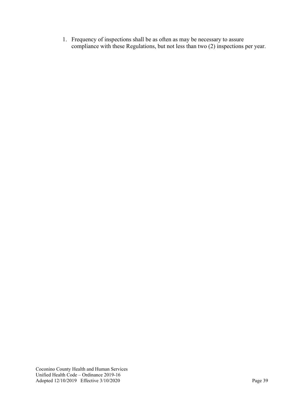1. Frequency of inspections shall be as often as may be necessary to assure compliance with these Regulations, but not less than two (2) inspections per year.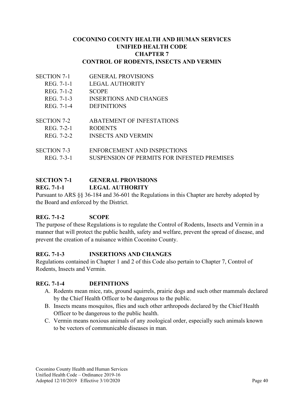#### **COCONINO COUNTY HEALTH AND HUMAN SERVICES UNIFIED HEALTH CODE CHAPTER 7 CONTROL OF RODENTS, INSECTS AND VERMIN**

- SECTION 7-1 GENERAL PROVISIONS
	- REG. 7-1-1 LEGAL AUTHORITY
	- REG. 7-1-2 SCOPE
	- REG. 7-1-3 INSERTIONS AND CHANGES
	- REG. 7-1-4 DEFINITIONS
- SECTION 7-2 ABATEMENT OF INFESTATIONS
	- REG. 7-2-1 RODENTS
	- REG. 7-2-2 INSECTS AND VERMIN
- SECTION 7-3 ENFORCEMENT AND INSPECTIONS REG. 7-3-1 SUSPENSION OF PERMITS FOR INFESTED PREMISES

# **SECTION 7-1 GENERAL PROVISIONS**

#### **REG. 7-1-1 LEGAL AUTHORITY**

Pursuant to ARS §§ 36-184 and 36-601 the Regulations in this Chapter are hereby adopted by the Board and enforced by the District.

### **REG. 7-1-2 SCOPE**

The purpose of these Regulations is to regulate the Control of Rodents, Insects and Vermin in a manner that will protect the public health, safety and welfare, prevent the spread of disease, and prevent the creation of a nuisance within Coconino County.

### **REG. 7-1-3 INSERTIONS AND CHANGES**

Regulations contained in Chapter 1 and 2 of this Code also pertain to Chapter 7, Control of Rodents, Insects and Vermin.

### **REG. 7-1-4 DEFINITIONS**

- A. Rodents mean mice, rats, ground squirrels, prairie dogs and such other mammals declared by the Chief Health Officer to be dangerous to the public.
- B. Insects means mosquitos, flies and such other arthropods declared by the Chief Health Officer to be dangerous to the public health.
- C. Vermin means noxious animals of any zoological order, especially such animals known to be vectors of communicable diseases in man.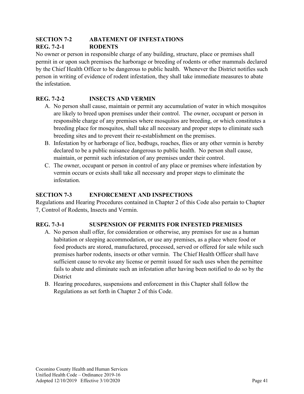#### **SECTION 7-2 ABATEMENT OF INFESTATIONS REG. 7-2-1 RODENTS**

No owner or person in responsible charge of any building, structure, place or premises shall permit in or upon such premises the harborage or breeding of rodents or other mammals declared by the Chief Health Officer to be dangerous to public health. Whenever the District notifies such person in writing of evidence of rodent infestation, they shall take immediate measures to abate the infestation.

## **REG. 7-2-2 INSECTS AND VERMIN**

- A. No person shall cause, maintain or permit any accumulation of water in which mosquitos are likely to breed upon premises under their control. The owner, occupant or person in responsible charge of any premises where mosquitos are breeding, or which constitutes a breeding place for mosquitos, shall take all necessary and proper steps to eliminate such breeding sites and to prevent their re-establishment on the premises.
- B. Infestation by or harborage of lice, bedbugs, roaches, flies or any other vermin is hereby declared to be a public nuisance dangerous to public health. No person shall cause, maintain, or permit such infestation of any premises under their control.
- C. The owner, occupant or person in control of any place or premises where infestation by vermin occurs or exists shall take all necessary and proper steps to eliminate the infestation.

## **SECTION 7-3 ENFORCEMENT AND INSPECTIONS**

Regulations and Hearing Procedures contained in Chapter 2 of this Code also pertain to Chapter 7, Control of Rodents, Insects and Vermin.

### **REG. 7-3-1 SUSPENSION OF PERMITS FOR INFESTED PREMISES**

- A. No person shall offer, for consideration or otherwise, any premises for use as a human habitation or sleeping accommodation, or use any premises, as a place where food or food products are stored, manufactured, processed, served or offered for sale while such premises harbor rodents, insects or other vermin. The Chief Health Officer shall have sufficient cause to revoke any license or permit issued for such uses when the permittee fails to abate and eliminate such an infestation after having been notified to do so by the **District**
- B. Hearing procedures, suspensions and enforcement in this Chapter shall follow the Regulations as set forth in Chapter 2 of this Code.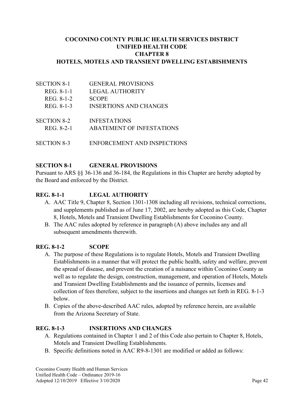#### **COCONINO COUNTY PUBLIC HEALTH SERVICES DISTRICT UNIFIED HEALTH CODE CHAPTER 8 HOTELS, MOTELS AND TRANSIENT DWELLING ESTABISHMENTS**

SECTION 8-1 GENERAL PROVISIONS REG. 8-1-1 LEGAL AUTHORITY REG. 8-1-2 SCOPE REG. 8-1-3 INSERTIONS AND CHANGES SECTION 8-2 **INFESTATIONS** REG. 8-2-1 ABATEMENT OF INFESTATIONS SECTION 8-3 ENFORCEMENT AND INSPECTIONS

### **SECTION 8-1 GENERAL PROVISIONS**

Pursuant to ARS §§ 36-136 and 36-184, the Regulations in this Chapter are hereby adopted by the Board and enforced by the District.

#### **REG. 8-1-1 LEGAL AUTHORITY**

- A. AAC Title 9, Chapter 8, Section 1301-1308 including all revisions, technical corrections, and supplements published as of June 17, 2002, are hereby adopted as this Code, Chapter 8, Hotels, Motels and Transient Dwelling Establishments for Coconino County.
- B. The AAC rules adopted by reference in paragraph (A) above includes any and all subsequent amendments therewith.

#### **REG. 8-1-2 SCOPE**

- A. The purpose of these Regulations is to regulate Hotels, Motels and Transient Dwelling Establishments in a manner that will protect the public health, safety and welfare, prevent the spread of disease, and prevent the creation of a nuisance within Coconino County as well as to regulate the design, construction, management, and operation of Hotels, Motels and Transient Dwelling Establishments and the issuance of permits, licenses and collection of fees therefore, subject to the insertions and changes set forth in REG. 8-1-3 below.
- B. Copies of the above-described AAC rules, adopted by reference herein, are available from the Arizona Secretary of State.

#### **REG. 8-1-3 INSERTIONS AND CHANGES**

- A. Regulations contained in Chapter 1 and 2 of this Code also pertain to Chapter 8, Hotels, Motels and Transient Dwelling Establishments.
- B. Specific definitions noted in AAC R9-8-1301 are modified or added as follows: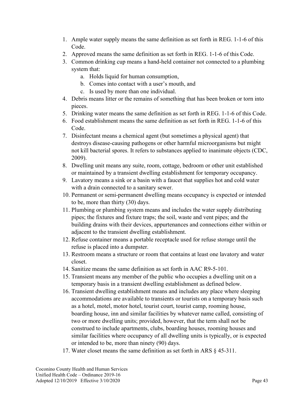- 1. Ample water supply means the same definition as set forth in REG. 1-1-6 of this Code.
- 2. Approved means the same definition as set forth in REG. 1-1-6 of this Code.
- 3. Common drinking cup means a hand-held container not connected to a plumbing system that:
	- a. Holds liquid for human consumption,
	- b. Comes into contact with a user's mouth, and
	- c. Is used by more than one individual.
- 4. Debris means litter or the remains of something that has been broken or torn into pieces.
- 5. Drinking water means the same definition as set forth in REG. 1-1-6 of this Code.
- 6. Food establishment means the same definition as set forth in REG. 1-1-6 of this Code.
- 7. Disinfectant means a chemical agent (but sometimes a physical agent) that destroys disease-causing pathogens or other harmful microorganisms but might not kill bacterial spores. It refers to substances applied to inanimate objects (CDC, 2009).
- 8. Dwelling unit means any suite, room, cottage, bedroom or other unit established or maintained by a transient dwelling establishment for temporary occupancy.
- 9. Lavatory means a sink or a basin with a faucet that supplies hot and cold water with a drain connected to a sanitary sewer.
- 10. Permanent or semi-permanent dwelling means occupancy is expected or intended to be, more than thirty (30) days.
- 11. Plumbing or plumbing system means and includes the water supply distributing pipes; the fixtures and fixture traps; the soil, waste and vent pipes; and the building drains with their devices, appurtenances and connections either within or adjacent to the transient dwelling establishment.
- 12. Refuse container means a portable receptacle used for refuse storage until the refuse is placed into a dumpster.
- 13. Restroom means a structure or room that contains at least one lavatory and water closet.
- 14. Sanitize means the same definition as set forth in AAC R9-5-101.
- 15. Transient means any member of the public who occupies a dwelling unit on a temporary basis in a transient dwelling establishment as defined below.
- 16. Transient dwelling establishment means and includes any place where sleeping accommodations are available to transients or tourists on a temporary basis such as a hotel, motel, motor hotel, tourist court, tourist camp, rooming house, boarding house, inn and similar facilities by whatever name called, consisting of two or more dwelling units; provided, however, that the term shall not be construed to include apartments, clubs, boarding houses, rooming houses and similar facilities where occupancy of all dwelling units is typically, or is expected or intended to be, more than ninety (90) days.
- 17. Water closet means the same definition as set forth in ARS § 45-311.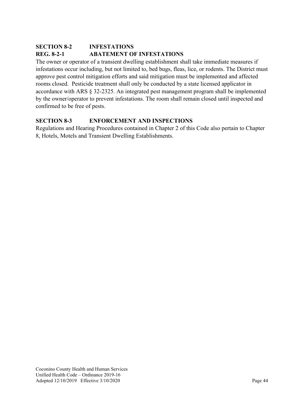## **SECTION 8-2 INFESTATIONS REG. 8-2-1 ABATEMENT OF INFESTATIONS**

The owner or operator of a transient dwelling establishment shall take immediate measures if infestations occur including, but not limited to, bed bugs, fleas, lice, or rodents. The District must approve pest control mitigation efforts and said mitigation must be implemented and affected rooms closed. Pesticide treatment shall only be conducted by a state licensed applicator in accordance with ARS § 32-2325. An integrated pest management program shall be implemented by the owner/operator to prevent infestations. The room shall remain closed until inspected and confirmed to be free of pests.

## **SECTION 8-3 ENFORCEMENT AND INSPECTIONS**

Regulations and Hearing Procedures contained in Chapter 2 of this Code also pertain to Chapter 8, Hotels, Motels and Transient Dwelling Establishments.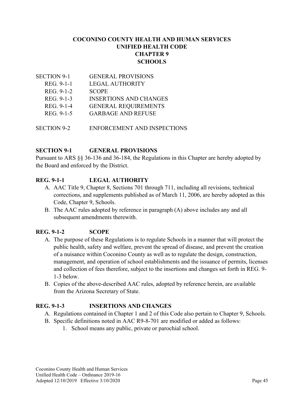### **COCONINO COUNTY HEALTH AND HUMAN SERVICES UNIFIED HEALTH CODE CHAPTER 9 SCHOOLS**

| <b>SECTION 9-1</b> | <b>GENERAL PROVISIONS</b>     |
|--------------------|-------------------------------|
| REG. 9-1-1         | <b>LEGAL AUTHORITY</b>        |
| REG. 9-1-2         | <b>SCOPE</b>                  |
| REG. 9-1-3         | <b>INSERTIONS AND CHANGES</b> |
| REG. 9-1-4         | <b>GENERAL REQUIREMENTS</b>   |
| REG. 9-1-5         | <b>GARBAGE AND REFUSE</b>     |
|                    |                               |

SECTION 9-2 ENFORCEMENT AND INSPECTIONS

### **SECTION 9-1 GENERAL PROVISIONS**

Pursuant to ARS §§ 36-136 and 36-184, the Regulations in this Chapter are hereby adopted by the Board and enforced by the District.

### **REG. 9-1-1 LEGAL AUTHORITY**

- A. AAC Title 9, Chapter 8, Sections 701 through 711, including all revisions, technical corrections, and supplements published as of March 11, 2006, are hereby adopted as this Code, Chapter 9, Schools.
- B. The AAC rules adopted by reference in paragraph (A) above includes any and all subsequent amendments therewith.

### **REG. 9-1-2 SCOPE**

- A. The purpose of these Regulations is to regulate Schools in a manner that will protect the public health, safety and welfare, prevent the spread of disease, and prevent the creation of a nuisance within Coconino County as well as to regulate the design, construction, management, and operation of school establishments and the issuance of permits, licenses and collection of fees therefore, subject to the insertions and changes set forth in REG. 9- 1-3 below.
- B. Copies of the above-described AAC rules, adopted by reference herein, are available from the Arizona Secretary of State.

### **REG. 9-1-3 INSERTIONS AND CHANGES**

- A. Regulations contained in Chapter 1 and 2 of this Code also pertain to Chapter 9, Schools.
- B. Specific definitions noted in AAC R9-8-701 are modified or added as follows:
	- 1. School means any public, private or parochial school.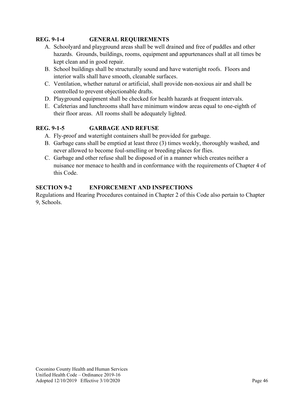### **REG. 9-1-4 GENERAL REQUIREMENTS**

- A. Schoolyard and playground areas shall be well drained and free of puddles and other hazards. Grounds, buildings, rooms, equipment and appurtenances shall at all times be kept clean and in good repair.
- B. School buildings shall be structurally sound and have watertight roofs. Floors and interior walls shall have smooth, cleanable surfaces.
- C. Ventilation, whether natural or artificial, shall provide non-noxious air and shall be controlled to prevent objectionable drafts.
- D. Playground equipment shall be checked for health hazards at frequent intervals.
- E. Cafeterias and lunchrooms shall have minimum window areas equal to one-eighth of their floor areas. All rooms shall be adequately lighted.

### **REG. 9-1-5 GARBAGE AND REFUSE**

- A. Fly-proof and watertight containers shall be provided for garbage.
- B. Garbage cans shall be emptied at least three (3) times weekly, thoroughly washed, and never allowed to become foul-smelling or breeding places for flies.
- C. Garbage and other refuse shall be disposed of in a manner which creates neither a nuisance nor menace to health and in conformance with the requirements of Chapter 4 of this Code.

### **SECTION 9-2 ENFORCEMENT AND INSPECTIONS**

Regulations and Hearing Procedures contained in Chapter 2 of this Code also pertain to Chapter 9, Schools.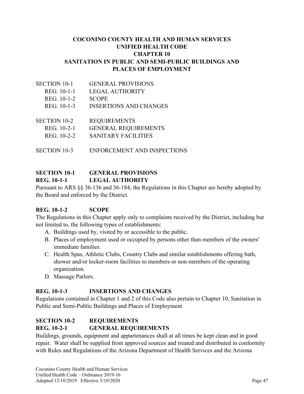#### **COCONINO COUNTY HEALTH AND HUMAN SERVICES UNIFIED HEALTH CODE CHAPTER 10 SANITATION IN PUBLIC AND SEMI-PUBLIC BUILDINGS AND PLACES OF EMPLOYMENT**

| <b>SECTION 10-1</b> | <b>GENERAL PROVISIONS</b>     |
|---------------------|-------------------------------|
| REG. 10-1-1         | LEGAL AUTHORITY               |
| REG. 10-1-2         | <b>SCOPE</b>                  |
| REG. 10-1-3         | <b>INSERTIONS AND CHANGES</b> |
|                     |                               |

| SECTION 10-2 | <b>REQUIREMENTS</b>         |
|--------------|-----------------------------|
| REG. 10-2-1  | <b>GENERAL REQUIREMENTS</b> |
| REG. 10-2-2  | SANITARY FACILITIES         |

SECTION 10-3 ENFORCEMENT AND INSPECTIONS

## **SECTION 10-1 GENERAL PROVISIONS REG. 10-1-1 LEGAL AUTHORITY**

Pursuant to ARS §§ 36-136 and 36-184, the Regulations in this Chapter are hereby adopted by the Board and enforced by the District.

### **REG. 10-1-2 SCOPE**

The Regulations in this Chapter apply only to complaints received by the District, including but not limited to, the following types of establishments:

- A. Buildings used by, visited by or accessible to the public.
- B. Places of employment used or occupied by persons other than members of the owners' immediate families.
- C. Health Spas, Athletic Clubs, Country Clubs and similar establishments offering bath, shower and/or locker-room facilities to members or non-members of the operating organization.
- D. Massage Parlors.

### **REG. 10-1-3 INSERTIONS AND CHANGES**

Regulations contained in Chapter 1 and 2 of this Code also pertain to Chapter 10, Sanitation in Public and Semi-Public Buildings and Places of Employment

## **SECTION 10-2 REQUIREMENTS**

### **REG. 10-2-1 GENERAL REQUIREMENTS**

Buildings, grounds, equipment and appurtenances shall at all times be kept clean and in good repair. Water shall be supplied from approved sources and treated and distributed in conformity with Rules and Regulations of the Arizona Department of Health Services and the Arizona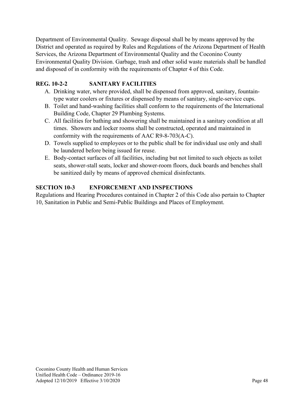Department of Environmental Quality. Sewage disposal shall be by means approved by the District and operated as required by Rules and Regulations of the Arizona Department of Health Services, the Arizona Department of Environmental Quality and the Coconino County Environmental Quality Division. Garbage, trash and other solid waste materials shall be handled and disposed of in conformity with the requirements of Chapter 4 of this Code.

### **REG. 10-2-2 SANITARY FACILITIES**

- A. Drinking water, where provided, shall be dispensed from approved, sanitary, fountaintype water coolers or fixtures or dispensed by means of sanitary, single-service cups.
- B. Toilet and hand-washing facilities shall conform to the requirements of the International Building Code, Chapter 29 Plumbing Systems.
- C. All facilities for bathing and showering shall be maintained in a sanitary condition at all times. Showers and locker rooms shall be constructed, operated and maintained in conformity with the requirements of AAC R9-8-703(A-C).
- D. Towels supplied to employees or to the public shall be for individual use only and shall be laundered before being issued for reuse.
- E. Body-contact surfaces of all facilities, including but not limited to such objects as toilet seats, shower-stall seats, locker and shower-room floors, duck boards and benches shall be sanitized daily by means of approved chemical disinfectants.

## **SECTION 10-3 ENFORCEMENT AND INSPECTIONS**

Regulations and Hearing Procedures contained in Chapter 2 of this Code also pertain to Chapter 10, Sanitation in Public and Semi-Public Buildings and Places of Employment.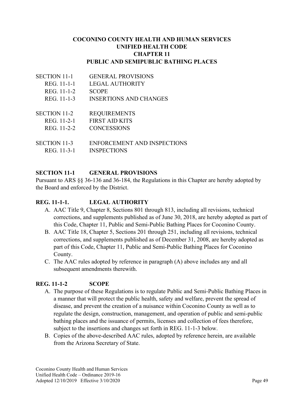#### **COCONINO COUNTY HEALTH AND HUMAN SERVICES UNIFIED HEALTH CODE CHAPTER 11 PUBLIC AND SEMIPUBLIC BATHING PLACES**

| <b>SECTION 11-1</b> | <b>GENERAL PROVISIONS</b>     |
|---------------------|-------------------------------|
| REG. 11-1-1         | <b>LEGAL AUTHORITY</b>        |
| REG. 11-1-2         | <b>SCOPE</b>                  |
| REG. 11-1-3         | <b>INSERTIONS AND CHANGES</b> |
| <b>SECTION 11-2</b> | <b>REQUIREMENTS</b>           |
| REG. 11-2-1         | <b>FIRST AID KITS</b>         |
| REG. 11-2-2         | <b>CONCESSIONS</b>            |
| SECTION 11-3        | ENFORCEMENT AND INSPECTIONS   |
| REG. 11-3-1         | <b>INSPECTIONS</b>            |

#### **SECTION 11-1 GENERAL PROVISIONS**

Pursuant to ARS §§ 36-136 and 36-184, the Regulations in this Chapter are hereby adopted by the Board and enforced by the District.

### **REG. 11-1-1. LEGAL AUTHORITY**

- A. AAC Title 9, Chapter 8, Sections 801 through 813, including all revisions, technical corrections, and supplements published as of June 30, 2018, are hereby adopted as part of this Code, Chapter 11, Public and Semi-Public Bathing Places for Coconino County.
- B. AAC Title 18, Chapter 5, Sections 201 through 251, including all revisions, technical corrections, and supplements published as of December 31, 2008, are hereby adopted as part of this Code, Chapter 11, Public and Semi-Public Bathing Places for Coconino County.
- C. The AAC rules adopted by reference in paragraph (A) above includes any and all subsequent amendments therewith.

### **REG. 11-1-2 SCOPE**

- A. The purpose of these Regulations is to regulate Public and Semi-Public Bathing Places in a manner that will protect the public health, safety and welfare, prevent the spread of disease, and prevent the creation of a nuisance within Coconino County as well as to regulate the design, construction, management, and operation of public and semi-public bathing places and the issuance of permits, licenses and collection of fees therefore, subject to the insertions and changes set forth in REG. 11-1-3 below.
- B. Copies of the above-described AAC rules, adopted by reference herein, are available from the Arizona Secretary of State.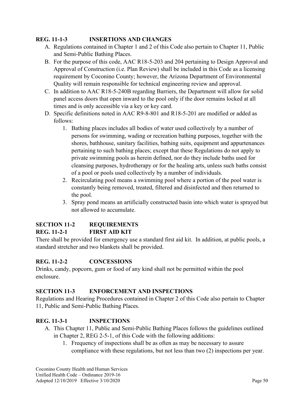### **REG. 11-1-3 INSERTIONS AND CHANGES**

- A. Regulations contained in Chapter 1 and 2 of this Code also pertain to Chapter 11, Public and Semi-Public Bathing Places.
- B. For the purpose of this code, AAC R18-5-203 and 204 pertaining to Design Approval and Approval of Construction (i.e. Plan Review) shall be included in this Code as a licensing requirement by Coconino County; however, the Arizona Department of Environmental Quality will remain responsible for technical engineering review and approval.
- C. In addition to AAC R18-5-240B regarding Barriers, the Department will allow for solid panel access doors that open inward to the pool only if the door remains locked at all times and is only accessible via a key or key card.
- D. Specific definitions noted in AAC R9-8-801 and R18-5-201 are modified or added as follows:
	- 1. Bathing places includes all bodies of water used collectively by a number of persons for swimming, wading or recreation bathing purposes, together with the shores, bathhouse, sanitary facilities, bathing suits, equipment and appurtenances pertaining to such bathing places; except that these Regulations do not apply to private swimming pools as herein defined, nor do they include baths used for cleansing purposes, hydrotherapy or for the healing arts, unless such baths consist of a pool or pools used collectively by a number of individuals.
	- 2. Recirculating pool means a swimming pool where a portion of the pool water is constantly being removed, treated, filtered and disinfected and then returned to the pool.
	- 3. Spray pond means an artificially constructed basin into which water is sprayed but not allowed to accumulate.

#### **SECTION 11-2 REQUIREMENTS REG. 11-2-1 FIRST AID KIT**

There shall be provided for emergency use a standard first aid kit. In addition, at public pools, a standard stretcher and two blankets shall be provided.

## **REG. 11-2-2 CONCESSIONS**

Drinks, candy, popcorn, gum or food of any kind shall not be permitted within the pool enclosure.

### **SECTION 11-3 ENFORCEMENT AND INSPECTIONS**

Regulations and Hearing Procedures contained in Chapter 2 of this Code also pertain to Chapter 11, Public and Semi-Public Bathing Places.

## **REG. 11-3-1 INSPECTIONS**

- A. This Chapter 11, Public and Semi-Public Bathing Places follows the guidelines outlined in Chapter 2, REG 2-5-1, of this Code with the following additions:
	- 1. Frequency of inspections shall be as often as may be necessary to assure compliance with these regulations, but not less than two (2) inspections per year.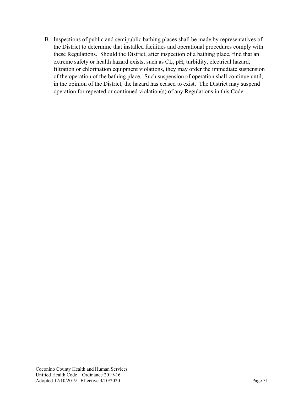B. Inspections of public and semipublic bathing places shall be made by representatives of the District to determine that installed facilities and operational procedures comply with these Regulations. Should the District, after inspection of a bathing place, find that an extreme safety or health hazard exists, such as CL, pH, turbidity, electrical hazard, filtration or chlorination equipment violations, they may order the immediate suspension of the operation of the bathing place. Such suspension of operation shall continue until, in the opinion of the District, the hazard has ceased to exist. The District may suspend operation for repeated or continued violation(s) of any Regulations in this Code.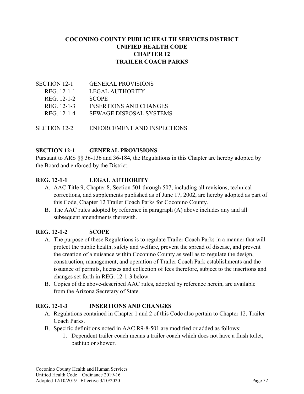### **COCONINO COUNTY PUBLIC HEALTH SERVICES DISTRICT UNIFIED HEALTH CODE CHAPTER 12 TRAILER COACH PARKS**

| <b>SECTION 12-1</b> | <b>GENERAL PROVISIONS</b>      |
|---------------------|--------------------------------|
| REG. 12-1-1         | LEGAL AUTHORITY                |
| REG. 12-1-2         | <b>SCOPE</b>                   |
| REG. 12-1-3         | <b>INSERTIONS AND CHANGES</b>  |
| REG. 12-1-4         | <b>SEWAGE DISPOSAL SYSTEMS</b> |
|                     |                                |
|                     |                                |

SECTION 12-2 ENFORCEMENT AND INSPECTIONS

#### **SECTION 12-1 GENERAL PROVISIONS**

Pursuant to ARS §§ 36-136 and 36-184, the Regulations in this Chapter are hereby adopted by the Board and enforced by the District.

### **REG. 12-1-1 LEGAL AUTHORITY**

- A. AAC Title 9, Chapter 8, Section 501 through 507, including all revisions, technical corrections, and supplements published as of June 17, 2002, are hereby adopted as part of this Code, Chapter 12 Trailer Coach Parks for Coconino County.
- B. The AAC rules adopted by reference in paragraph (A) above includes any and all subsequent amendments therewith.

#### **REG. 12-1-2 SCOPE**

- A. The purpose of these Regulations is to regulate Trailer Coach Parks in a manner that will protect the public health, safety and welfare, prevent the spread of disease, and prevent the creation of a nuisance within Coconino County as well as to regulate the design, construction, management, and operation of Trailer Coach Park establishments and the issuance of permits, licenses and collection of fees therefore, subject to the insertions and changes set forth in REG. 12-1-3 below.
- B. Copies of the above-described AAC rules, adopted by reference herein, are available from the Arizona Secretary of State.

#### **REG. 12-1-3 INSERTIONS AND CHANGES**

- A. Regulations contained in Chapter 1 and 2 of this Code also pertain to Chapter 12, Trailer Coach Parks.
- B. Specific definitions noted in AAC R9-8-501 are modified or added as follows:
	- 1. Dependent trailer coach means a trailer coach which does not have a flush toilet, bathtub or shower.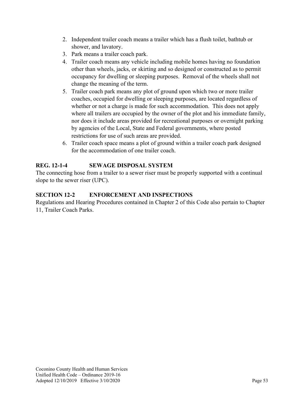- 2. Independent trailer coach means a trailer which has a flush toilet, bathtub or shower, and lavatory.
- 3. Park means a trailer coach park.
- 4. Trailer coach means any vehicle including mobile homes having no foundation other than wheels, jacks, or skirting and so designed or constructed as to permit occupancy for dwelling or sleeping purposes. Removal of the wheels shall not change the meaning of the term.
- 5. Trailer coach park means any plot of ground upon which two or more trailer coaches, occupied for dwelling or sleeping purposes, are located regardless of whether or not a charge is made for such accommodation. This does not apply where all trailers are occupied by the owner of the plot and his immediate family, nor does it include areas provided for recreational purposes or overnight parking by agencies of the Local, State and Federal governments, where posted restrictions for use of such areas are provided.
- 6. Trailer coach space means a plot of ground within a trailer coach park designed for the accommodation of one trailer coach.

## **REG. 12-1-4 SEWAGE DISPOSAL SYSTEM**

The connecting hose from a trailer to a sewer riser must be properly supported with a continual slope to the sewer riser (UPC).

## **SECTION 12-2 ENFORCEMENT AND INSPECTIONS**

Regulations and Hearing Procedures contained in Chapter 2 of this Code also pertain to Chapter 11, Trailer Coach Parks.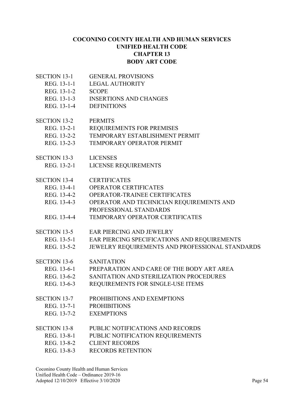#### **COCONINO COUNTY HEALTH AND HUMAN SERVICES UNIFIED HEALTH CODE CHAPTER 13 BODY ART CODE**

- SECTION 13-1 GENERAL PROVISIONS
	- REG. 13-1-1 LEGAL AUTHORITY
	- REG. 13-1-2 SCOPE
	- REG. 13-1-3 INSERTIONS AND CHANGES
	- REG. 13-1-4 DEFINITIONS
- SECTION 13-2 PERMITS
	- REG. 13-2-1 REQUIREMENTS FOR PREMISES
	- REG. 13-2-2 TEMPORARY ESTABLISHMENT PERMIT
	- REG. 13-2-3 TEMPORARY OPERATOR PERMIT
- SECTION 13-3 LICENSES
	- REG. 13-2-1 LICENSE REQUIREMENTS
- SECTION 13-4 CERTIFICATES
	- REG. 13-4-1 OPERATOR CERTIFICATES
	- REG. 13-4-2 OPERATOR-TRAINEE CERTIFICATES
	- REG. 13-4-3 OPERATOR AND TECHNICIAN REQUIREMENTS AND
	- PROFESSIONAL STANDARDS
	- REG. 13-4-4 TEMPORARY OPERATOR CERTIFICATES
- SECTION 13-5 EAR PIERCING AND JEWELRY
	- REG. 13-5-1 EAR PIERCING SPECIFICATIONS AND REQUIREMENTS
	- REG. 13-5-2 JEWELRY REQUIREMENTS AND PROFESSIONAL STANDARDS
- SECTION 13-6 SANITATION
- REG. 13-6-1 PREPARATION AND CARE OF THE BODY ART AREA
	- REG. 13-6-2 SANITATION AND STERILIZATION PROCEDURES
- REG. 13-6-3 REQUIREMENTS FOR SINGLE-USE ITEMS
- SECTION 13-7 PROHIBITIONS AND EXEMPTIONS
	- REG. 13-7-1 PROHIBITIONS
	- REG. 13-7-2 EXEMPTIONS
- SECTION 13-8 PUBLIC NOTIFICATIONS AND RECORDS
	- REG. 13-8-1 PUBLIC NOTIFICATION REQUIREMENTS
	- REG. 13-8-2 CLIENT RECORDS
	- REG. 13-8-3 RECORDS RETENTION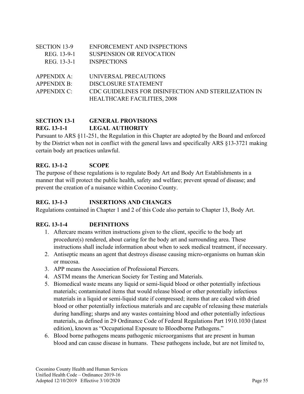| <b>SECTION 13-9</b> | ENFORCEMENT AND INSPECTIONS                          |
|---------------------|------------------------------------------------------|
| REG. 13-9-1         | <b>SUSPENSION OR REVOCATION</b>                      |
| REG. 13-3-1         | <b>INSPECTIONS</b>                                   |
|                     |                                                      |
| APPENDIX A:         | UNIVERSAL PRECAUTIONS                                |
| <b>APPENDIX B:</b>  | DISCLOSURE STATEMENT                                 |
| <b>APPENDIX C:</b>  | CDC GUIDELINES FOR DISINFECTION AND STERILIZATION IN |
|                     | <b>HEALTHCARE FACILITIES, 2008</b>                   |
|                     |                                                      |

## **SECTION 13-1 GENERAL PROVISIONS REG. 13-1-1 LEGAL AUTHORITY**

Pursuant to ARS §11-251, the Regulation in this Chapter are adopted by the Board and enforced by the District when not in conflict with the general laws and specifically ARS §13-3721 making certain body art practices unlawful.

### **REG. 13-1-2 SCOPE**

The purpose of these regulations is to regulate Body Art and Body Art Establishments in a manner that will protect the public health, safety and welfare; prevent spread of disease; and prevent the creation of a nuisance within Coconino County.

### **REG. 13-1-3 INSERTIONS AND CHANGES**

Regulations contained in Chapter 1 and 2 of this Code also pertain to Chapter 13, Body Art.

### **REG. 13-1-4 DEFINITIONS**

- 1. Aftercare means written instructions given to the client, specific to the body art procedure(s) rendered, about caring for the body art and surrounding area. These instructions shall include information about when to seek medical treatment, if necessary.
- 2. Antiseptic means an agent that destroys disease causing micro-organisms on human skin or mucosa.
- 3. APP means the Association of Professional Piercers.
- 4. ASTM means the American Society for Testing and Materials.
- 5. Biomedical waste means any liquid or semi-liquid blood or other potentially infectious materials; contaminated items that would release blood or other potentially infectious materials in a liquid or semi-liquid state if compressed; items that are caked with dried blood or other potentially infectious materials and are capable of releasing these materials during handling; sharps and any wastes containing blood and other potentially infectious materials, as defined in 29 Ordinance Code of Federal Regulations Part 1910.1030 (latest edition), known as "Occupational Exposure to Bloodborne Pathogens."
- 6. Blood borne pathogens means pathogenic microorganisms that are present in human blood and can cause disease in humans. These pathogens include, but are not limited to,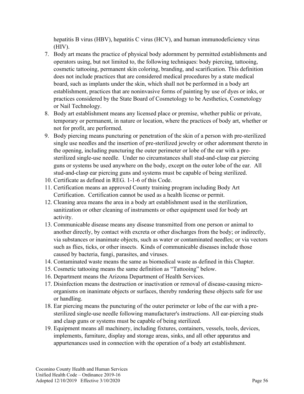hepatitis B virus (HBV), hepatitis C virus (HCV), and human immunodeficiency virus (HIV).

- 7. Body art means the practice of physical body adornment by permitted establishments and operators using, but not limited to, the following techniques: body piercing, tattooing, cosmetic tattooing, permanent skin coloring, branding, and scarification. This definition does not include practices that are considered medical procedures by a state medical board, such as implants under the skin, which shall not be performed in a body art establishment, practices that are noninvasive forms of painting by use of dyes or inks, or practices considered by the State Board of Cosmetology to be Aesthetics, Cosmetology or Nail Technology.
- 8. Body art establishment means any licensed place or premise, whether public or private, temporary or permanent, in nature or location, where the practices of body art, whether or not for profit, are performed.
- 9. Body piercing means puncturing or penetration of the skin of a person with pre-sterilized single use needles and the insertion of pre-sterilized jewelry or other adornment thereto in the opening, including puncturing the outer perimeter or lobe of the ear with a presterilized single-use needle. Under no circumstances shall stud-and-clasp ear piercing guns or systems be used anywhere on the body, except on the outer lobe of the ear. All stud-and-clasp ear piercing guns and systems must be capable of being sterilized.
- 10. Certificate as defined in REG. 1-1-6 of this Code.
- 11. Certification means an approved County training program including Body Art Certification. Certification cannot be used as a health license or permit.
- 12. Cleaning area means the area in a body art establishment used in the sterilization, sanitization or other cleaning of instruments or other equipment used for body art activity.
- 13. Communicable disease means any disease transmitted from one person or animal to another directly, by contact with excreta or other discharges from the body; or indirectly, via substances or inanimate objects, such as water or contaminated needles; or via vectors such as flies, ticks, or other insects. Kinds of communicable diseases include those caused by bacteria, fungi, parasites, and viruses.
- 14. Contaminated waste means the same as biomedical waste as defined in this Chapter.
- 15. Cosmetic tattooing means the same definition as "Tattooing" below.
- 16. Department means the Arizona Department of Health Services.
- 17. Disinfection means the destruction or inactivation or removal of disease-causing microorganisms on inanimate objects or surfaces, thereby rendering these objects safe for use or handling.
- 18. Ear piercing means the puncturing of the outer perimeter or lobe of the ear with a presterilized single-use needle following manufacturer's instructions. All ear-piercing studs and clasp guns or systems must be capable of being sterilized.
- 19. Equipment means all machinery, including fixtures, containers, vessels, tools, devices, implements, furniture, display and storage areas, sinks, and all other apparatus and appurtenances used in connection with the operation of a body art establishment.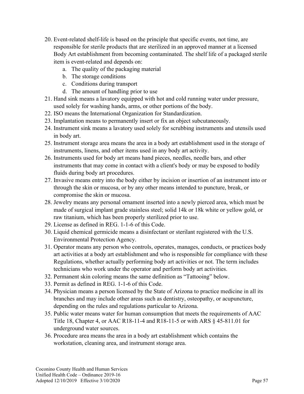- 20. Event-related shelf-life is based on the principle that specific events, not time, are responsible for sterile products that are sterilized in an approved manner at a licensed Body Art establishment from becoming contaminated. The shelf life of a packaged sterile item is event-related and depends on:
	- a. The quality of the packaging material
	- b. The storage conditions
	- c. Conditions during transport
	- d. The amount of handling prior to use
- 21. Hand sink means a lavatory equipped with hot and cold running water under pressure, used solely for washing hands, arms, or other portions of the body.
- 22. ISO means the International Organization for Standardization.
- 23. Implantation means to permanently insert or fix an object subcutaneously.
- 24. Instrument sink means a lavatory used solely for scrubbing instruments and utensils used in body art.
- 25. Instrument storage area means the area in a body art establishment used in the storage of instruments, linens, and other items used in any body art activity.
- 26. Instruments used for body art means hand pieces, needles, needle bars, and other instruments that may come in contact with a client's body or may be exposed to bodily fluids during body art procedures.
- 27. Invasive means entry into the body either by incision or insertion of an instrument into or through the skin or mucosa, or by any other means intended to puncture, break, or compromise the skin or mucosa.
- 28. Jewelry means any personal ornament inserted into a newly pierced area, which must be made of surgical implant grade stainless steel; solid 14k or 18k white or yellow gold, or raw titanium, which has been properly sterilized prior to use.
- 29. License as defined in REG. 1-1-6 of this Code.
- 30. Liquid chemical germicide means a disinfectant or sterilant registered with the U.S. Environmental Protection Agency.
- 31. Operator means any person who controls, operates, manages, conducts, or practices body art activities at a body art establishment and who is responsible for compliance with these Regulations, whether actually performing body art activities or not. The term includes technicians who work under the operator and perform body art activities.
- 32. Permanent skin coloring means the same definition as "Tattooing" below.
- 33. Permit as defined in REG. 1-1-6 of this Code.
- 34. Physician means a person licensed by the State of Arizona to practice medicine in all its branches and may include other areas such as dentistry, osteopathy, or acupuncture, depending on the rules and regulations particular to Arizona.
- 35. Public water means water for human consumption that meets the requirements of AAC Title 18, Chapter 4, or AAC R18-11-4 and R18-11-5 or with ARS § 45-811.01 for underground water sources.
- 36. Procedure area means the area in a body art establishment which contains the workstation, cleaning area, and instrument storage area.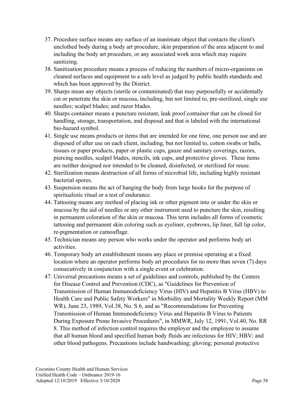- 37. Procedure surface means any surface of an inanimate object that contacts the client's unclothed body during a body art procedure, skin preparation of the area adjacent to and including the body art procedure, or any associated work area which may require sanitizing.
- 38. Sanitization procedure means a process of reducing the numbers of micro-organisms on cleaned surfaces and equipment to a safe level as judged by public health standards and which has been approved by the District.
- 39. Sharps mean any objects (sterile or contaminated) that may purposefully or accidentally cut or penetrate the skin or mucosa, including, but not limited to, pre-sterilized, single use needles; scalpel blades; and razor blades.
- 40. Sharps container means a puncture resistant, leak proof container that can be closed for handling, storage, transportation, and disposal and that is labeled with the international bio-hazard symbol.
- 41. Single use means products or items that are intended for one time, one person use and are disposed of after use on each client, including, but not limited to, cotton swabs or balls, tissues or paper products, paper or plastic cups, gauze and sanitary coverings, razors, piercing needles, scalpel blades, stencils, ink cups, and protective gloves. These items are neither designed nor intended to be cleaned, disinfected, or sterilized for reuse.
- 42. Sterilization means destruction of all forms of microbial life, including highly resistant bacterial spores.
- 43. Suspension means the act of hanging the body from large hooks for the purpose of spiritualistic ritual or a test of endurance.
- 44. Tattooing means any method of placing ink or other pigment into or under the skin or mucosa by the aid of needles or any other instrument used to puncture the skin, resulting in permanent coloration of the skin or mucosa. This term includes all forms of cosmetic tattooing and permanent skin coloring such as eyeliner, eyebrows, lip liner, full lip color, re-pigmentation or camouflage.
- 45. Technician means any person who works under the operator and performs body art activities.
- 46. Temporary body art establishment means any place or premise operating at a fixed location where an operator performs body art procedures for no more than seven (7) days consecutively in conjunction with a single event or celebration.
- 47. Universal precautions means a set of guidelines and controls, published by the Centers for Disease Control and Prevention (CDC), as "Guidelines for Prevention of Transmission of Human Immunodeficiency Virus (HIV) and Hepatitis B Virus (HBV) to Health Care and Public Safety Workers" in Morbidity and Mortality Weekly Report (MM WR), June 23, 1989, Vol.38, No. S 6, and as "Recommendations for Preventing Transmission of Human Immunodeficiency Virus and Hepatitis B Virus to Patients During Exposure Prone Invasive Procedures", in MMWR, July 12, 1991, Vol.40, No. RR 8. This method of infection control requires the employer and the employee to assume that all human blood and specified human body fluids are infectious for HIV; HBV; and other blood pathogens. Precautions include handwashing; gloving; personal protective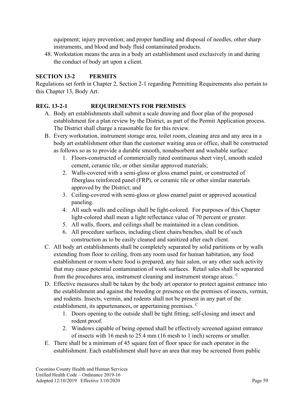equipment; injury prevention; and proper handling and disposal of needles, other sharp instruments, and blood and body fluid contaminated products.

48. Workstation means the area in a body art establishment used exclusively in and during the conduct of body art upon a client.

#### **SECTION 13-2 PERMITS**

Regulations set forth in Chapter 2, Section 2-1 regarding Permitting Requirements also pertain to this Chapter 13, Body Art.

#### **REG. 13-2-1 REQUIREMENTS FOR PREMISES**

- A. Body art establishments shall submit a scale drawing and floor plan of the proposed establishment for a plan review by the District, as part of the Permit Application process. The District shall charge a reasonable fee for this review.
- B. Every workstation, instrument storage area, toilet room, cleaning area and any area in a body art establishment other than the customer waiting area or office, shall be constructed as follows so as to provide a durable smooth, nonabsorbent and washable surface:
	- 1. Floors-constructed of commercially rated continuous sheet vinyl, smooth sealed cement, ceramic tile, or other similar approved materials;
	- 2. Walls-covered with a semi-gloss or gloss enamel paint, or constructed of fiberglass reinforced panel (FRP), or ceramic tile or other similar materials approved by the District; and
	- 3. Ceiling-covered with semi-gloss or gloss enamel paint or approved acoustical paneling.
	- 4. All such walls and ceilings shall be light-colored. For purposes of this Chapter light-colored shall mean a light reflectance value of 70 percent or greater.
	- 5. All walls, floors, and ceilings shall be maintained in a clean condition.
	- 6. All procedure surfaces, including client chairs/benches, shall be of such construction as to be easily cleaned and sanitized after each client.
- C. All body art establishments shall be completely separated by solid partitions or by walls extending from floor to ceiling, from any room used for human habitation, any food establishment or room where food is prepared, any hair salon, or any other such activity that may cause potential contamination of work surfaces. Retail sales shall be separated from the procedures area, instrument cleaning and instrument storage areas. <sup>C</sup>
- D. Effective measures shall be taken by the body art operator to protect against entrance into the establishment and against the breeding or presence on the premises of insects, vermin, and rodents. Insects, vermin, and rodents shall not be present in any part of the establishment, its appurtenances, or appertaining premises. <sup>C</sup>
	- 1. Doors opening to the outside shall be tight fitting, self-closing and insect and rodent proof.
	- 2. Windows capable of being opened shall be effectively screened against entrance of insects with 16 mesh to 25.4 mm (16 mesh to 1 inch) screens or smaller.
- E. There shall be a minimum of 45 square feet of floor space for each operator in the establishment. Each establishment shall have an area that may be screened from public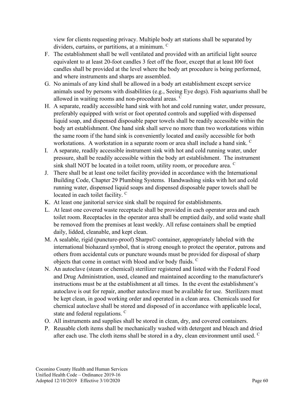view for clients requesting privacy. Multiple body art stations shall be separated by dividers, curtains, or partitions, at a minimum. <sup>C</sup>

- F. The establishment shall be well ventilated and provided with an artificial light source equivalent to at least 20-foot candles 3 feet off the floor, except that at least l00 foot candles shall be provided at the level where the body art procedure is being performed, and where instruments and sharps are assembled.
- G. No animals of any kind shall be allowed in a body art establishment except service animals used by persons with disabilities (e.g., Seeing Eye dogs). Fish aquariums shall be allowed in waiting rooms and non-procedural areas. <sup>C</sup>
- H. A separate, readily accessible hand sink with hot and cold running water, under pressure, preferably equipped with wrist or foot operated controls and supplied with dispensed liquid soap, and dispensed disposable paper towels shall be readily accessible within the body art establishment. One hand sink shall serve no more than two workstations within the same room if the hand sink is conveniently located and easily accessible for both workstations. A workstation in a separate room or area shall include a hand sink.
- I. A separate, readily accessible instrument sink with hot and cold running water, under pressure, shall be readily accessible within the body art establishment. The instrument sink shall NOT be located in a toilet room, utility room, or procedure area. C
- J. There shall be at least one toilet facility provided in accordance with the International Building Code, Chapter 29 Plumbing Systems. Handwashing sinks with hot and cold running water, dispensed liquid soaps and dispensed disposable paper towels shall be located in each toilet facility. <sup>C</sup>
- K. At least one janitorial service sink shall be required for establishments.
- L. At least one covered waste receptacle shall be provided in each operator area and each toilet room. Receptacles in the operator area shall be emptied daily, and solid waste shall be removed from the premises at least weekly. All refuse containers shall be emptied daily, lidded, cleanable, and kept clean.
- M. A sealable, rigid (puncture-proof) Sharps© container, appropriately labeled with the international biohazard symbol, that is strong enough to protect the operator, patrons and others from accidental cuts or puncture wounds must be provided for disposal of sharp objects that come in contact with blood and/or body fluids. <sup>C</sup>
- N. An autoclave (steam or chemical) sterilizer registered and listed with the Federal Food and Drug Administration, used, cleaned and maintained according to the manufacturer's instructions must be at the establishment at all times. In the event the establishment's autoclave is out for repair, another autoclave must be available for use. Sterilizers must be kept clean, in good working order and operated in a clean area. Chemicals used for chemical autoclave shall be stored and disposed of in accordance with applicable local, state and federal regulations. <sup>C</sup>
- O. All instruments and supplies shall be stored in clean, dry, and covered containers.
- P. Reusable cloth items shall be mechanically washed with detergent and bleach and dried after each use. The cloth items shall be stored in a dry, clean environment until used.  $\mathcal{C}$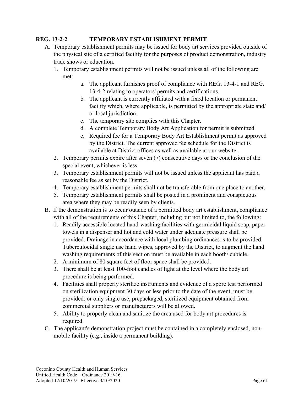#### **REG. 13-2-2 TEMPORARY ESTABLISHMENT PERMIT**

- A. Temporary establishment permits may be issued for body art services provided outside of the physical site of a certified facility for the purposes of product demonstration, industry trade shows or education.
	- 1. Temporary establishment permits will not be issued unless all of the following are met:
		- a. The applicant furnishes proof of compliance with REG. 13-4-1 and REG. 13-4-2 relating to operators' permits and certifications.
		- b. The applicant is currently affiliated with a fixed location or permanent facility which, where applicable, is permitted by the appropriate state and/ or local jurisdiction.
		- c. The temporary site complies with this Chapter.
		- d. A complete Temporary Body Art Application for permit is submitted.
		- e. Required fee for a Temporary Body Art Establishment permit as approved by the District. The current approved fee schedule for the District is available at District offices as well as available at our website.
	- 2. Temporary permits expire after seven (7) consecutive days or the conclusion of the special event, whichever is less.
	- 3. Temporary establishment permits will not be issued unless the applicant has paid a reasonable fee as set by the District.
	- 4. Temporary establishment permits shall not be transferable from one place to another.
	- 5. Temporary establishment permits shall be posted in a prominent and conspicuous area where they may be readily seen by clients.
- B. If the demonstration is to occur outside of a permitted body art establishment, compliance with all of the requirements of this Chapter, including but not limited to, the following:
	- 1. Readily accessible located hand-washing facilities with germicidal liquid soap, paper towels in a dispenser and hot and cold water under adequate pressure shall be provided. Drainage in accordance with local plumbing ordinances is to be provided. Tuberculocidal single use hand wipes, approved by the District, to augment the hand washing requirements of this section must be available in each booth/ cubicle.
	- 2. A minimum of 80 square feet of floor space shall be provided.
	- 3. There shall be at least 100-foot candles of light at the level where the body art procedure is being performed.
	- 4. Facilities shall properly sterilize instruments and evidence of a spore test performed on sterilization equipment 30 days or less prior to the date of the event, must be provided; or only single use, prepackaged, sterilized equipment obtained from commercial suppliers or manufacturers will be allowed.
	- 5. Ability to properly clean and sanitize the area used for body art procedures is required.
- C. The applicant's demonstration project must be contained in a completely enclosed, nonmobile facility (e.g., inside a permanent building).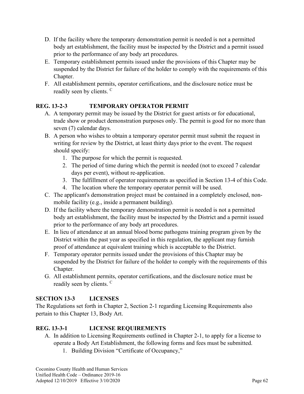- D. If the facility where the temporary demonstration permit is needed is not a permitted body art establishment, the facility must be inspected by the District and a permit issued prior to the performance of any body art procedures.
- E. Temporary establishment permits issued under the provisions of this Chapter may be suspended by the District for failure of the holder to comply with the requirements of this Chapter.
- F. All establishment permits, operator certifications, and the disclosure notice must be readily seen by clients. <sup>C</sup>

### **REG. 13-2-3 TEMPORARY OPERATOR PERMIT**

- A. A temporary permit may be issued by the District for guest artists or for educational, trade show or product demonstration purposes only. The permit is good for no more than seven (7) calendar days.
- B. A person who wishes to obtain a temporary operator permit must submit the request in writing for review by the District, at least thirty days prior to the event. The request should specify:
	- 1. The purpose for which the permit is requested.
	- 2. The period of time during which the permit is needed (not to exceed 7 calendar days per event), without re-application.
	- 3. The fulfillment of operator requirements as specified in Section 13-4 of this Code.
	- 4. The location where the temporary operator permit will be used.
- C. The applicant's demonstration project must be contained in a completely enclosed, nonmobile facility (e.g., inside a permanent building).
- D. If the facility where the temporary demonstration permit is needed is not a permitted body art establishment, the facility must be inspected by the District and a permit issued prior to the performance of any body art procedures.
- E. In lieu of attendance at an annual blood borne pathogens training program given by the District within the past year as specified in this regulation, the applicant may furnish proof of attendance at equivalent training which is acceptable to the District.
- F. Temporary operator permits issued under the provisions of this Chapter may be suspended by the District for failure of the holder to comply with the requirements of this Chapter.
- G. All establishment permits, operator certifications, and the disclosure notice must be readily seen by clients. <sup>C</sup>

## **SECTION 13-3 LICENSES**

The Regulations set forth in Chapter 2, Section 2-1 regarding Licensing Requirements also pertain to this Chapter 13, Body Art.

## **REG. 13-3-1 LICENSE REQUIREMENTS**

- A. In addition to Licensing Requirements outlined in Chapter 2-1, to apply for a license to operate a Body Art Establishment, the following forms and fees must be submitted.
	- 1. Building Division "Certificate of Occupancy,"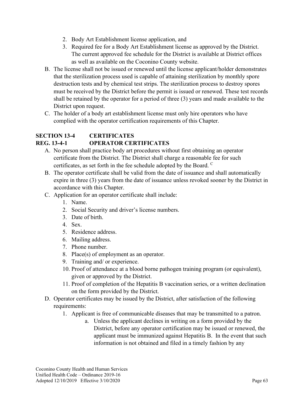- 2. Body Art Establishment license application, and
- 3. Required fee for a Body Art Establishment license as approved by the District. The current approved fee schedule for the District is available at District offices as well as available on the Coconino County website.
- B. The license shall not be issued or renewed until the license applicant/holder demonstrates that the sterilization process used is capable of attaining sterilization by monthly spore destruction tests and by chemical test strips. The sterilization process to destroy spores must be received by the District before the permit is issued or renewed. These test records shall be retained by the operator for a period of three (3) years and made available to the District upon request.
- C. The holder of a body art establishment license must only hire operators who have complied with the operator certification requirements of this Chapter.

## **SECTION 13-4 CERTIFICATES**

### **REG. 13-4-1 OPERATOR CERTIFICATES**

- A. No person shall practice body art procedures without first obtaining an operator certificate from the District. The District shall charge a reasonable fee for such certificates, as set forth in the fee schedule adopted by the Board. <sup>C</sup>
- B. The operator certificate shall be valid from the date of issuance and shall automatically expire in three (3) years from the date of issuance unless revoked sooner by the District in accordance with this Chapter.
- C. Application for an operator certificate shall include:
	- 1. Name.
	- 2. Social Security and driver's license numbers.
	- 3. Date of birth.
	- 4. Sex.
	- 5. Residence address.
	- 6. Mailing address.
	- 7. Phone number.
	- 8. Place(s) of employment as an operator.
	- 9. Training and/ or experience.
	- 10. Proof of attendance at a blood borne pathogen training program (or equivalent), given or approved by the District.
	- 11. Proof of completion of the Hepatitis B vaccination series, or a written declination on the form provided by the District.
- D. Operator certificates may be issued by the District, after satisfaction of the following requirements:
	- 1. Applicant is free of communicable diseases that may be transmitted to a patron.
		- a. Unless the applicant declines in writing on a form provided by the District, before any operator certification may be issued or renewed, the applicant must be immunized against Hepatitis B. In the event that such information is not obtained and filed in a timely fashion by any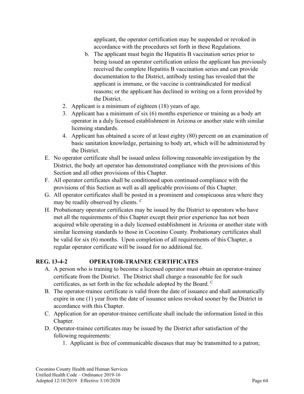applicant, the operator certification may be suspended or revoked in accordance with the procedures set forth in these Regulations.

- b. The applicant must begin the Hepatitis B vaccination series prior to being issued an operator certification unless the applicant has previously received the complete Hepatitis B vaccination series and can provide documentation to the District, antibody testing has revealed that the applicant is immune, or the vaccine is contraindicated for medical reasons; or the applicant has declined in writing on a form provided by the District.
- 2. Applicant is a minimum of eighteen (18) years of age.
- 3. Applicant has a minimum of six (6) months experience or training as a body art operator in a duly licensed establishment in Arizona or another state with similar licensing standards.
- 4. Applicant has obtained a score of at least eighty (80) percent on an examination of basic sanitation knowledge, pertaining to body art, which will be administered by the District.
- E. No operator certificate shall be issued unless following reasonable investigation by the District, the body art operator has demonstrated compliance with the provisions of this Section and all other provisions of this Chapter.
- F. All operator certificates shall be conditioned upon continued compliance with the provisions of this Section as well as all applicable provisions of this Chapter.
- G. All operator certificates shall be posted in a prominent and conspicuous area where they may be readily observed by clients. <sup>C</sup>
- H. Probationary operator certificates may be issued by the District to operators who have met all the requirements of this Chapter except their prior experience has not been acquired while operating in a duly licensed establishment in Arizona or another state with similar licensing standards to those in Coconino County. Probationary certificates shall be valid for six (6) months. Upon completion of all requirements of this Chapter, a regular operator certificate will be issued for no additional fee.

### **REG. 13-4-2 OPERATOR-TRAINEE CERTIFICATES**

- A. A person who is training to become a licensed operator must obtain an operator-trainee certificate from the District. The District shall charge a reasonable fee for such certificates, as set forth in the fee schedule adopted by the Board. <sup>C</sup>
- B. The operator-trainee certificate is valid from the date of issuance and shall automatically expire in one (1) year from the date of issuance unless revoked sooner by the District in accordance with this Chapter.
- C. Application for an operator-trainee certificate shall include the information listed in this Chapter.
- D. Operator-trainee certificates may be issued by the District after satisfaction of the following requirements:
	- 1. Applicant is free of communicable diseases that may be transmitted to a patron;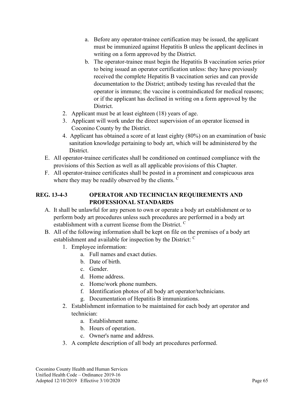- a. Before any operator-trainee certification may be issued, the applicant must be immunized against Hepatitis B unless the applicant declines in writing on a form approved by the District.
- b. The operator-trainee must begin the Hepatitis B vaccination series prior to being issued an operator certification unless: they have previously received the complete Hepatitis B vaccination series and can provide documentation to the District; antibody testing has revealed that the operator is immune; the vaccine is contraindicated for medical reasons; or if the applicant has declined in writing on a form approved by the District.
- 2. Applicant must be at least eighteen (18) years of age.
- 3. Applicant will work under the direct supervision of an operator licensed in Coconino County by the District.
- 4. Applicant has obtained a score of at least eighty (80%) on an examination of basic sanitation knowledge pertaining to body art, which will be administered by the District.
- E. All operator-trainee certificates shall be conditioned on continued compliance with the provisions of this Section as well as all applicable provisions of this Chapter.
- F. All operator-trainee certificates shall be posted in a prominent and conspicuous area where they may be readily observed by the clients. <sup>C</sup>

#### **REG. 13-4-3 OPERATOR AND TECHNICIAN REQUIREMENTS AND PROFESSIONAL STANDARDS**

- A. It shall be unlawful for any person to own or operate a body art establishment or to perform body art procedures unless such procedures are performed in a body art establishment with a current license from the District. <sup>C</sup>
- B. All of the following information shall be kept on file on the premises of a body art establishment and available for inspection by the District: C
	- 1. Employee information:
		- a. Full names and exact duties.
		- b. Date of birth.
		- c. Gender.
		- d. Home address.
		- e. Home/work phone numbers.
		- f. Identification photos of all body art operator/technicians.
		- g. Documentation of Hepatitis B immunizations.
	- 2. Establishment information to be maintained for each body art operator and technician:
		- a. Establishment name.
		- b. Hours of operation.
		- c. Owner's name and address.
	- 3. A complete description of all body art procedures performed.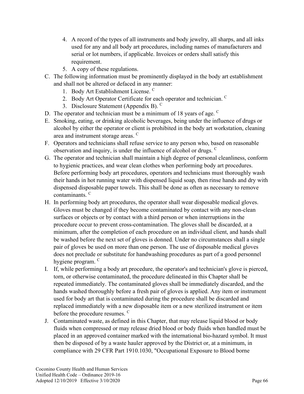- 4. A record of the types of all instruments and body jewelry, all sharps, and all inks used for any and all body art procedures, including names of manufacturers and serial or lot numbers, if applicable. Invoices or orders shall satisfy this requirement.
- 5. A copy of these regulations.
- C. The following information must be prominently displayed in the body art establishment and shall not be altered or defaced in any manner:
	- 1. Body Art Establishment License. <sup>C</sup>
	- 2. Body Art Operator Certificate for each operator and technician. <sup>C</sup>
	- 3. Disclosure Statement (Appendix B). C
- D. The operator and technician must be a minimum of 18 years of age.  $C$
- E. Smoking, eating, or drinking alcoholic beverages, being under the influence of drugs or alcohol by either the operator or client is prohibited in the body art workstation, cleaning area and instrument storage areas. <sup>C</sup>
- F. Operators and technicians shall refuse service to any person who, based on reasonable observation and inquiry, is under the influence of alcohol or drugs. <sup>C</sup>
- G. The operator and technician shall maintain a high degree of personal cleanliness, conform to hygienic practices, and wear clean clothes when performing body art procedures. Before performing body art procedures, operators and technicians must thoroughly wash their hands in hot running water with dispensed liquid soap, then rinse hands and dry with dispensed disposable paper towels. This shall be done as often as necessary to remove contaminants. <sup>C</sup>
- H. In performing body art procedures, the operator shall wear disposable medical gloves. Gloves must be changed if they become contaminated by contact with any non-clean surfaces or objects or by contact with a third person or when interruptions in the procedure occur to prevent cross-contamination. The gloves shall be discarded, at a minimum, after the completion of each procedure on an individual client, and hands shall be washed before the next set of gloves is donned. Under no circumstances shall a single pair of gloves be used on more than one person. The use of disposable medical gloves does not preclude or substitute for handwashing procedures as part of a good personnel hygiene program. C
- I. If, while performing a body art procedure, the operator's and technician's glove is pierced, torn, or otherwise contaminated, the procedure delineated in this Chapter shall be repeated immediately. The contaminated gloves shall be immediately discarded, and the hands washed thoroughly before a fresh pair of gloves is applied. Any item or instrument used for body art that is contaminated during the procedure shall be discarded and replaced immediately with a new disposable item or a new sterilized instrument or item before the procedure resumes. <sup>C</sup>
- J. Contaminated waste, as defined in this Chapter, that may release liquid blood or body fluids when compressed or may release dried blood or body fluids when handled must be placed in an approved container marked with the international bio-hazard symbol. It must then be disposed of by a waste hauler approved by the District or, at a minimum, in compliance with 29 CFR Part 1910.1030, "Occupational Exposure to Blood borne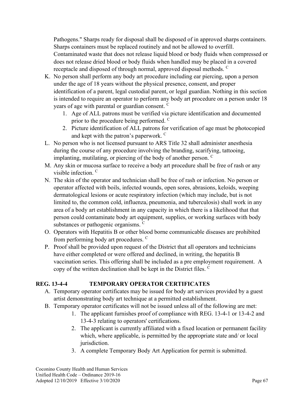Pathogens." Sharps ready for disposal shall be disposed of in approved sharps containers. Sharps containers must be replaced routinely and not be allowed to overfill.

Contaminated waste that does not release liquid blood or body fluids when compressed or does not release dried blood or body fluids when handled may be placed in a covered receptacle and disposed of through normal, approved disposal methods.  $\overline{C}$ 

- K. No person shall perform any body art procedure including ear piercing, upon a person under the age of 18 years without the physical presence, consent, and proper identification of a parent, legal custodial parent, or legal guardian. Nothing in this section is intended to require an operator to perform any body art procedure on a person under 18 years of age with parental or guardian consent. <sup>C</sup>
	- 1. Age of ALL patrons must be verified via picture identification and documented prior to the procedure being performed. <sup>C</sup>
	- 2. Picture identification of ALL patrons for verification of age must be photocopied and kept with the patron's paperwork. <sup>C</sup>
- L. No person who is not licensed pursuant to ARS Title 32 shall administer anesthesia during the course of any procedure involving the branding, scarifying, tattooing, implanting, mutilating, or piercing of the body of another person.  $C$
- M. Any skin or mucosa surface to receive a body art procedure shall be free of rash or any visible infection. <sup>C</sup>
- N. The skin of the operator and technician shall be free of rash or infection. No person or operator affected with boils, infected wounds, open sores, abrasions, keloids, weeping dermatological lesions or acute respiratory infection (which may include, but is not limited to, the common cold, influenza, pneumonia, and tuberculosis) shall work in any area of a body art establishment in any capacity in which there is a likelihood that that person could contaminate body art equipment, supplies, or working surfaces with body substances or pathogenic organisms. <sup>C</sup>
- O. Operators with Hepatitis B or other blood borne communicable diseases are prohibited from performing body art procedures. <sup>C</sup>
- P. Proof shall be provided upon request of the District that all operators and technicians have either completed or were offered and declined, in writing, the hepatitis B vaccination series. This offering shall be included as a pre employment requirement. A copy of the written declination shall be kept in the District files. <sup>C</sup>

### **REG. 13-4-4 TEMPORARY OPERATOR CERTIFICATES**

- A. Temporary operator certificates may be issued for body art services provided by a guest artist demonstrating body art technique at a permitted establishment.
- B. Temporary operator certificates will not be issued unless all of the following are met:
	- 1. The applicant furnishes proof of compliance with REG. 13-4-1 or 13-4-2 and 13-4-3 relating to operators' certifications.
	- 2. The applicant is currently affiliated with a fixed location or permanent facility which, where applicable, is permitted by the appropriate state and/ or local jurisdiction.
	- 3. A complete Temporary Body Art Application for permit is submitted.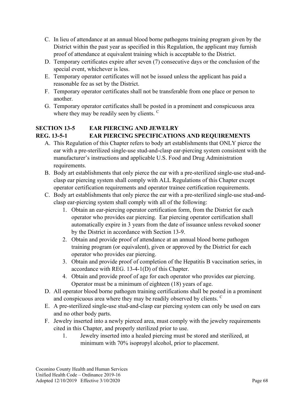- C. In lieu of attendance at an annual blood borne pathogens training program given by the District within the past year as specified in this Regulation, the applicant may furnish proof of attendance at equivalent training which is acceptable to the District.
- D. Temporary certificates expire after seven (7) consecutive days or the conclusion of the special event, whichever is less.
- E. Temporary operator certificates will not be issued unless the applicant has paid a reasonable fee as set by the District.
- F. Temporary operator certificates shall not be transferable from one place or person to another.
- G. Temporary operator certificates shall be posted in a prominent and conspicuous area where they may be readily seen by clients. <sup>C</sup>

### **SECTION 13-5 EAR PIERCING AND JEWELRY REG. 13-5-1 EAR PIERCING SPECIFICATIONS AND REQUIREMENTS**

- A. This Regulation of this Chapter refers to body art establishments that ONLY pierce the ear with a pre-sterilized single-use stud-and-clasp ear-piercing system consistent with the manufacturer's instructions and applicable U.S. Food and Drug Administration requirements.
- B. Body art establishments that only pierce the ear with a pre-sterilized single-use stud-andclasp ear piercing system shall comply with ALL Regulations of this Chapter except operator certification requirements and operator trainee certification requirements.
- C. Body art establishments that only pierce the ear with a pre-sterilized single-use stud-andclasp ear-piercing system shall comply with all of the following:
	- 1. Obtain an ear-piercing operator certification form, from the District for each operator who provides ear piercing. Ear piercing operator certification shall automatically expire in 3 years from the date of issuance unless revoked sooner by the District in accordance with Section 13-9.
	- 2. Obtain and provide proof of attendance at an annual blood borne pathogen training program (or equivalent), given or approved by the District for each operator who provides ear piercing.
	- 3. Obtain and provide proof of completion of the Hepatitis B vaccination series, in accordance with REG. 13-4-1(D) of this Chapter.
	- 4. Obtain and provide proof of age for each operator who provides ear piercing. Operator must be a minimum of eighteen (18) years of age.
- D. All operator blood borne pathogen training certifications shall be posted in a prominent and conspicuous area where they may be readily observed by clients.  $\mathcal{C}$
- E. A pre-sterilized single-use stud-and-clasp ear piercing system can only be used on ears and no other body parts.
- F. Jewelry inserted into a newly pierced area, must comply with the jewelry requirements cited in this Chapter, and properly sterilized prior to use.
	- 1. Jewelry inserted into a healed piercing must be stored and sterilized, at minimum with 70% isopropyl alcohol, prior to placement.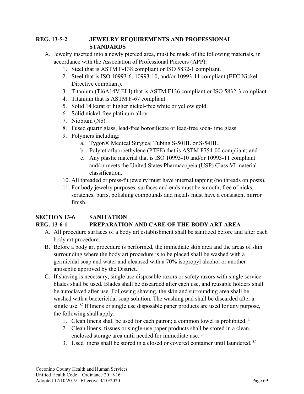#### **REG. 13-5-2 JEWELRY REQUIREMENTS AND PROFESSIONAL STANDARDS**

- A. Jewelry inserted into a newly pierced area, must be made of the following materials, in accordance with the Association of Professional Piercers (APP):
	- 1. Steel that is ASTM F-138 compliant or ISO 5832-1 compliant.
	- 2. Steel that is ISO 10993-6, 10993-10, and/or 10993-11 compliant (EEC Nickel Directive compliant).
	- 3. Titanium (Ti6A14V ELI) that is ASTM F136 compliant or ISO 5832-3 compliant.
	- 4. Titanium that is ASTM F-67 compliant.
	- 5. Solid 14 karat or higher nickel-free white or yellow gold.
	- 6. Solid nickel-free platinum alloy.
	- 7. Niobium (Nb).
	- 8. Fused quartz glass, lead-free borosilicate or lead-free soda-lime glass.
	- 9. Polymers including:
		- a. Tygon® Medical Surgical Tubing S-50HL or S-54HL;
		- b. Polytetrafluoroethylene (PTFE) that is ASTM F754-00 compliant; and
		- c. Any plastic material that is ISO 10993-10 and/or 10993-11 compliant and/or meets the United States Pharmacopeia (USP) Class VI material classification.
	- 10. All threaded or press-fit jewelry must have internal tapping (no threads on posts).
	- 11. For body jewelry purposes, surfaces and ends must be smooth, free of nicks, scratches, burrs, polishing compounds and metals must have a consistent mirror finish.

#### **SECTION 13-6 SANITATION REG. 13-6-1 PREPARATION AND CARE OF THE BODY ART AREA**

- A. All procedure surfaces of a body art establishment shall be sanitized before and after each body art procedure.
- B. Before a body art procedure is performed, the immediate skin area and the areas of skin surrounding where the body art procedure is to be placed shall be washed with a germicidal soap and water and cleansed with a 70% isopropyl alcohol or another antiseptic approved by the District.
- C. If shaving is necessary, single use disposable razors or safety razors with single service blades shall be used. Blades shall be discarded after each use, and reusable holders shall be autoclaved after use. Following shaving, the skin and surrounding area shall be washed with a bactericidal soap solution. The washing pad shall be discarded after a single use. <sup>C</sup> If linens or single use disposable paper products are used for any purpose, the following shall apply:
	- 1. Clean linens shall be used for each patron; a common towel is prohibited.  $\mathcal{C}$
	- 2. Clean linens, tissues or single-use paper products shall be stored in a clean, enclosed storage area until needed for immediate use. <sup>C</sup>
	- 3. Used linens shall be stored in a closed or covered container until laundered. <sup>C</sup>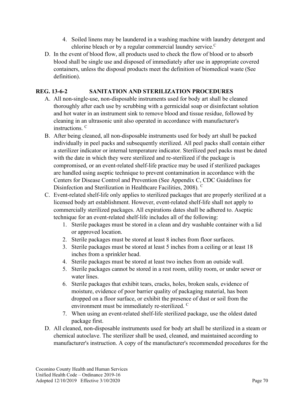- 4. Soiled linens may be laundered in a washing machine with laundry detergent and chlorine bleach or by a regular commercial laundry service.<sup>C</sup>
- D. In the event of blood flow, all products used to check the flow of blood or to absorb blood shall be single use and disposed of immediately after use in appropriate covered containers, unless the disposal products meet the definition of biomedical waste (See definition).

### **REG. 13-6-2 SANITATION AND STERILIZATION PROCEDURES**

- A. All non-single-use, non-disposable instruments used for body art shall be cleaned thoroughly after each use by scrubbing with a germicidal soap or disinfectant solution and hot water in an instrument sink to remove blood and tissue residue, followed by cleaning in an ultrasonic unit also operated in accordance with manufacturer's instructions. C
- B. After being cleaned, all non-disposable instruments used for body art shall be packed individually in peel packs and subsequently sterilized. All peel packs shall contain either a sterilizer indicator or internal temperature indicator. Sterilized peel packs must be dated with the date in which they were sterilized and re-sterilized if the package is compromised, or an event-related shelf-life practice may be used if sterilized packages are handled using aseptic technique to prevent contamination in accordance with the Centers for Disease Control and Prevention (See Appendix C, CDC Guidelines for Disinfection and Sterilization in Healthcare Facilities, 2008). C
- C. Event-related shelf-life only applies to sterilized packages that are properly sterilized at a licensed body art establishment. However, event-related shelf-life shall not apply to commercially sterilized packages. All expirations dates shall be adhered to. Aseptic technique for an event-related shelf-life includes all of the following:
	- 1. Sterile packages must be stored in a clean and dry washable container with a lid or approved location.
	- 2. Sterile packages must be stored at least 8 inches from floor surfaces.
	- 3. Sterile packages must be stored at least 5 inches from a ceiling or at least 18 inches from a sprinkler head.
	- 4. Sterile packages must be stored at least two inches from an outside wall.
	- 5. Sterile packages cannot be stored in a rest room, utility room, or under sewer or water lines.
	- 6. Sterile packages that exhibit tears, cracks, holes, broken seals, evidence of moisture, evidence of poor barrier quality of packaging material, has been dropped on a floor surface, or exhibit the presence of dust or soil from the environment must be immediately re-sterilized. C
	- 7. When using an event-related shelf-life sterilized package, use the oldest dated package first.
- D. All cleaned, non-disposable instruments used for body art shall be sterilized in a steam or chemical autoclave. The sterilizer shall be used, cleaned, and maintained according to manufacturer's instruction. A copy of the manufacturer's recommended procedures for the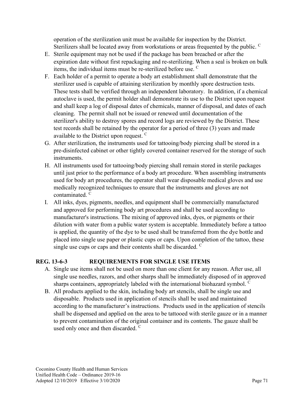operation of the sterilization unit must be available for inspection by the District. Sterilizers shall be located away from workstations or areas frequented by the public.  $\overline{C}$ 

- E. Sterile equipment may not be used if the package has been breached or after the expiration date without first repackaging and re-sterilizing. When a seal is broken on bulk items, the individual items must be re-sterilized before use. C
- F. Each holder of a permit to operate a body art establishment shall demonstrate that the sterilizer used is capable of attaining sterilization by monthly spore destruction tests. These tests shall be verified through an independent laboratory. In addition, if a chemical autoclave is used, the permit holder shall demonstrate its use to the District upon request and shall keep a log of disposal dates of chemicals, manner of disposal, and dates of each cleaning. The permit shall not be issued or renewed until documentation of the sterilizer's ability to destroy spores and record logs are reviewed by the District. These test records shall be retained by the operator for a period of three (3) years and made available to the District upon request. <sup>C</sup>
- G. After sterilization, the instruments used for tattooing/body piercing shall be stored in a pre-disinfected cabinet or other tightly covered container reserved for the storage of such instruments.
- H. All instruments used for tattooing/body piercing shall remain stored in sterile packages until just prior to the performance of a body art procedure. When assembling instruments used for body art procedures, the operator shall wear disposable medical gloves and use medically recognized techniques to ensure that the instruments and gloves are not contaminated. <sup>C</sup>
- I. All inks, dyes, pigments, needles, and equipment shall be commercially manufactured and approved for performing body art procedures and shall be used according to manufacturer's instructions. The mixing of approved inks, dyes, or pigments or their dilution with water from a public water system is acceptable. Immediately before a tattoo is applied, the quantity of the dye to be used shall be transferred from the dye bottle and placed into single use paper or plastic cups or caps. Upon completion of the tattoo, these single use cups or caps and their contents shall be discarded. <sup>C</sup>

## **REG. 13-6-3 REQUIREMENTS FOR SINGLE USE ITEMS**

- A. Single use items shall not be used on more than one client for any reason. After use, all single use needles, razors, and other sharps shall be immediately disposed of in approved sharps containers, appropriately labeled with the international biohazard symbol.  $\mathcal{C}$
- B. All products applied to the skin, including body art stencils, shall be single use and disposable. Products used in application of stencils shall be used and maintained according to the manufacturer's instructions. Products used in the application of stencils shall be dispensed and applied on the area to be tattooed with sterile gauze or in a manner to prevent contamination of the original container and its contents. The gauze shall be used only once and then discarded. <sup>C</sup>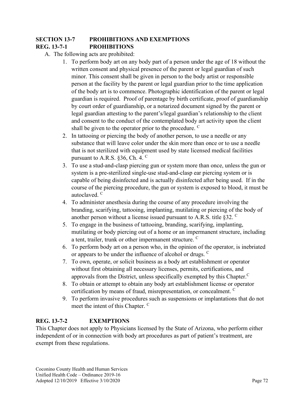# **SECTION 13-7 PROHIBITIONS AND EXEMPTIONS REG. 13-7-1 PROHIBITIONS**

# A. The following acts are prohibited:

- 1. To perform body art on any body part of a person under the age of 18 without the written consent and physical presence of the parent or legal guardian of such minor. This consent shall be given in person to the body artist or responsible person at the facility by the parent or legal guardian prior to the time application of the body art is to commence. Photographic identification of the parent or legal guardian is required. Proof of parentage by birth certificate, proof of guardianship by court order of guardianship, or a notarized document signed by the parent or legal guardian attesting to the parent's/legal guardian's relationship to the client and consent to the conduct of the contemplated body art activity upon the client shall be given to the operator prior to the procedure.  $\mathcal{C}$
- 2. In tattooing or piercing the body of another person, to use a needle or any substance that will leave color under the skin more than once or to use a needle that is not sterilized with equipment used by state licensed medical facilities pursuant to A.R.S. §36, Ch. 4. <sup>C</sup>
- 3. To use a stud-and-clasp piercing gun or system more than once, unless the gun or system is a pre-sterilized single-use stud-and-clasp ear piercing system or is capable of being disinfected and is actually disinfected after being used. If in the course of the piercing procedure, the gun or system is exposed to blood, it must be autoclaved. <sup>C</sup>
- 4. To administer anesthesia during the course of any procedure involving the branding, scarifying, tattooing, implanting, mutilating or piercing of the body of another person without a license issued pursuant to A.R.S. title  $\S 32$ .
- 5. To engage in the business of tattooing, branding, scarifying, implanting, mutilating or body piercing out of a home or an impermanent structure, including a tent, trailer, trunk or other impermanent structure. <sup>C</sup>
- 6. To perform body art on a person who, in the opinion of the operator, is inebriated or appears to be under the influence of alcohol or drugs. <sup>C</sup>
- 7. To own, operate, or solicit business as a body art establishment or operator without first obtaining all necessary licenses, permits, certifications, and approvals from the District, unless specifically exempted by this Chapter. $C$
- 8. To obtain or attempt to obtain any body art establishment license or operator certification by means of fraud, misrepresentation, or concealment. <sup>C</sup>
- 9. To perform invasive procedures such as suspensions or implantations that do not meet the intent of this Chapter. <sup>C</sup>

# **REG. 13-7-2 EXEMPTIONS**

This Chapter does not apply to Physicians licensed by the State of Arizona, who perform either independent of or in connection with body art procedures as part of patient's treatment, are exempt from these regulations.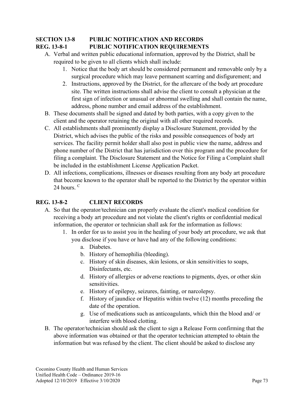# **SECTION 13-8 PUBLIC NOTIFICATION AND RECORDS REG. 13-8-1 PUBLIC NOTIFICATION REQUIREMENTS**

- A. Verbal and written public educational information, approved by the District, shall be required to be given to all clients which shall include:
	- 1. Notice that the body art should be considered permanent and removable only by a surgical procedure which may leave permanent scarring and disfigurement; and
	- 2. Instructions, approved by the District, for the aftercare of the body art procedure site. The written instructions shall advise the client to consult a physician at the first sign of infection or unusual or abnormal swelling and shall contain the name, address, phone number and email address of the establishment.
- B. These documents shall be signed and dated by both parties, with a copy given to the client and the operator retaining the original with all other required records.
- C. All establishments shall prominently display a Disclosure Statement, provided by the District, which advises the public of the risks and possible consequences of body art services. The facility permit holder shall also post in public view the name, address and phone number of the District that has jurisdiction over this program and the procedure for filing a complaint. The Disclosure Statement and the Notice for Filing a Complaint shall be included in the establishment License Application Packet.
- D. All infections, complications, illnesses or diseases resulting from any body art procedure that become known to the operator shall be reported to the District by the operator within 24 hours.  $C$

# **REG. 13-8-2 CLIENT RECORDS**

- A. So that the operator/technician can properly evaluate the client's medical condition for receiving a body art procedure and not violate the client's rights or confidential medical information, the operator or technician shall ask for the information as follows:
	- 1. In order for us to assist you in the healing of your body art procedure, we ask that you disclose if you have or have had any of the following conditions:
		- a. Diabetes.
		- b. History of hemophilia (bleeding).
		- c. History of skin diseases, skin lesions, or skin sensitivities to soaps, Disinfectants, etc.
		- d. History of allergies or adverse reactions to pigments, dyes, or other skin sensitivities.
		- e. History of epilepsy, seizures, fainting, or narcolepsy.
		- f. History of jaundice or Hepatitis within twelve (12) months preceding the date of the operation.
		- g. Use of medications such as anticoagulants, which thin the blood and/ or interfere with blood clotting.
- B. The operator/technician should ask the client to sign a Release Form confirming that the above information was obtained or that the operator technician attempted to obtain the information but was refused by the client. The client should be asked to disclose any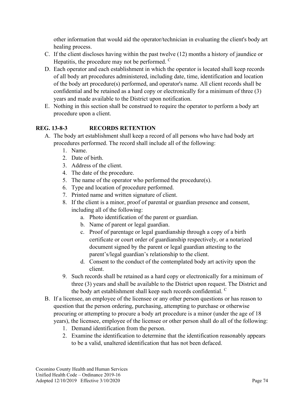other information that would aid the operator/technician in evaluating the client's body art healing process.

- C. If the client discloses having within the past twelve (12) months a history of jaundice or Hepatitis, the procedure may not be performed. <sup>C</sup>
- D. Each operator and each establishment in which the operator is located shall keep records of all body art procedures administered, including date, time, identification and location of the body art procedure(s) performed, and operator's name. All client records shall be confidential and be retained as a hard copy or electronically for a minimum of three (3) years and made available to the District upon notification.
- E. Nothing in this section shall be construed to require the operator to perform a body art procedure upon a client.

# **REG. 13-8-3 RECORDS RETENTION**

- A. The body art establishment shall keep a record of all persons who have had body art procedures performed. The record shall include all of the following:
	- 1. Name.
	- 2. Date of birth.
	- 3. Address of the client.
	- 4. The date of the procedure.
	- 5. The name of the operator who performed the procedure(s).
	- 6. Type and location of procedure performed.
	- 7. Printed name and written signature of client.
	- 8. If the client is a minor, proof of parental or guardian presence and consent, including all of the following:
		- a. Photo identification of the parent or guardian.
		- b. Name of parent or legal guardian.
		- c. Proof of parentage or legal guardianship through a copy of a birth certificate or court order of guardianship respectively, or a notarized document signed by the parent or legal guardian attesting to the parent's/legal guardian's relationship to the client.
		- d. Consent to the conduct of the contemplated body art activity upon the client.
	- 9. Such records shall be retained as a hard copy or electronically for a minimum of three (3) years and shall be available to the District upon request. The District and the body art establishment shall keep such records confidential.  $\mathbf{C}$
- B. If a licensee, an employee of the licensee or any other person questions or has reason to question that the person ordering, purchasing, attempting to purchase or otherwise procuring or attempting to procure a body art procedure is a minor (under the age of 18 years), the licensee, employee of the licensee or other person shall do all of the following:
	- 1. Demand identification from the person.
	- 2. Examine the identification to determine that the identification reasonably appears to be a valid, unaltered identification that has not been defaced.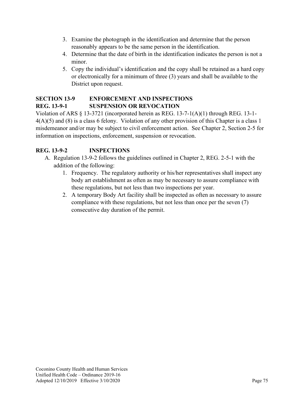- 3. Examine the photograph in the identification and determine that the person reasonably appears to be the same person in the identification.
- 4. Determine that the date of birth in the identification indicates the person is not a minor.
- 5. Copy the individual's identification and the copy shall be retained as a hard copy or electronically for a minimum of three (3) years and shall be available to the District upon request.

# **SECTION 13-9 ENFORCEMENT AND INSPECTIONS REG. 13-9-1 SUSPENSION OR REVOCATION**

Violation of ARS § 13-3721 (incorporated herein as REG. 13-7-1(A)(1) through REG. 13-1- 4(A)(5) and (8) is a class 6 felony. Violation of any other provision of this Chapter is a class 1 misdemeanor and/or may be subject to civil enforcement action. See Chapter 2, Section 2-5 for information on inspections, enforcement, suspension or revocation.

# **REG. 13-9-2 INSPECTIONS**

- A. Regulation 13-9-2 follows the guidelines outlined in Chapter 2, REG. 2-5-1 with the addition of the following:
	- 1. Frequency. The regulatory authority or his/her representatives shall inspect any body art establishment as often as may be necessary to assure compliance with these regulations, but not less than two inspections per year.
	- 2. A temporary Body Art facility shall be inspected as often as necessary to assure compliance with these regulations, but not less than once per the seven (7) consecutive day duration of the permit.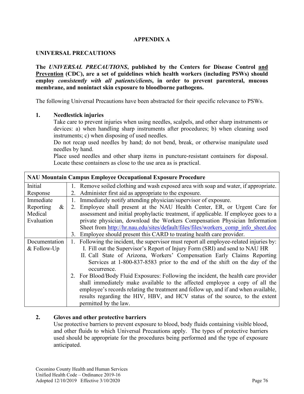# **APPENDIX A**

# **UNIVERSAL PRECAUTIONS**

**The** *UNIVERSAL PRECAUTIONS***, published by the Centers for Disease Control and Prevention (CDC), are a set of guidelines which health workers (including PSWs) should employ** *consistently with all patients/clients***, in order to prevent parenteral, mucous membrane, and nonintact skin exposure to bloodborne pathogens.**

The following Universal Precautions have been abstracted for their specific relevance to PSWs.

#### **1. Needlestick injuries**

Take care to prevent injuries when using needles, scalpels, and other sharp instruments or devices: a) when handling sharp instruments after procedures; b) when cleaning used instruments; c) when disposing of used needles.

Do not recap used needles by hand; do not bend, break, or otherwise manipulate used needles by hand.

Place used needles and other sharp items in puncture-resistant containers for disposal. Locate these containers as close to the use area as is practical.

| <b>NAU Mountain Campus Employee Occupational Exposure Procedure</b> |                                                                                           |  |  |
|---------------------------------------------------------------------|-------------------------------------------------------------------------------------------|--|--|
| Initial                                                             | 1. Remove soiled clothing and wash exposed area with soap and water, if appropriate.      |  |  |
| Response                                                            | 2. Administer first aid as appropriate to the exposure.                                   |  |  |
| Immediate                                                           | Immediately notify attending physician/supervisor of exposure.<br>1.                      |  |  |
| Reporting<br>$\&$                                                   | Employee shall present at the NAU Health Center, ER, or Urgent Care for<br>2.             |  |  |
| Medical                                                             | assessment and initial prophylactic treatment, if applicable. If employee goes to a       |  |  |
| Evaluation                                                          | private physician, download the Workers Compensation Physician Information                |  |  |
|                                                                     | Sheet from http://hr.nau.edu/sites/default/files/files/workers comp info sheet.doc        |  |  |
|                                                                     | Employee should present this CARD to treating health care provider.<br>3.                 |  |  |
| Documentation                                                       | Following the incident, the supervisor must report all employee-related injuries by:      |  |  |
| & Follow-Up                                                         | I. Fill out the Supervisor's Report of Injury Form (SRI) and send to NAU HR               |  |  |
|                                                                     | II. Call State of Arizona, Workers' Compensation Early Claims Reporting                   |  |  |
|                                                                     | Services at 1-800-837-8583 prior to the end of the shift on the day of the<br>occurrence. |  |  |
|                                                                     | 2. For Blood/Body Fluid Exposures: Following the incident, the health care provider       |  |  |
|                                                                     | shall immediately make available to the affected employee a copy of all the               |  |  |
|                                                                     | employee's records relating the treatment and follow up, and if and when available,       |  |  |
|                                                                     | results regarding the HIV, HBV, and HCV status of the source, to the extent               |  |  |
|                                                                     | permitted by the law.                                                                     |  |  |

# **2. Gloves and other protective barriers**

Use protective barriers to prevent exposure to blood, body fluids containing visible blood, and other fluids to which Universal Precautions apply. The types of protective barriers used should be appropriate for the procedures being performed and the type of exposure anticipated.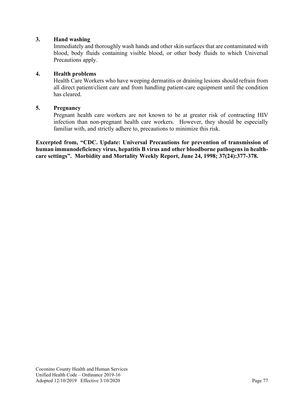#### **3. Hand washing**

Immediately and thoroughly wash hands and other skin surfaces that are contaminated with blood, body fluids containing visible blood, or other body fluids to which Universal Precautions apply.

#### **4. Health problems**

Health Care Workers who have weeping dermatitis or draining lesions should refrain from all direct patient/client care and from handling patient-care equipment until the condition has cleared.

#### **5. Pregnancy**

Pregnant health care workers are not known to be at greater risk of contracting HIV infection than non-pregnant health care workers. However, they should be especially familiar with, and strictly adhere to, precautions to minimize this risk.

**Excerpted from, "CDC. Update: Universal Precautions for prevention of transmission of human immunodeficiency virus, hepatitis B virus and other bloodborne pathogens in healthcare settings". Morbidity and Mortality Weekly Report, June 24, 1998; 37(24):377-378.**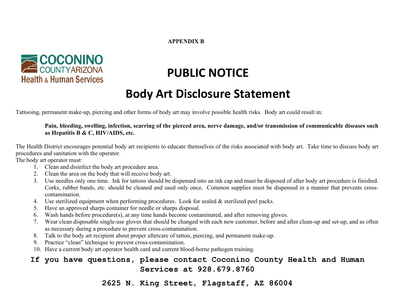#### **APPENDIX B**



# **PUBLIC NOTICE**

# **Body Art Disclosure Statement**

Tattooing, permanent make-up, piercing and other forms of body art may involve possible health risks. Body art could result in: 

#### **Pain, bleeding, swelling, infection, scarring of the pierced area, nerve damage, and/or transmission of communicable diseases such as Hepatitis B & C, HIV/AIDS, etc.**

The Health District encourages potential body art recipients to educate themselves of the risks associated with body art. Take time to discuss body art procedures and sanitation with the operator.

The body art operator must:

- 1. Clean and disinfect the body art procedure area.
- 2. Clean the area on the body that will receive body art.
- 3. Use needles only one time. Ink for tattoos should be dispensed into an ink cap and must be disposed of after body art procedure is finished. Corks, rubber bands, etc. should be cleaned and used only once. Common supplies must be dispensed in a manner that prevents crosscontamination.
- 4. Use sterilized equipment when performing procedures. Look for sealed & sterilized peel packs.
- 5. Have an approved sharps container for needle or sharps disposal.
- 6. Wash hands before procedure(s), at any time hands become contaminated, and after removing gloves.
- 7. Wear clean disposable single-use gloves that should be changed with each new customer, before and after clean-up and set-up, and as often as necessary during a procedure to prevent cross-contamination.
- 8. Talk to the body art recipient about proper aftercare of tattoo, piercing, and permanent make-up.
- 9. Practice "clean" technique to prevent cross-contamination.
- 10. Have a current body art operator health card and current blood-borne pathogen training.

# **If you have questions, please contact Coconino County Health and Human Services at 928.679.8760**

2625 N. King Street, Flagstaff, AZ 86004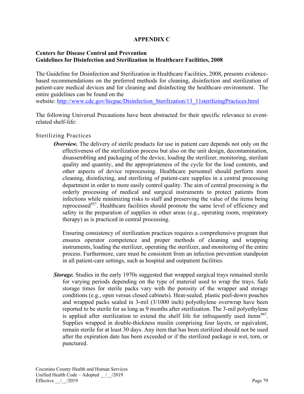# **APPENDIX C**

#### **Centers for Disease Control and Prevention Guidelines for Disinfection and Sterilization in Healthcare Facilities, 2008**

The Guideline for Disinfection and Sterilization in Healthcare Facilities, 2008, presents evidencebased recommendations on the preferred methods for cleaning, disinfection and sterilization of patient-care medical devices and for cleaning and disinfecting the healthcare environment. The entire guidelines can be found on the website: [http://www.cdc.gov/hicpac/Disinfection\\_Sterilization/13\\_11sterilizingPractices.html](http://www.cdc.gov/hicpac/Disinfection_Sterilization/13_11sterilizingPractices.html)

The following Universal Precautions have been abstracted for their specific relevance to eventrelated shelf-life:

# Sterilizing Practices

*Overview.* The delivery of sterile products for use in patient care depends not only on the effectiveness of the sterilization process but also on the unit design, decontamination, disassembling and packaging of the device, loading the sterilizer, monitoring, sterilant quality and quantity, and the appropriateness of the cycle for the load contents, and other aspects of device reprocessing. Healthcare personnel should perform most cleaning, disinfecting, and sterilizing of patient-care supplies in a central processing department in order to more easily control quality. The aim of central processing is the orderly processing of medical and surgical instruments to protect patients from infections while minimizing risks to staff and preserving the value of the items being reprocessed<sup>957</sup>. Healthcare facilities should promote the same level of efficiency and safety in the preparation of supplies in other areas (e.g., operating room, respiratory therapy) as is practiced in central processing.

Ensuring consistency of sterilization practices requires a comprehensive program that ensures operator competence and proper methods of cleaning and wrapping instruments, loading the sterilizer, operating the sterilizer, and monitoring of the entire process. Furthermore, care must be consistent from an infection prevention standpoint in all patient-care settings, such as hospital and outpatient facilities.

**Storage.** Studies in the early 1970s suggested that wrapped surgical trays remained sterile for varying periods depending on the type of material used to wrap the trays. Safe storage times for sterile packs vary with the porosity of the wrapper and storage conditions (e.g., open versus closed cabinets). Heat-sealed, plastic peel-down pouches and wrapped packs sealed in 3-mil (3/1000 inch) polyethylene overwrap have been reported to be sterile for as long as 9 months after sterilization. The 3-mil polyethylene is applied after sterilization to extend the shelf life for infrequently used items<sup>967</sup>. Supplies wrapped in double-thickness muslin comprising four layers, or equivalent, remain sterile for at least 30 days. Any item that has been sterilized should not be used after the expiration date has been exceeded or if the sterilized package is wet, torn, or punctured.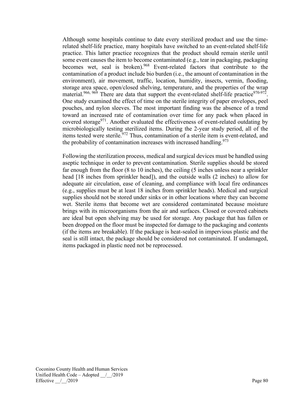Although some hospitals continue to date every sterilized product and use the timerelated shelf-life practice, many hospitals have switched to an event-related shelf-life practice. This latter practice recognizes that the product should remain sterile until some event causes the item to become contaminated (e.g., tear in packaging, packaging becomes wet, seal is broken). <sup>968</sup> Event-related factors that contribute to the contamination of a product include bio burden (i.e., the amount of contamination in the environment), air movement, traffic, location, humidity, insects, vermin, flooding, storage area space, open/closed shelving, temperature, and the properties of the wrap material.<sup>966, 969</sup> There are data that support the event-related shelf-life practice<sup>970-972</sup>. One study examined the effect of time on the sterile integrity of paper envelopes, peel pouches, and nylon sleeves. The most important finding was the absence of a trend toward an increased rate of contamination over time for any pack when placed in covered storage<sup>971</sup>. Another evaluated the effectiveness of event-related outdating by microbiologically testing sterilized items. During the 2-year study period, all of the items tested were sterile.<sup>972</sup> Thus, contamination of a sterile item is event-related, and the probability of contamination increases with increased handling.<sup>973</sup>

Following the sterilization process, medical and surgical devices must be handled using aseptic technique in order to prevent contamination. Sterile supplies should be stored far enough from the floor (8 to 10 inches), the ceiling (5 inches unless near a sprinkler head [18 inches from sprinkler head]), and the outside walls (2 inches) to allow for adequate air circulation, ease of cleaning, and compliance with local fire ordinances (e.g., supplies must be at least 18 inches from sprinkler heads). Medical and surgical supplies should not be stored under sinks or in other locations where they can become wet. Sterile items that become wet are considered contaminated because moisture brings with its microorganisms from the air and surfaces. Closed or covered cabinets are ideal but open shelving may be used for storage. Any package that has fallen or been dropped on the floor must be inspected for damage to the packaging and contents (if the items are breakable). If the package is heat-sealed in impervious plastic and the seal is still intact, the package should be considered not contaminated. If undamaged, items packaged in plastic need not be reprocessed.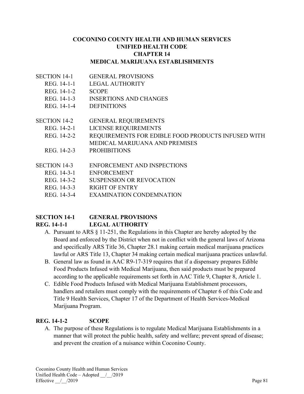# **COCONINO COUNTY HEALTH AND HUMAN SERVICES UNIFIED HEALTH CODE CHAPTER 14 MEDICAL MARIJUANA ESTABLISHMENTS**

- SECTION 14-1 GENERAL PROVISIONS
	- REG. 14-1-1 LEGAL AUTHORITY
	- REG. 14-1-2 SCOPE
	- REG. 14-1-3 INSERTIONS AND CHANGES
	- REG. 14-1-4 DEFINITIONS
- SECTION 14-2 GENERAL REQUIREMENTS
	- REG. 14-2-1 LICENSE REQUIREMENTS
	- REG. 14-2-2 REQUIREMENTS FOR EDIBLE FOOD PRODUCTS INFUSED WITH
	- MEDICAL MARIJUANA AND PREMISES
	- REG. 14-2-3 PROHIBITIONS
- SECTION 14-3 ENFORCEMENT AND INSPECTIONS
	- REG. 14-3-1 ENFORCEMENT
	- REG. 14-3-2 SUSPENSION OR REVOCATION
	- REG. 14-3-3 RIGHT OF ENTRY
	- REG. 14-3-4 EXAMINATION CONDEMNATION

# **SECTION 14-1 GENERAL PROVISIONS REG. 14-1-1 LEGAL AUTHORITY**

- A. Pursuant to ARS § 11-251, the Regulations in this Chapter are hereby adopted by the Board and enforced by the District when not in conflict with the general laws of Arizona and specifically ARS Title 36, Chapter 28.1 making certain medical marijuana practices lawful or ARS Title 13, Chapter 34 making certain medical marijuana practices unlawful.
- B. General law as found in AAC R9-17-319 requires that if a dispensary prepares Edible Food Products Infused with Medical Marijuana, then said products must be prepared according to the applicable requirements set forth in AAC Title 9, Chapter 8, Article 1.
- C. Edible Food Products Infused with Medical Marijuana Establishment processors, handlers and retailers must comply with the requirements of Chapter 6 of this Code and Title 9 Health Services, Chapter 17 of the Department of Health Services-Medical Marijuana Program.

# **REG. 14-1-2 SCOPE**

A. The purpose of these Regulations is to regulate Medical Marijuana Establishments in a manner that will protect the public health, safety and welfare; prevent spread of disease; and prevent the creation of a nuisance within Coconino County.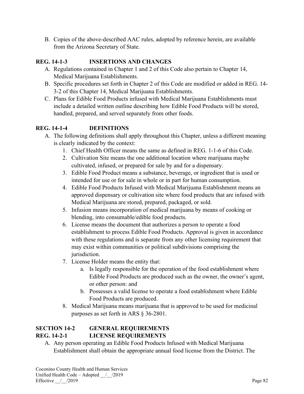B. Copies of the above-described AAC rules, adopted by reference herein, are available from the Arizona Secretary of State.

# **REG. 14-1-3 INSERTIONS AND CHANGES**

- A. Regulations contained in Chapter 1 and 2 of this Code also pertain to Chapter 14, Medical Marijuana Establishments.
- B. Specific procedures set forth in Chapter 2 of this Code are modified or added in REG. 14- 3-2 of this Chapter 14, Medical Marijuana Establishments.
- C. Plans for Edible Food Products infused with Medical Marijuana Establishments must include a detailed written outline describing how Edible Food Products will be stored, handled, prepared, and served separately from other foods.

# **REG. 14-1-4 DEFINITIONS**

- A. The following definitions shall apply throughout this Chapter, unless a different meaning is clearly indicated by the context:
	- 1. Chief Health Officer means the same as defined in REG. 1-1-6 of this Code.
	- 2. Cultivation Site means the one additional location where marijuana maybe cultivated, infused, or prepared for sale by and for a dispensary.
	- 3. Edible Food Product means a substance, beverage, or ingredient that is used or intended for use or for sale in whole or in part for human consumption.
	- 4. Edible Food Products Infused with Medical Marijuana Establishment means an approved dispensary or cultivation site where food products that are infused with Medical Marijuana are stored, prepared, packaged, or sold.
	- 5. Infusion means incorporation of medical marijuana by means of cooking or blending, into consumable/edible food products.
	- 6. License means the document that authorizes a person to operate a food establishment to process Edible Food Products. Approval is given in accordance with these regulations and is separate from any other licensing requirement that may exist within communities or political subdivisions comprising the jurisdiction.
	- 7. License Holder means the entity that:
		- a. Is legally responsible for the operation of the food establishment where Edible Food Products are produced such as the owner, the owner's agent, or other person: and
		- b. Possesses a valid license to operate a food establishment where Edible Food Products are produced.
	- 8. Medical Marijuana means marijuana that is approved to be used for medicinal purposes as set forth in ARS § 36-2801.

# **SECTION 14-2 GENERAL REQUIREMENTS REG. 14-2-1 LICENSE REQUIREMENTS**

A. Any person operating an Edible Food Products Infused with Medical Marijuana Establishment shall obtain the appropriate annual food license from the District. The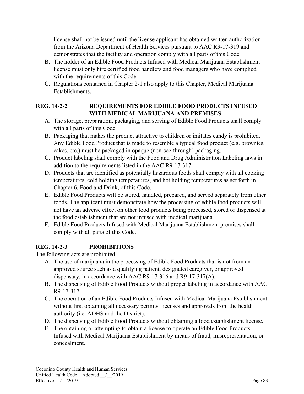license shall not be issued until the license applicant has obtained written authorization from the Arizona Department of Health Services pursuant to AAC R9-17-319 and demonstrates that the facility and operation comply with all parts of this Code.

- B. The holder of an Edible Food Products Infused with Medical Marijuana Establishment license must only hire certified food handlers and food managers who have complied with the requirements of this Code.
- C. Regulations contained in Chapter 2-1 also apply to this Chapter, Medical Marijuana Establishments.

# **REG. 14-2-2 REQUIREMENTS FOR EDIBLE FOOD PRODUCTS INFUSED WITH MEDICAL MARIJUANA AND PREMISES**

- A. The storage, preparation, packaging, and serving of Edible Food Products shall comply with all parts of this Code.
- B. Packaging that makes the product attractive to children or imitates candy is prohibited. Any Edible Food Product that is made to resemble a typical food product (e.g. brownies, cakes, etc.) must be packaged in opaque (non-see-through) packaging.
- C. Product labeling shall comply with the Food and Drug Administration Labeling laws in addition to the requirements listed in the AAC R9-17-317.
- D. Products that are identified as potentially hazardous foods shall comply with all cooking temperatures, cold holding temperatures, and hot holding temperatures as set forth in Chapter 6, Food and Drink, of this Code.
- E. Edible Food Products will be stored, handled, prepared, and served separately from other foods. The applicant must demonstrate how the processing of edible food products will not have an adverse effect on other food products being processed, stored or dispensed at the food establishment that are not infused with medical marijuana.
- F. Edible Food Products Infused with Medical Marijuana Establishment premises shall comply with all parts of this Code.

# **REG. 14-2-3 PROHIBITIONS**

The following acts are prohibited:

- A. The use of marijuana in the processing of Edible Food Products that is not from an approved source such as a qualifying patient, designated caregiver, or approved dispensary, in accordance with AAC R9-17-316 and R9-17-317(A).
- B. The dispensing of Edible Food Products without proper labeling in accordance with AAC R9-17-317.
- C. The operation of an Edible Food Products Infused with Medical Marijuana Establishment without first obtaining all necessary permits, licenses and approvals from the health authority (i.e. ADHS and the District).
- D. The dispensing of Edible Food Products without obtaining a food establishment license.
- E. The obtaining or attempting to obtain a license to operate an Edible Food Products Infused with Medical Marijuana Establishment by means of fraud, misrepresentation, or concealment.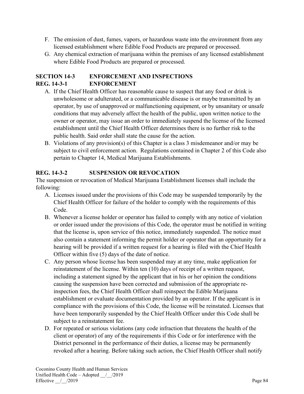- F. The emission of dust, fumes, vapors, or hazardous waste into the environment from any licensed establishment where Edible Food Products are prepared or processed.
- G. Any chemical extraction of marijuana within the premises of any licensed establishment where Edible Food Products are prepared or processed.

# **SECTION 14-3 ENFORCEMENT AND INSPECTIONS REG. 14-3-1 ENFORCEMENT**

- A. If the Chief Health Officer has reasonable cause to suspect that any food or drink is unwholesome or adulterated, or a communicable disease is or maybe transmitted by an operator, by use of unapproved or malfunctioning equipment, or by unsanitary or unsafe conditions that may adversely affect the health of the public, upon written notice to the owner or operator, may issue an order to immediately suspend the license of the licensed establishment until the Chief Health Officer determines there is no further risk to the public health. Said order shall state the cause for the action.
- B. Violations of any provision(s) of this Chapter is a class 3 misdemeanor and/or may be subject to civil enforcement action. Regulations contained in Chapter 2 of this Code also pertain to Chapter 14, Medical Marijuana Establishments.

# **REG. 14-3-2 SUSPENSION OR REVOCATION**

The suspension or revocation of Medical Marijuana Establishment licenses shall include the following:

- A. Licenses issued under the provisions of this Code may be suspended temporarily by the Chief Health Officer for failure of the holder to comply with the requirements of this Code.
- B. Whenever a license holder or operator has failed to comply with any notice of violation or order issued under the provisions of this Code, the operator must be notified in writing that the license is, upon service of this notice, immediately suspended. The notice must also contain a statement informing the permit holder or operator that an opportunity for a hearing will be provided if a written request for a hearing is filed with the Chief Health Officer within five (5) days of the date of notice.
- C. Any person whose license has been suspended may at any time, make application for reinstatement of the license. Within ten (10) days of receipt of a written request, including a statement signed by the applicant that in his or her opinion the conditions causing the suspension have been corrected and submission of the appropriate reinspection fees, the Chief Health Officer shall reinspect the Edible Marijuana establishment or evaluate documentation provided by an operator. If the applicant is in compliance with the provisions of this Code, the license will be reinstated. Licenses that have been temporarily suspended by the Chief Health Officer under this Code shall be subject to a reinstatement fee.
- D. For repeated or serious violations (any code infraction that threatens the health of the client or operator) of any of the requirements if this Code or for interference with the District personnel in the performance of their duties, a license may be permanently revoked after a hearing. Before taking such action, the Chief Health Officer shall notify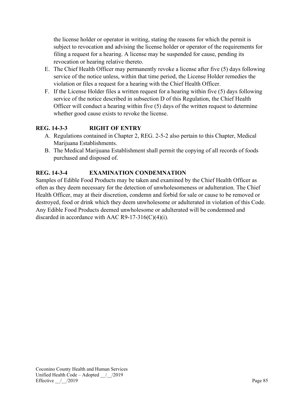the license holder or operator in writing, stating the reasons for which the permit is subject to revocation and advising the license holder or operator of the requirements for filing a request for a hearing. A license may be suspended for cause, pending its revocation or hearing relative thereto.

- E. The Chief Health Officer may permanently revoke a license after five (5) days following service of the notice unless, within that time period, the License Holder remedies the violation or files a request for a hearing with the Chief Health Officer.
- F. If the License Holder files a written request for a hearing within five (5) days following service of the notice described in subsection D of this Regulation, the Chief Health Officer will conduct a hearing within five (5) days of the written request to determine whether good cause exists to revoke the license.

# **REG. 14-3-3 RIGHT OF ENTRY**

- A. Regulations contained in Chapter 2, REG. 2-5-2 also pertain to this Chapter, Medical Marijuana Establishments.
- B. The Medical Marijuana Establishment shall permit the copying of all records of foods purchased and disposed of.

# **REG. 14-3-4 EXAMINATION CONDEMNATION**

Samples of Edible Food Products may be taken and examined by the Chief Health Officer as often as they deem necessary for the detection of unwholesomeness or adulteration. The Chief Health Officer, may at their discretion, condemn and forbid for sale or cause to be removed or destroyed, food or drink which they deem unwholesome or adulterated in violation of this Code. Any Edible Food Products deemed unwholesome or adulterated will be condemned and discarded in accordance with AAC R9-17-316(C)(4)(i).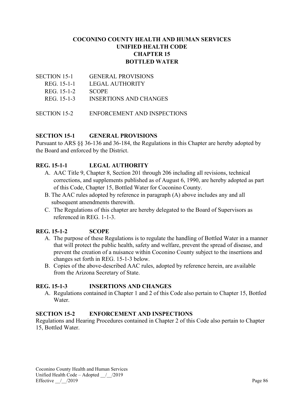# **COCONINO COUNTY HEALTH AND HUMAN SERVICES UNIFIED HEALTH CODE CHAPTER 15 BOTTLED WATER**

| SECTION 15-1        | <b>GENERAL PROVISIONS</b>     |
|---------------------|-------------------------------|
| REG. 15-1-1         | LEGAL AUTHORITY               |
| REG. 15-1-2         | <b>SCOPE</b>                  |
| REG. 15-1-3         | <b>INSERTIONS AND CHANGES</b> |
|                     |                               |
| <b>SECTION 15-2</b> | ENFORCEMENT AND INSPECTIONS   |

# **SECTION 15-1 GENERAL PROVISIONS**

Pursuant to ARS §§ 36-136 and 36-184, the Regulations in this Chapter are hereby adopted by the Board and enforced by the District.

# **REG. 15-1-1 LEGAL AUTHORITY**

- A. AAC Title 9, Chapter 8, Section 201 through 206 including all revisions, technical corrections, and supplements published as of August 6, 1990, are hereby adopted as part of this Code, Chapter 15, Bottled Water for Coconino County.
- B. The AAC rules adopted by reference in paragraph (A) above includes any and all subsequent amendments therewith.
- C. The Regulations of this chapter are hereby delegated to the Board of Supervisors as referenced in REG. 1-1-3.

# **REG. 15-1-2 SCOPE**

- A. The purpose of these Regulations is to regulate the handling of Bottled Water in a manner that will protect the public health, safety and welfare, prevent the spread of disease, and prevent the creation of a nuisance within Coconino County subject to the insertions and changes set forth in REG. 15-1-3 below.
- B. Copies of the above-described AAC rules, adopted by reference herein, are available from the Arizona Secretary of State.

# **REG. 15-1-3 INSERTIONS AND CHANGES**

A. Regulations contained in Chapter 1 and 2 of this Code also pertain to Chapter 15, Bottled Water.

# **SECTION 15-2 ENFORCEMENT AND INSPECTIONS**

Regulations and Hearing Procedures contained in Chapter 2 of this Code also pertain to Chapter 15, Bottled Water.